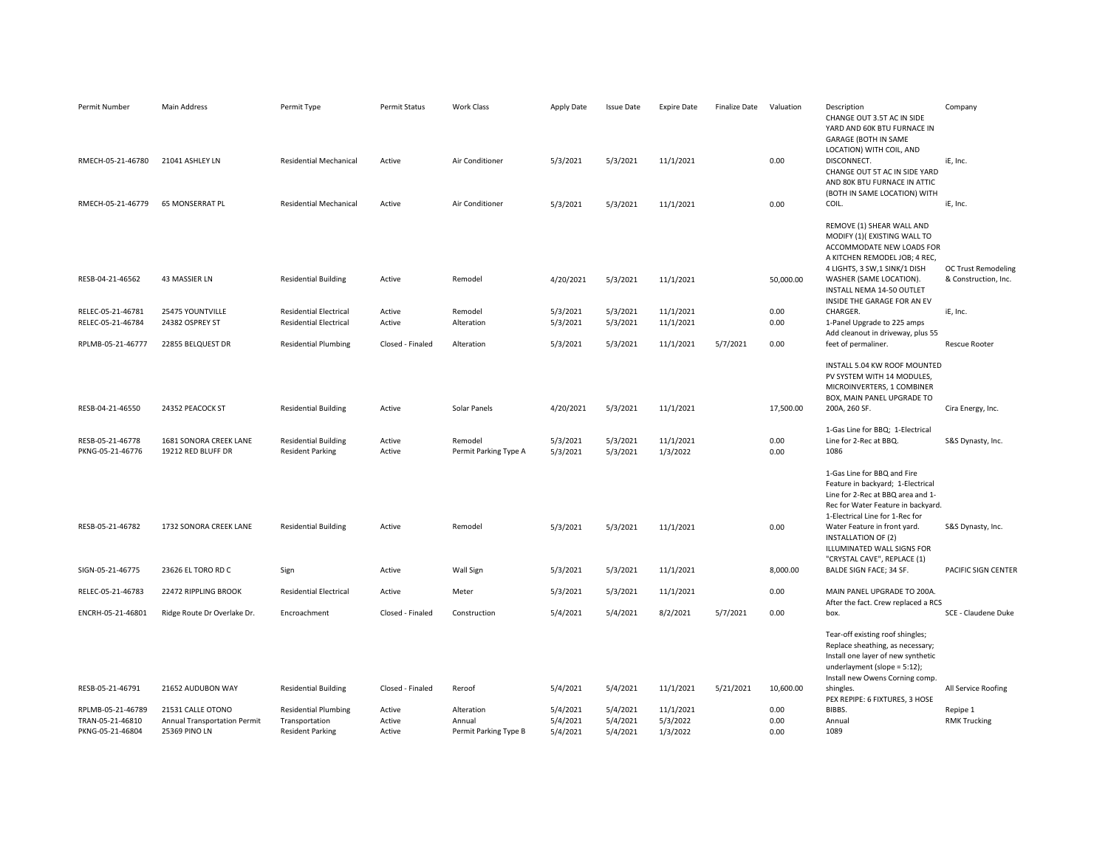| Permit Number                          | Main Address                                 | Permit Type                                                    | <b>Permit Status</b> | <b>Work Class</b>                | Apply Date           | <b>Issue Date</b>    | <b>Expire Date</b>     | <b>Finalize Date</b> | Valuation    | Description<br>CHANGE OUT 3.5T AC IN SIDE<br>YARD AND 60K BTU FURNACE IN<br>GARAGE (BOTH IN SAME<br>LOCATION) WITH COIL, AND                                                                                                                                                                              | Company                                     |
|----------------------------------------|----------------------------------------------|----------------------------------------------------------------|----------------------|----------------------------------|----------------------|----------------------|------------------------|----------------------|--------------|-----------------------------------------------------------------------------------------------------------------------------------------------------------------------------------------------------------------------------------------------------------------------------------------------------------|---------------------------------------------|
| RMECH-05-21-46780                      | 21041 ASHLEY LN                              | <b>Residential Mechanical</b>                                  | Active               | Air Conditioner                  | 5/3/2021             | 5/3/2021             | 11/1/2021              |                      | 0.00         | DISCONNECT.<br>CHANGE OUT 5T AC IN SIDE YARD<br>AND 80K BTU FURNACE IN ATTIC<br>(BOTH IN SAME LOCATION) WITH                                                                                                                                                                                              | iE, Inc.                                    |
| RMECH-05-21-46779                      | 65 MONSERRAT PL                              | <b>Residential Mechanical</b>                                  | Active               | Air Conditioner                  | 5/3/2021             | 5/3/2021             | 11/1/2021              |                      | 0.00         | COIL.                                                                                                                                                                                                                                                                                                     | iE, Inc.                                    |
| RESB-04-21-46562                       | 43 MASSIER LN                                | <b>Residential Building</b>                                    | Active               | Remodel                          | 4/20/2021            | 5/3/2021             | 11/1/2021              |                      | 50,000.00    | REMOVE (1) SHEAR WALL AND<br>MODIFY (1)(EXISTING WALL TO<br>ACCOMMODATE NEW LOADS FOR<br>A KITCHEN REMODEL JOB; 4 REC,<br>4 LIGHTS, 3 SW, 1 SINK/1 DISH<br>WASHER (SAME LOCATION).<br>INSTALL NEMA 14-50 OUTLET                                                                                           | OC Trust Remodeling<br>& Construction, Inc. |
|                                        |                                              |                                                                |                      |                                  |                      |                      |                        |                      |              | INSIDE THE GARAGE FOR AN EV                                                                                                                                                                                                                                                                               |                                             |
| RELEC-05-21-46781<br>RELEC-05-21-46784 | 25475 YOUNTVILLE<br>24382 OSPREY ST          | <b>Residential Electrical</b><br><b>Residential Electrical</b> | Active<br>Active     | Remodel<br>Alteration            | 5/3/2021<br>5/3/2021 | 5/3/2021<br>5/3/2021 | 11/1/2021<br>11/1/2021 |                      | 0.00<br>0.00 | CHARGER.<br>1-Panel Upgrade to 225 amps<br>Add cleanout in driveway, plus 55                                                                                                                                                                                                                              | iE, Inc.                                    |
| RPLMB-05-21-46777                      | 22855 BELQUEST DR                            | <b>Residential Plumbing</b>                                    | Closed - Finaled     | Alteration                       | 5/3/2021             | 5/3/2021             | 11/1/2021              | 5/7/2021             | 0.00         | feet of permaliner.                                                                                                                                                                                                                                                                                       | <b>Rescue Rooter</b>                        |
| RESB-04-21-46550                       | 24352 PEACOCK ST                             | <b>Residential Building</b>                                    | Active               | Solar Panels                     | 4/20/2021            | 5/3/2021             | 11/1/2021              |                      | 17,500.00    | INSTALL 5.04 KW ROOF MOUNTED<br>PV SYSTEM WITH 14 MODULES,<br>MICROINVERTERS, 1 COMBINER<br>BOX, MAIN PANEL UPGRADE TO<br>200A, 260 SF.                                                                                                                                                                   | Cira Energy, Inc.                           |
| RESB-05-21-46778<br>PKNG-05-21-46776   | 1681 SONORA CREEK LANE<br>19212 RED BLUFF DR | <b>Residential Building</b><br><b>Resident Parking</b>         | Active<br>Active     | Remodel<br>Permit Parking Type A | 5/3/2021<br>5/3/2021 | 5/3/2021<br>5/3/2021 | 11/1/2021<br>1/3/2022  |                      | 0.00<br>0.00 | 1-Gas Line for BBQ; 1-Electrical<br>Line for 2-Rec at BBQ.<br>1086                                                                                                                                                                                                                                        | S&S Dynasty, Inc.                           |
| RESB-05-21-46782                       | 1732 SONORA CREEK LANE                       | <b>Residential Building</b>                                    | Active               | Remodel                          | 5/3/2021             | 5/3/2021             | 11/1/2021              |                      | 0.00         | 1-Gas Line for BBQ and Fire<br>Feature in backyard; 1-Electrical<br>Line for 2-Rec at BBQ area and 1-<br>Rec for Water Feature in backyard.<br>1-Electrical Line for 1-Rec for<br>Water Feature in front yard.<br><b>INSTALLATION OF (2)</b><br>ILLUMINATED WALL SIGNS FOR<br>"CRYSTAL CAVE", REPLACE (1) | S&S Dynasty, Inc.                           |
| SIGN-05-21-46775                       | 23626 EL TORO RD C                           | Sign                                                           | Active               | Wall Sign                        | 5/3/2021             | 5/3/2021             | 11/1/2021              |                      | 8,000.00     | BALDE SIGN FACE; 34 SF.                                                                                                                                                                                                                                                                                   | PACIFIC SIGN CENTER                         |
| RELEC-05-21-46783                      | 22472 RIPPLING BROOK                         | <b>Residential Electrical</b>                                  | Active               | Meter                            | 5/3/2021             | 5/3/2021             | 11/1/2021              |                      | 0.00         | MAIN PANEL UPGRADE TO 200A.<br>After the fact. Crew replaced a RCS                                                                                                                                                                                                                                        |                                             |
| ENCRH-05-21-46801                      | Ridge Route Dr Overlake Dr.                  | Encroachment                                                   | Closed - Finaled     | Construction                     | 5/4/2021             | 5/4/2021             | 8/2/2021               | 5/7/2021             | 0.00         | box.                                                                                                                                                                                                                                                                                                      | SCE - Claudene Duke                         |
| RESB-05-21-46791                       | 21652 AUDUBON WAY                            | <b>Residential Building</b>                                    | Closed - Finaled     | Reroof                           | 5/4/2021             | 5/4/2021             | 11/1/2021              | 5/21/2021            | 10,600.00    | Tear-off existing roof shingles;<br>Replace sheathing, as necessary;<br>Install one layer of new synthetic<br>underlayment (slope = 5:12);<br>Install new Owens Corning comp.<br>shingles.                                                                                                                | All Service Roofing                         |
| RPLMB-05-21-46789                      | 21531 CALLE OTONO                            | <b>Residential Plumbing</b>                                    | Active               | Alteration                       | 5/4/2021             | 5/4/2021             | 11/1/2021              |                      | 0.00         | PEX REPIPE: 6 FIXTURES, 3 HOSE<br>BIBBS.                                                                                                                                                                                                                                                                  | Repipe 1                                    |
| TRAN-05-21-46810                       | Annual Transportation Permit                 | Transportation                                                 | Active               | Annual                           | 5/4/2021             | 5/4/2021             | 5/3/2022               |                      | 0.00         | Annual                                                                                                                                                                                                                                                                                                    | <b>RMK Trucking</b>                         |
| PKNG-05-21-46804                       | 25369 PINO LN                                | <b>Resident Parking</b>                                        | Active               | Permit Parking Type B            | 5/4/2021             | 5/4/2021             | 1/3/2022               |                      | 0.00         | 1089                                                                                                                                                                                                                                                                                                      |                                             |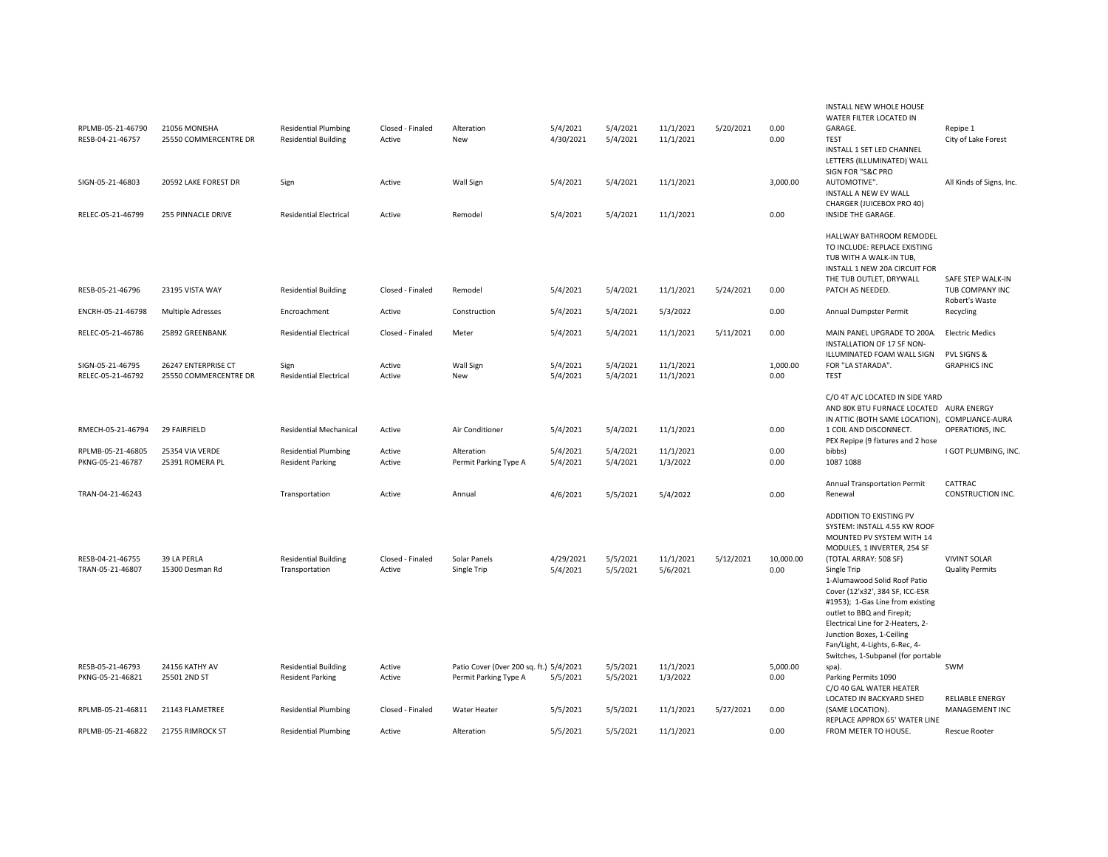|                                       |                                              |                                                        |                            |                                                                  |                       |                      |                        |           |                   | INSTALL NEW WHOLE HOUSE<br>WATER FILTER LOCATED IN                                                                                                                                                                                                                                                                  |                                               |
|---------------------------------------|----------------------------------------------|--------------------------------------------------------|----------------------------|------------------------------------------------------------------|-----------------------|----------------------|------------------------|-----------|-------------------|---------------------------------------------------------------------------------------------------------------------------------------------------------------------------------------------------------------------------------------------------------------------------------------------------------------------|-----------------------------------------------|
| RPLMB-05-21-46790                     | 21056 MONISHA                                | <b>Residential Plumbing</b>                            | Closed - Finaled           | Alteration                                                       | 5/4/2021              | 5/4/2021             | 11/1/2021              | 5/20/2021 | 0.00              | GARAGE.                                                                                                                                                                                                                                                                                                             | Repipe 1                                      |
| RESB-04-21-46757                      | 25550 COMMERCENTRE DR                        | <b>Residential Building</b>                            | Active                     | New                                                              | 4/30/2021             | 5/4/2021             | 11/1/2021              |           | 0.00              | <b>TEST</b><br>INSTALL 1 SET LED CHANNEL<br>LETTERS (ILLUMINATED) WALL<br>SIGN FOR "S&C PRO                                                                                                                                                                                                                         | City of Lake Forest                           |
| SIGN-05-21-46803                      | 20592 LAKE FOREST DR                         | Sign                                                   | Active                     | Wall Sign                                                        | 5/4/2021              | 5/4/2021             | 11/1/2021              |           | 3,000.00          | AUTOMOTIVE".<br>INSTALL A NEW EV WALL                                                                                                                                                                                                                                                                               | All Kinds of Signs, Inc.                      |
| RELEC-05-21-46799                     | 255 PINNACLE DRIVE                           | <b>Residential Electrical</b>                          | Active                     | Remodel                                                          | 5/4/2021              | 5/4/2021             | 11/1/2021              |           | 0.00              | CHARGER (JUICEBOX PRO 40)<br>INSIDE THE GARAGE.                                                                                                                                                                                                                                                                     |                                               |
|                                       |                                              |                                                        |                            |                                                                  |                       |                      |                        |           |                   | HALLWAY BATHROOM REMODEL<br>TO INCLUDE: REPLACE EXISTING<br>TUB WITH A WALK-IN TUB,<br>INSTALL 1 NEW 20A CIRCUIT FOR<br>THE TUB OUTLET, DRYWALL                                                                                                                                                                     | SAFE STEP WALK-IN                             |
| RESB-05-21-46796                      | 23195 VISTA WAY                              | <b>Residential Building</b>                            | Closed - Finaled           | Remodel                                                          | 5/4/2021              | 5/4/2021             | 11/1/2021              | 5/24/2021 | 0.00              | PATCH AS NEEDED.                                                                                                                                                                                                                                                                                                    | TUB COMPANY INC<br>Robert's Waste             |
| ENCRH-05-21-46798                     | <b>Multiple Adresses</b>                     | Encroachment                                           | Active                     | Construction                                                     | 5/4/2021              | 5/4/2021             | 5/3/2022               |           | 0.00              | Annual Dumpster Permit                                                                                                                                                                                                                                                                                              | Recycling                                     |
| RELEC-05-21-46786                     | 25892 GREENBANK                              | <b>Residential Electrical</b>                          | Closed - Finaled           | Meter                                                            | 5/4/2021              | 5/4/2021             | 11/1/2021              | 5/11/2021 | 0.00              | MAIN PANEL UPGRADE TO 200A.<br>INSTALLATION OF 17 SF NON-<br>ILLUMINATED FOAM WALL SIGN                                                                                                                                                                                                                             | <b>Electric Medics</b><br>PVL SIGNS &         |
| SIGN-05-21-46795<br>RELEC-05-21-46792 | 26247 ENTERPRISE CT<br>25550 COMMERCENTRE DR | Sign<br><b>Residential Electrical</b>                  | Active<br>Active           | Wall Sign<br><b>New</b>                                          | 5/4/2021<br>5/4/2021  | 5/4/2021<br>5/4/2021 | 11/1/2021<br>11/1/2021 |           | 1,000.00<br>0.00  | FOR "LA STARADA".<br><b>TEST</b>                                                                                                                                                                                                                                                                                    | <b>GRAPHICS INC</b>                           |
|                                       |                                              |                                                        |                            |                                                                  |                       |                      |                        |           |                   | C/O 4T A/C LOCATED IN SIDE YARD<br>AND 80K BTU FURNACE LOCATED AURA ENERGY<br>IN ATTIC (BOTH SAME LOCATION), COMPLIANCE-AURA                                                                                                                                                                                        |                                               |
| RMECH-05-21-46794                     | 29 FAIRFIELD                                 | <b>Residential Mechanical</b>                          | Active                     | Air Conditioner                                                  | 5/4/2021              | 5/4/2021             | 11/1/2021              |           | 0.00              | 1 COIL AND DISCONNECT.<br>PEX Repipe (9 fixtures and 2 hose                                                                                                                                                                                                                                                         | OPERATIONS, INC.                              |
| RPLMB-05-21-46805<br>PKNG-05-21-46787 | 25354 VIA VERDE<br>25391 ROMERA PL           | <b>Residential Plumbing</b><br><b>Resident Parking</b> | Active<br>Active           | Alteration<br>Permit Parking Type A                              | 5/4/2021<br>5/4/2021  | 5/4/2021<br>5/4/2021 | 11/1/2021<br>1/3/2022  |           | 0.00<br>0.00      | bibbs)<br>1087 1088                                                                                                                                                                                                                                                                                                 | I GOT PLUMBING, INC.                          |
| TRAN-04-21-46243                      |                                              | Transportation                                         | Active                     | Annual                                                           | 4/6/2021              | 5/5/2021             | 5/4/2022               |           | 0.00              | Annual Transportation Permit<br>Renewal                                                                                                                                                                                                                                                                             | CATTRAC<br>CONSTRUCTION INC.                  |
|                                       |                                              |                                                        |                            |                                                                  |                       |                      |                        |           |                   | ADDITION TO EXISTING PV<br>SYSTEM: INSTALL 4.55 KW ROOF<br>MOUNTED PV SYSTEM WITH 14<br>MODULES, 1 INVERTER, 254 SF                                                                                                                                                                                                 |                                               |
| RESB-04-21-46755<br>TRAN-05-21-46807  | 39 LA PERLA<br>15300 Desman Rd               | <b>Residential Building</b><br>Transportation          | Closed - Finaled<br>Active | Solar Panels<br>Single Trip                                      | 4/29/2021<br>5/4/2021 | 5/5/2021<br>5/5/2021 | 11/1/2021<br>5/6/2021  | 5/12/2021 | 10,000.00<br>0.00 | (TOTAL ARRAY: 508 SF)<br>Single Trip<br>1-Alumawood Solid Roof Patio<br>Cover (12'x32', 384 SF, ICC-ESR<br>#1953); 1-Gas Line from existing<br>outlet to BBQ and Firepit;<br>Electrical Line for 2-Heaters, 2-<br>Junction Boxes, 1-Ceiling<br>Fan/Light, 4-Lights, 6-Rec, 4-<br>Switches, 1-Subpanel (for portable | <b>VIVINT SOLAR</b><br><b>Quality Permits</b> |
| RESB-05-21-46793<br>PKNG-05-21-46821  | 24156 KATHY AV<br>25501 2ND ST               | <b>Residential Building</b><br><b>Resident Parking</b> | Active<br>Active           | Patio Cover (Over 200 sq. ft.) 5/4/2021<br>Permit Parking Type A | 5/5/2021              | 5/5/2021<br>5/5/2021 | 11/1/2021<br>1/3/2022  |           | 5,000.00<br>0.00  | spa).<br>Parking Permits 1090<br>C/O 40 GAL WATER HEATER<br>LOCATED IN BACKYARD SHED                                                                                                                                                                                                                                | SWM<br><b>RELIABLE ENERGY</b>                 |
| RPLMB-05-21-46811                     | 21143 FLAMETREE                              | <b>Residential Plumbing</b>                            | Closed - Finaled           | Water Heater                                                     | 5/5/2021              | 5/5/2021             | 11/1/2021              | 5/27/2021 | 0.00              | (SAME LOCATION).<br>REPLACE APPROX 65' WATER LINE                                                                                                                                                                                                                                                                   | MANAGEMENT INC                                |
| RPLMB-05-21-46822                     | 21755 RIMROCK ST                             | <b>Residential Plumbing</b>                            | Active                     | Alteration                                                       | 5/5/2021              | 5/5/2021             | 11/1/2021              |           | 0.00              | FROM METER TO HOUSE.                                                                                                                                                                                                                                                                                                | <b>Rescue Rooter</b>                          |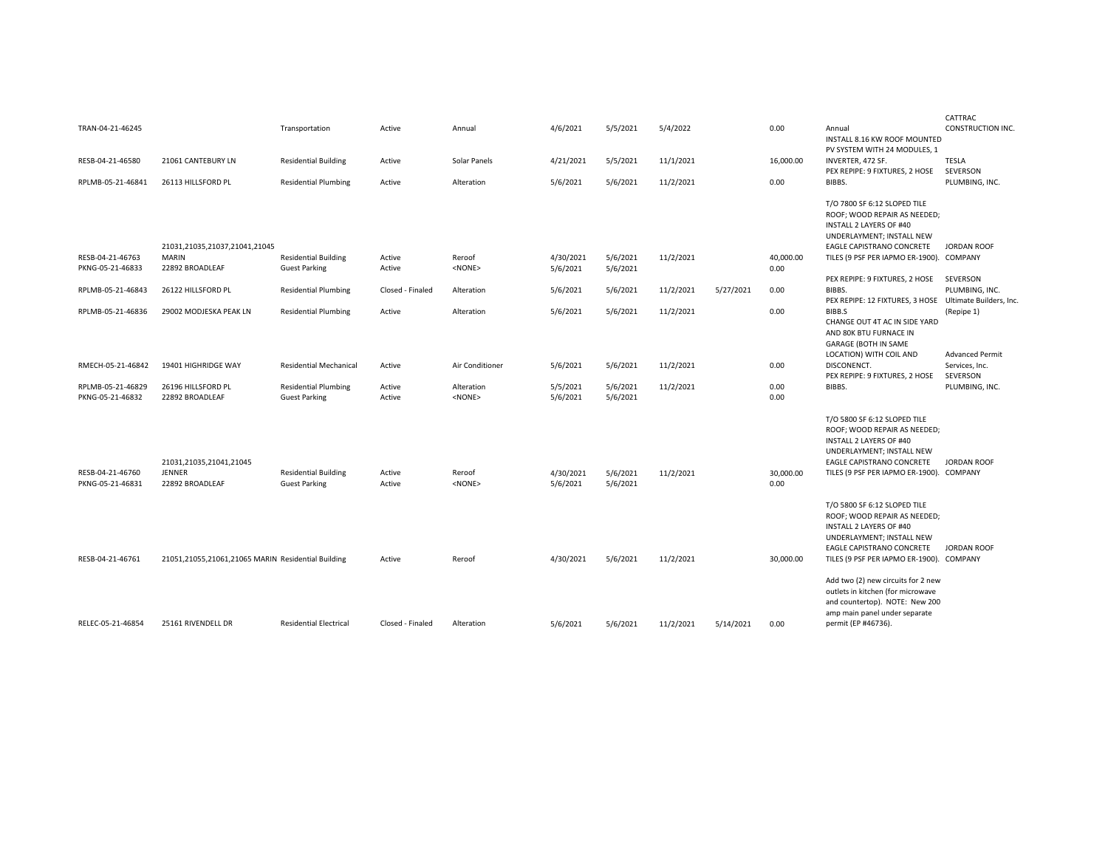|                                      |                                                      |                                                     |                  |                        |                       |                      |           |           |                   |                                                                                                                                                                                                      | CATTRAC                                  |
|--------------------------------------|------------------------------------------------------|-----------------------------------------------------|------------------|------------------------|-----------------------|----------------------|-----------|-----------|-------------------|------------------------------------------------------------------------------------------------------------------------------------------------------------------------------------------------------|------------------------------------------|
| TRAN-04-21-46245                     |                                                      | Transportation                                      | Active           | Annual                 | 4/6/2021              | 5/5/2021             | 5/4/2022  |           | 0.00              | Annual<br>INSTALL 8.16 KW ROOF MOUNTED                                                                                                                                                               | <b>CONSTRUCTION INC.</b>                 |
| RESB-04-21-46580                     | 21061 CANTEBURY LN                                   | <b>Residential Building</b>                         | Active           | Solar Panels           | 4/21/2021             | 5/5/2021             | 11/1/2021 |           | 16,000.00         | PV SYSTEM WITH 24 MODULES, 1<br>INVERTER, 472 SF.                                                                                                                                                    | <b>TESLA</b>                             |
| RPLMB-05-21-46841                    | 26113 HILLSFORD PL                                   | <b>Residential Plumbing</b>                         | Active           | Alteration             | 5/6/2021              | 5/6/2021             | 11/2/2021 |           | 0.00              | PEX REPIPE: 9 FIXTURES, 2 HOSE<br>BIBBS.                                                                                                                                                             | SEVERSON<br>PLUMBING, INC.               |
|                                      | 21031,21035,21037,21041,21045                        |                                                     |                  |                        |                       |                      |           |           |                   | T/O 7800 SF 6:12 SLOPED TILE<br>ROOF; WOOD REPAIR AS NEEDED;<br><b>INSTALL 2 LAYERS OF #40</b><br>UNDERLAYMENT; INSTALL NEW<br>EAGLE CAPISTRANO CONCRETE                                             | <b>JORDAN ROOF</b>                       |
| RESB-04-21-46763                     | <b>MARIN</b>                                         | <b>Residential Building</b>                         | Active           | Reroof                 | 4/30/2021             | 5/6/2021             | 11/2/2021 |           | 40,000.00         | TILES (9 PSF PER IAPMO ER-1900). COMPANY                                                                                                                                                             |                                          |
| PKNG-05-21-46833                     | 22892 BROADLEAF                                      | <b>Guest Parking</b>                                | Active           | <none></none>          | 5/6/2021              | 5/6/2021             |           |           | 0.00              | PEX REPIPE: 9 FIXTURES, 2 HOSE                                                                                                                                                                       | SEVERSON                                 |
| RPLMB-05-21-46843                    | 26122 HILLSFORD PL                                   | <b>Residential Plumbing</b>                         | Closed - Finaled | Alteration             | 5/6/2021              | 5/6/2021             | 11/2/2021 | 5/27/2021 | 0.00              | BIBBS.<br>PEX REPIPE: 12 FIXTURES, 3 HOSE Ultimate Builders, Inc.                                                                                                                                    | PLUMBING, INC.                           |
| RPLMB-05-21-46836                    | 29002 MODJESKA PEAK LN                               | <b>Residential Plumbing</b>                         | Active           | Alteration             | 5/6/2021              | 5/6/2021             | 11/2/2021 |           | 0.00              | BIBB.S<br>CHANGE OUT 4T AC IN SIDE YARD<br>AND 80K BTU FURNACE IN<br>GARAGE (BOTH IN SAME                                                                                                            | (Repipe 1)                               |
| RMECH-05-21-46842                    | 19401 HIGHRIDGE WAY                                  | <b>Residential Mechanical</b>                       | Active           | Air Conditioner        | 5/6/2021              | 5/6/2021             | 11/2/2021 |           | 0.00              | LOCATION) WITH COIL AND<br>DISCONENCT.                                                                                                                                                               | <b>Advanced Permit</b><br>Services, Inc. |
| RPLMB-05-21-46829                    | 26196 HILLSFORD PL                                   | <b>Residential Plumbing</b>                         | Active           | Alteration             | 5/5/2021              | 5/6/2021             | 11/2/2021 |           | 0.00              | PEX REPIPE: 9 FIXTURES, 2 HOSE<br>BIBBS.                                                                                                                                                             | SEVERSON<br>PLUMBING, INC.               |
| PKNG-05-21-46832                     | 22892 BROADLEAF                                      | <b>Guest Parking</b>                                | Active           | <none></none>          | 5/6/2021              | 5/6/2021             |           |           | 0.00              |                                                                                                                                                                                                      |                                          |
| RESB-04-21-46760<br>PKNG-05-21-46831 | 21031,21035,21041,21045<br>JENNER<br>22892 BROADLEAF | <b>Residential Building</b><br><b>Guest Parking</b> | Active<br>Active | Reroof<br>$<$ NONE $>$ | 4/30/2021<br>5/6/2021 | 5/6/2021<br>5/6/2021 | 11/2/2021 |           | 30,000.00<br>0.00 | T/O 5800 SF 6:12 SLOPED TILE<br>ROOF; WOOD REPAIR AS NEEDED;<br><b>INSTALL 2 LAYERS OF #40</b><br>UNDERLAYMENT; INSTALL NEW<br>EAGLE CAPISTRANO CONCRETE<br>TILES (9 PSF PER IAPMO ER-1900). COMPANY | <b>JORDAN ROOF</b>                       |
| RESB-04-21-46761                     | 21051,21055,21061,21065 MARIN Residential Building   |                                                     | Active           | Reroof                 | 4/30/2021             | 5/6/2021             | 11/2/2021 |           | 30,000.00         | T/O 5800 SF 6:12 SLOPED TILE<br>ROOF; WOOD REPAIR AS NEEDED;<br><b>INSTALL 2 LAYERS OF #40</b><br>UNDERLAYMENT; INSTALL NEW<br>EAGLE CAPISTRANO CONCRETE<br>TILES (9 PSF PER IAPMO ER-1900). COMPANY | <b>JORDAN ROOF</b>                       |
| RELEC-05-21-46854                    | 25161 RIVENDELL DR                                   | <b>Residential Electrical</b>                       | Closed - Finaled | Alteration             | 5/6/2021              | 5/6/2021             | 11/2/2021 | 5/14/2021 | 0.00              | Add two (2) new circuits for 2 new<br>outlets in kitchen (for microwave<br>and countertop). NOTE: New 200<br>amp main panel under separate<br>permit (EP #46736).                                    |                                          |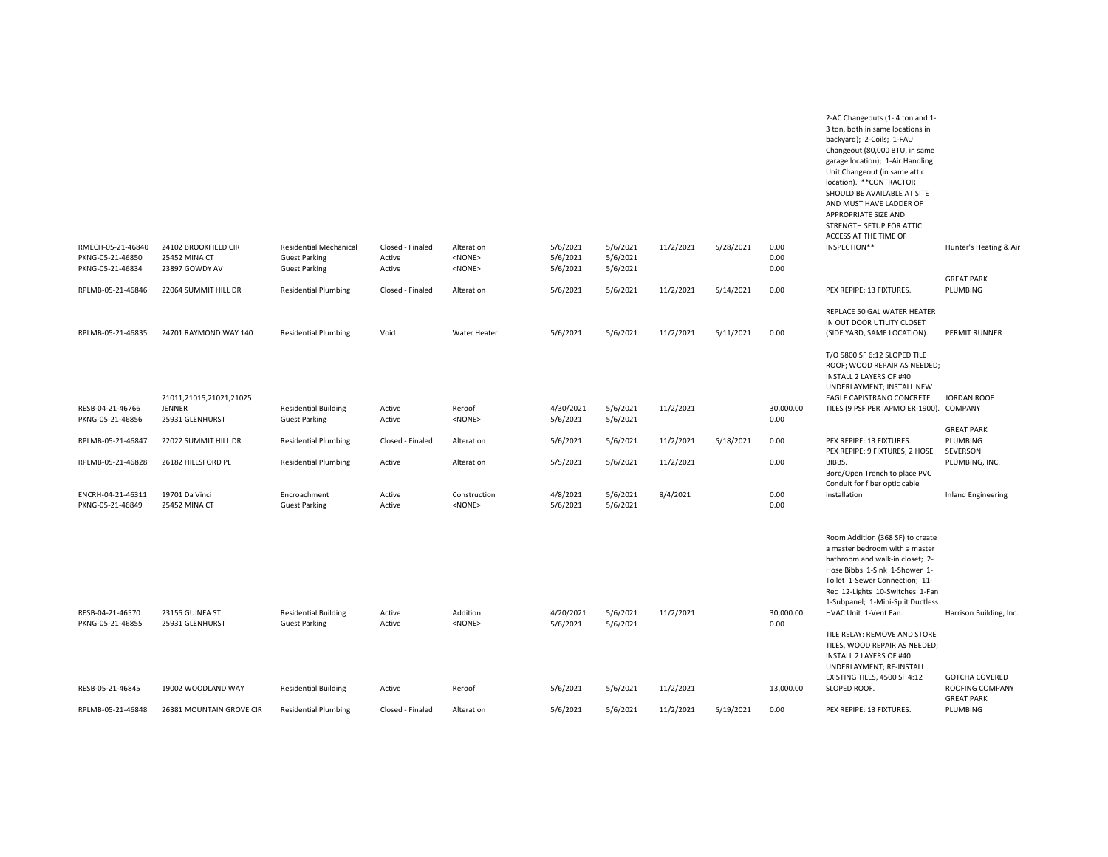|                                                           |                                                                |                                                                               |                                      |                                               |                                  |                                  |           |           |                      | 3 ton, both in same locations in<br>backyard); 2-Coils; 1-FAU<br>Changeout (80,000 BTU, in same<br>garage location); 1-Air Handling<br>Unit Changeout (in same attic<br>location). ** CONTRACTOR<br>SHOULD BE AVAILABLE AT SITE<br>AND MUST HAVE LADDER OF<br>APPROPRIATE SIZE AND<br>STRENGTH SETUP FOR ATTIC<br>ACCESS AT THE TIME OF |                                      |
|-----------------------------------------------------------|----------------------------------------------------------------|-------------------------------------------------------------------------------|--------------------------------------|-----------------------------------------------|----------------------------------|----------------------------------|-----------|-----------|----------------------|-----------------------------------------------------------------------------------------------------------------------------------------------------------------------------------------------------------------------------------------------------------------------------------------------------------------------------------------|--------------------------------------|
| RMECH-05-21-46840<br>PKNG-05-21-46850<br>PKNG-05-21-46834 | 24102 BROOKFIELD CIR<br><b>25452 MINA CT</b><br>23897 GOWDY AV | <b>Residential Mechanical</b><br><b>Guest Parking</b><br><b>Guest Parking</b> | Closed - Finaled<br>Active<br>Active | Alteration<br><none><br/><none></none></none> | 5/6/2021<br>5/6/2021<br>5/6/2021 | 5/6/2021<br>5/6/2021<br>5/6/2021 | 11/2/2021 | 5/28/2021 | 0.00<br>0.00<br>0.00 | INSPECTION**                                                                                                                                                                                                                                                                                                                            | Hunter's Heating & Air               |
| RPLMB-05-21-46846                                         | 22064 SUMMIT HILL DR                                           | <b>Residential Plumbing</b>                                                   | Closed - Finaled                     | Alteration                                    | 5/6/2021                         | 5/6/2021                         | 11/2/2021 | 5/14/2021 | 0.00                 | PEX REPIPE: 13 FIXTURES.                                                                                                                                                                                                                                                                                                                | <b>GREAT PARK</b><br>PLUMBING        |
| RPLMB-05-21-46835                                         | 24701 RAYMOND WAY 140                                          | <b>Residential Plumbing</b>                                                   | Void                                 | Water Heater                                  | 5/6/2021                         | 5/6/2021                         | 11/2/2021 | 5/11/2021 | 0.00                 | REPLACE 50 GAL WATER HEATER<br>IN OUT DOOR UTILITY CLOSET<br>(SIDE YARD, SAME LOCATION).                                                                                                                                                                                                                                                | PERMIT RUNNER                        |
| RESB-04-21-46766<br>PKNG-05-21-46856                      | 21011,21015,21021,21025<br>JENNER<br>25931 GLENHURST           | <b>Residential Building</b><br><b>Guest Parking</b>                           | Active<br>Active                     | Reroof<br><none></none>                       | 4/30/2021<br>5/6/2021            | 5/6/2021<br>5/6/2021             | 11/2/2021 |           | 30,000.00<br>0.00    | T/O 5800 SF 6:12 SLOPED TILE<br>ROOF; WOOD REPAIR AS NEEDED;<br>INSTALL 2 LAYERS OF #40<br>UNDERLAYMENT; INSTALL NEW<br>EAGLE CAPISTRANO CONCRETE<br>TILES (9 PSF PER IAPMO ER-1900).                                                                                                                                                   | JORDAN ROOF<br>COMPANY               |
| RPLMB-05-21-46847                                         | 22022 SUMMIT HILL DR                                           | <b>Residential Plumbing</b>                                                   | Closed - Finaled                     | Alteration                                    | 5/6/2021                         | 5/6/2021                         | 11/2/2021 | 5/18/2021 | 0.00                 | PEX REPIPE: 13 FIXTURES.                                                                                                                                                                                                                                                                                                                | <b>GREAT PARK</b><br>PLUMBING        |
| RPLMB-05-21-46828                                         | 26182 HILLSFORD PL                                             | <b>Residential Plumbing</b>                                                   | Active                               | Alteration                                    | 5/5/2021                         | 5/6/2021                         | 11/2/2021 |           | 0.00                 | PEX REPIPE: 9 FIXTURES, 2 HOSE<br>BIBBS.<br>Bore/Open Trench to place PVC                                                                                                                                                                                                                                                               | SEVERSON<br>PLUMBING, INC.           |
| ENCRH-04-21-46311<br>PKNG-05-21-46849                     | 19701 Da Vinci<br><b>25452 MINA CT</b>                         | Encroachment<br><b>Guest Parking</b>                                          | Active<br>Active                     | Construction<br><none></none>                 | 4/8/2021<br>5/6/2021             | 5/6/2021<br>5/6/2021             | 8/4/2021  |           | 0.00<br>0.00         | Conduit for fiber optic cable<br>installation                                                                                                                                                                                                                                                                                           | Inland Engineering                   |
| RESB-04-21-46570<br>PKNG-05-21-46855                      | 23155 GUINEA ST<br>25931 GLENHURST                             | <b>Residential Building</b><br><b>Guest Parking</b>                           | Active<br>Active                     | Addition<br><none></none>                     | 4/20/2021                        | 5/6/2021                         | 11/2/2021 |           | 30,000.00<br>0.00    | Room Addition (368 SF) to create<br>a master bedroom with a master<br>bathroom and walk-in closet; 2-<br>Hose Bibbs 1-Sink 1-Shower 1-<br>Toilet 1-Sewer Connection; 11-<br>Rec 12-Lights 10-Switches 1-Fan<br>1-Subpanel; 1-Mini-Split Ductless<br>HVAC Unit 1-Vent Fan.                                                               | Harrison Building, Inc.              |
|                                                           |                                                                |                                                                               |                                      |                                               | 5/6/2021                         | 5/6/2021                         |           |           |                      | TILE RELAY: REMOVE AND STORE<br>TILES, WOOD REPAIR AS NEEDED;<br><b>INSTALL 2 LAYERS OF #40</b><br>UNDERLAYMENT; RE-INSTALL<br>EXISTING TILES, 4500 SF 4:12                                                                                                                                                                             | <b>GOTCHA COVERED</b>                |
| RESB-05-21-46845                                          | 19002 WOODLAND WAY                                             | <b>Residential Building</b>                                                   | Active                               | Reroof                                        | 5/6/2021                         | 5/6/2021                         | 11/2/2021 |           | 13,000.00            | SLOPED ROOF.                                                                                                                                                                                                                                                                                                                            | ROOFING COMPANY<br><b>GREAT PARK</b> |
| RPLMB-05-21-46848                                         | 26381 MOUNTAIN GROVE CIR                                       | <b>Residential Plumbing</b>                                                   | Closed - Finaled                     | Alteration                                    | 5/6/2021                         | 5/6/2021                         | 11/2/2021 | 5/19/2021 | 0.00                 | PEX REPIPE: 13 FIXTURES.                                                                                                                                                                                                                                                                                                                | PLUMBING                             |

2-AC Changeouts (1- 4 ton and 1-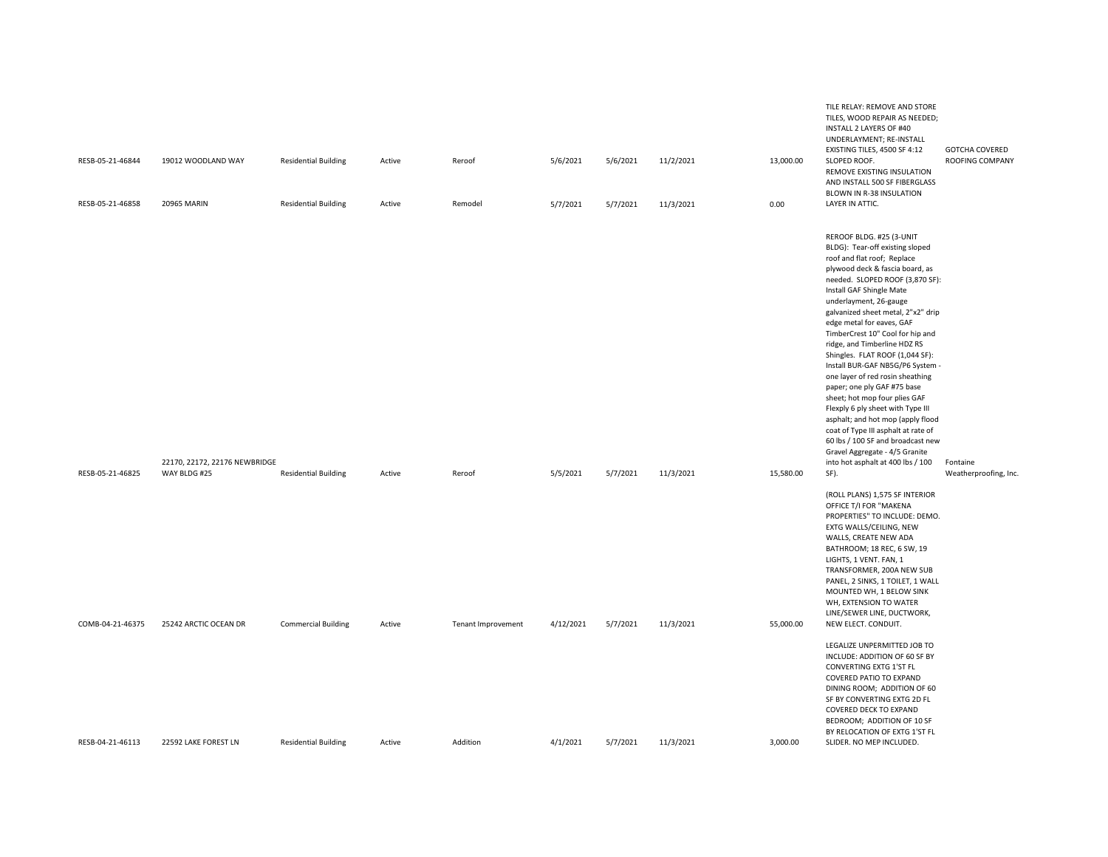| RESB-05-21-46844<br>RESB-05-21-46858 | 19012 WOODLAND WAY<br><b>20965 MARIN</b>      | <b>Residential Building</b><br><b>Residential Building</b> | Active<br>Active | Reroof<br>Remodel  | 5/6/2021<br>5/7/2021 | 5/6/2021<br>5/7/2021 | 11/2/2021<br>11/3/2021 | 13,000.00<br>0.00 | TILE RELAY: REMOVE AND STORE<br>TILES, WOOD REPAIR AS NEEDED;<br>INSTALL 2 LAYERS OF #40<br>UNDERLAYMENT; RE-INSTALL<br>EXISTING TILES, 4500 SF 4:12<br>SLOPED ROOF.<br>REMOVE EXISTING INSULATION<br>AND INSTALL 500 SF FIBERGLASS<br>BLOWN IN R-38 INSULATION<br>LAYER IN ATTIC.                                                                                                                                                                                                                                                                                                                                                                                                                                                                                            | <b>GOTCHA COVERED</b><br>ROOFING COMPANY |
|--------------------------------------|-----------------------------------------------|------------------------------------------------------------|------------------|--------------------|----------------------|----------------------|------------------------|-------------------|-------------------------------------------------------------------------------------------------------------------------------------------------------------------------------------------------------------------------------------------------------------------------------------------------------------------------------------------------------------------------------------------------------------------------------------------------------------------------------------------------------------------------------------------------------------------------------------------------------------------------------------------------------------------------------------------------------------------------------------------------------------------------------|------------------------------------------|
| RESB-05-21-46825                     | 22170, 22172, 22176 NEWBRIDGE<br>WAY BLDG #25 | <b>Residential Building</b>                                | Active           | Reroof             | 5/5/2021             | 5/7/2021             | 11/3/2021              | 15,580.00         | REROOF BLDG. #25 (3-UNIT<br>BLDG): Tear-off existing sloped<br>roof and flat roof; Replace<br>plywood deck & fascia board, as<br>needed. SLOPED ROOF (3,870 SF):<br>Install GAF Shingle Mate<br>underlayment, 26-gauge<br>galvanized sheet metal, 2"x2" drip<br>edge metal for eaves, GAF<br>TimberCrest 10" Cool for hip and<br>ridge, and Timberline HDZ RS<br>Shingles. FLAT ROOF (1,044 SF):<br>Install BUR-GAF NB5G/P6 System -<br>one layer of red rosin sheathing<br>paper; one ply GAF #75 base<br>sheet; hot mop four plies GAF<br>Flexply 6 ply sheet with Type III<br>asphalt; and hot mop (apply flood<br>coat of Type III asphalt at rate of<br>60 lbs / 100 SF and broadcast new<br>Gravel Aggregate - 4/5 Granite<br>into hot asphalt at 400 lbs / 100<br>SF). | Fontaine<br>Weatherproofing, Inc.        |
| COMB-04-21-46375                     | 25242 ARCTIC OCEAN DR                         | <b>Commercial Building</b>                                 | Active           | Tenant Improvement | 4/12/2021            | 5/7/2021             | 11/3/2021              | 55,000.00         | (ROLL PLANS) 1,575 SF INTERIOR<br>OFFICE T/I FOR "MAKENA<br>PROPERTIES" TO INCLUDE: DEMO.<br>EXTG WALLS/CEILING, NEW<br>WALLS, CREATE NEW ADA<br>BATHROOM; 18 REC, 6 SW, 19<br>LIGHTS, 1 VENT. FAN, 1<br>TRANSFORMER, 200A NEW SUB<br>PANEL, 2 SINKS, 1 TOILET, 1 WALL<br>MOUNTED WH, 1 BELOW SINK<br>WH, EXTENSION TO WATER<br>LINE/SEWER LINE, DUCTWORK,<br>NEW ELECT. CONDUIT.                                                                                                                                                                                                                                                                                                                                                                                             |                                          |
| RESB-04-21-46113                     | 22592 LAKE FOREST LN                          | <b>Residential Building</b>                                | Active           | Addition           | 4/1/2021             | 5/7/2021             | 11/3/2021              | 3,000.00          | LEGALIZE UNPERMITTED JOB TO<br>INCLUDE: ADDITION OF 60 SF BY<br>CONVERTING EXTG 1'ST FL<br>COVERED PATIO TO EXPAND<br>DINING ROOM; ADDITION OF 60<br>SF BY CONVERTING EXTG 2D FL<br>COVERED DECK TO EXPAND<br>BEDROOM; ADDITION OF 10 SF<br>BY RELOCATION OF EXTG 1'ST FL<br>SLIDER. NO MEP INCLUDED.                                                                                                                                                                                                                                                                                                                                                                                                                                                                         |                                          |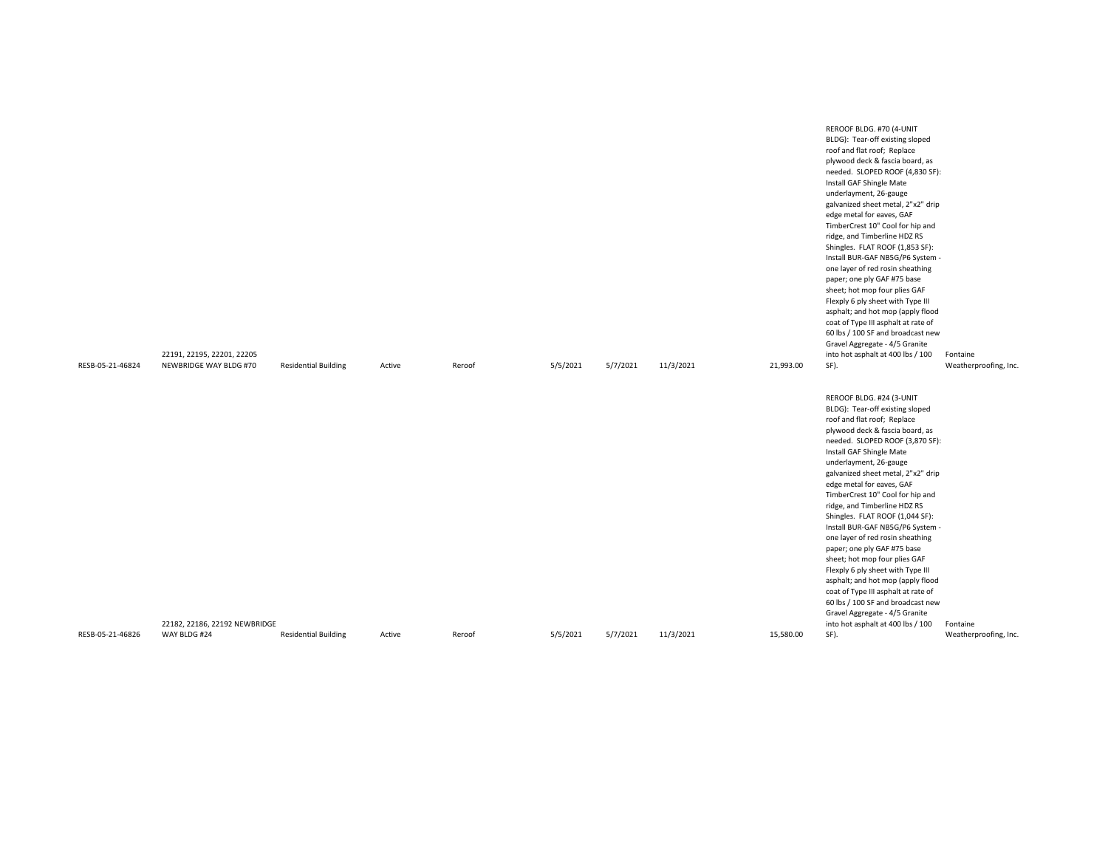| RESB-05-21-46824 | 22191, 22195, 22201, 22205<br>NEWBRIDGE WAY BLDG #70 | <b>Residential Building</b> | Active | Reroof | 5/5/2021 | 5/7/2021 | 11/3/2021 | 21,993.00 | REROOF BLDG. #70 (4-UNIT<br>BLDG): Tear-off existing sloped<br>roof and flat roof; Replace<br>plywood deck & fascia board, as<br>needed. SLOPED ROOF (4,830 SF):<br>Install GAF Shingle Mate<br>underlayment, 26-gauge<br>galvanized sheet metal, 2"x2" drip<br>edge metal for eaves, GAF<br>TimberCrest 10" Cool for hip and<br>ridge, and Timberline HDZ RS<br>Shingles. FLAT ROOF (1,853 SF):<br>Install BUR-GAF NB5G/P6 System -<br>one layer of red rosin sheathing<br>paper; one ply GAF #75 base<br>sheet; hot mop four plies GAF<br>Flexply 6 ply sheet with Type III<br>asphalt; and hot mop (apply flood<br>coat of Type III asphalt at rate of<br>60 lbs / 100 SF and broadcast new<br>Gravel Aggregate - 4/5 Granite<br>into hot asphalt at 400 lbs / 100<br>SF). | Fontaine<br>Weatherproofing, Inc. |
|------------------|------------------------------------------------------|-----------------------------|--------|--------|----------|----------|-----------|-----------|-------------------------------------------------------------------------------------------------------------------------------------------------------------------------------------------------------------------------------------------------------------------------------------------------------------------------------------------------------------------------------------------------------------------------------------------------------------------------------------------------------------------------------------------------------------------------------------------------------------------------------------------------------------------------------------------------------------------------------------------------------------------------------|-----------------------------------|
|                  |                                                      |                             |        |        |          |          |           |           | REROOF BLDG. #24 (3-UNIT<br>BLDG): Tear-off existing sloped<br>roof and flat roof; Replace<br>plywood deck & fascia board, as                                                                                                                                                                                                                                                                                                                                                                                                                                                                                                                                                                                                                                                 |                                   |
|                  |                                                      |                             |        |        |          |          |           |           | needed. SLOPED ROOF (3,870 SF):<br>Install GAF Shingle Mate<br>underlayment, 26-gauge<br>galvanized sheet metal, 2"x2" drip                                                                                                                                                                                                                                                                                                                                                                                                                                                                                                                                                                                                                                                   |                                   |
|                  |                                                      |                             |        |        |          |          |           |           | edge metal for eaves, GAF<br>TimberCrest 10" Cool for hip and<br>ridge, and Timberline HDZ RS<br>Shingles. FLAT ROOF (1,044 SF):                                                                                                                                                                                                                                                                                                                                                                                                                                                                                                                                                                                                                                              |                                   |
|                  |                                                      |                             |        |        |          |          |           |           | Install BUR-GAF NB5G/P6 System -<br>one layer of red rosin sheathing<br>paper; one ply GAF #75 base                                                                                                                                                                                                                                                                                                                                                                                                                                                                                                                                                                                                                                                                           |                                   |
|                  |                                                      |                             |        |        |          |          |           |           | sheet; hot mop four plies GAF<br>Flexply 6 ply sheet with Type III<br>asphalt; and hot mop (apply flood<br>coat of Type III asphalt at rate of                                                                                                                                                                                                                                                                                                                                                                                                                                                                                                                                                                                                                                |                                   |
|                  |                                                      |                             |        |        |          |          |           |           | 60 lbs / 100 SF and broadcast new<br>Gravel Aggregate - 4/5 Granite                                                                                                                                                                                                                                                                                                                                                                                                                                                                                                                                                                                                                                                                                                           |                                   |
| RESB-05-21-46826 | 22182, 22186, 22192 NEWBRIDGE<br>WAY BLDG #24        | <b>Residential Building</b> | Active | Reroof | 5/5/2021 | 5/7/2021 | 11/3/2021 | 15,580.00 | into hot asphalt at 400 lbs / 100<br>SF).                                                                                                                                                                                                                                                                                                                                                                                                                                                                                                                                                                                                                                                                                                                                     | Fontaine<br>Weatherproofing, Inc. |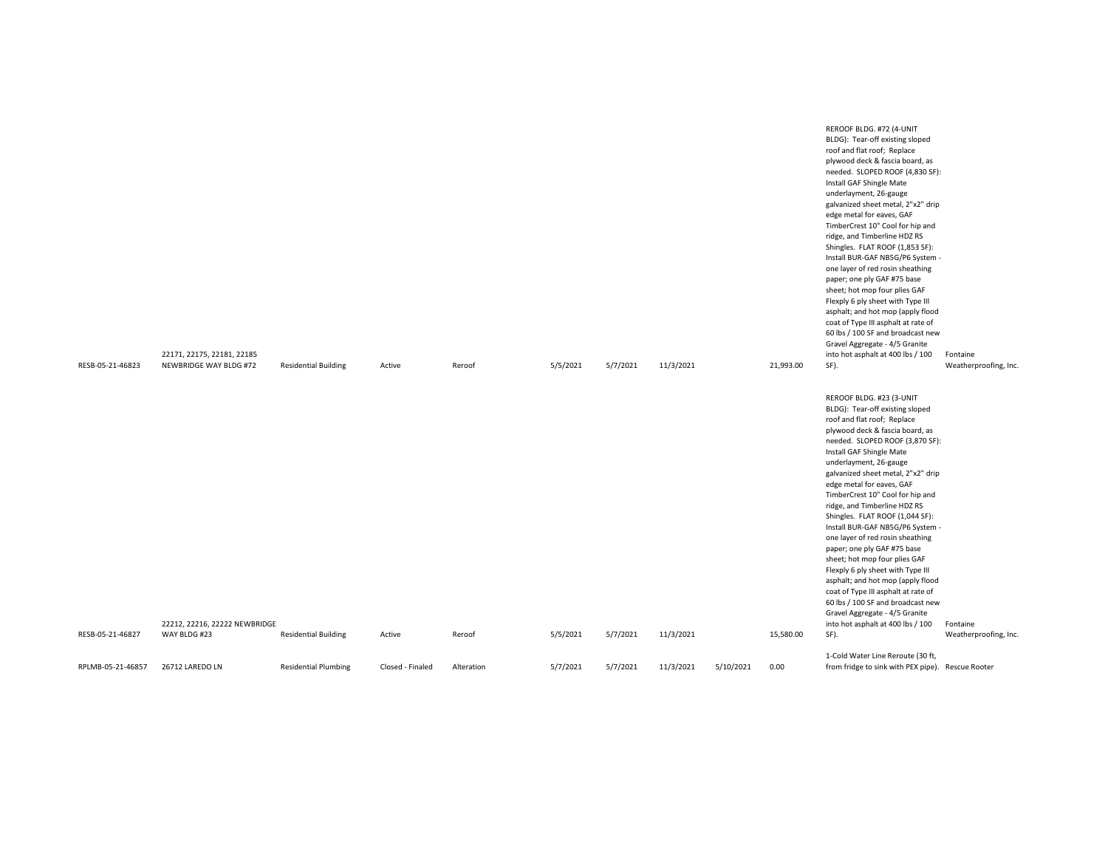| RESB-05-21-46823  | 22171, 22175, 22181, 22185<br>NEWBRIDGE WAY BLDG #72 | <b>Residential Building</b> | Active           | Reroof     | 5/5/2021 | 5/7/2021 | 11/3/2021 |           | 21,993.00 | REROOF BLDG. #72 (4-UNIT<br>BLDG): Tear-off existing sloped<br>roof and flat roof; Replace<br>plywood deck & fascia board, as<br>needed. SLOPED ROOF (4,830 SF):<br>Install GAF Shingle Mate<br>underlayment, 26-gauge<br>galvanized sheet metal, 2"x2" drip<br>edge metal for eaves, GAF<br>TimberCrest 10" Cool for hip and<br>ridge, and Timberline HDZ RS<br>Shingles. FLAT ROOF (1,853 SF):<br>Install BUR-GAF NB5G/P6 System -<br>one layer of red rosin sheathing<br>paper; one ply GAF #75 base<br>sheet; hot mop four plies GAF<br>Flexply 6 ply sheet with Type III<br>asphalt; and hot mop (apply flood<br>coat of Type III asphalt at rate of<br>60 lbs / 100 SF and broadcast new<br>Gravel Aggregate - 4/5 Granite<br>into hot asphalt at 400 lbs / 100<br>SF). | Fontaine<br>Weatherproofing, Inc. |
|-------------------|------------------------------------------------------|-----------------------------|------------------|------------|----------|----------|-----------|-----------|-----------|-------------------------------------------------------------------------------------------------------------------------------------------------------------------------------------------------------------------------------------------------------------------------------------------------------------------------------------------------------------------------------------------------------------------------------------------------------------------------------------------------------------------------------------------------------------------------------------------------------------------------------------------------------------------------------------------------------------------------------------------------------------------------------|-----------------------------------|
|                   |                                                      |                             |                  |            |          |          |           |           |           | REROOF BLDG. #23 (3-UNIT<br>BLDG): Tear-off existing sloped<br>roof and flat roof; Replace                                                                                                                                                                                                                                                                                                                                                                                                                                                                                                                                                                                                                                                                                    |                                   |
|                   |                                                      |                             |                  |            |          |          |           |           |           | plywood deck & fascia board, as<br>needed. SLOPED ROOF (3,870 SF):<br>Install GAF Shingle Mate                                                                                                                                                                                                                                                                                                                                                                                                                                                                                                                                                                                                                                                                                |                                   |
|                   |                                                      |                             |                  |            |          |          |           |           |           | underlayment, 26-gauge<br>galvanized sheet metal, 2"x2" drip                                                                                                                                                                                                                                                                                                                                                                                                                                                                                                                                                                                                                                                                                                                  |                                   |
|                   |                                                      |                             |                  |            |          |          |           |           |           | edge metal for eaves, GAF<br>TimberCrest 10" Cool for hip and<br>ridge, and Timberline HDZ RS                                                                                                                                                                                                                                                                                                                                                                                                                                                                                                                                                                                                                                                                                 |                                   |
|                   |                                                      |                             |                  |            |          |          |           |           |           | Shingles. FLAT ROOF (1,044 SF):<br>Install BUR-GAF NB5G/P6 System -                                                                                                                                                                                                                                                                                                                                                                                                                                                                                                                                                                                                                                                                                                           |                                   |
|                   |                                                      |                             |                  |            |          |          |           |           |           | one layer of red rosin sheathing<br>paper; one ply GAF #75 base                                                                                                                                                                                                                                                                                                                                                                                                                                                                                                                                                                                                                                                                                                               |                                   |
|                   |                                                      |                             |                  |            |          |          |           |           |           | sheet; hot mop four plies GAF<br>Flexply 6 ply sheet with Type III                                                                                                                                                                                                                                                                                                                                                                                                                                                                                                                                                                                                                                                                                                            |                                   |
|                   |                                                      |                             |                  |            |          |          |           |           |           | asphalt; and hot mop (apply flood<br>coat of Type III asphalt at rate of<br>60 lbs / 100 SF and broadcast new                                                                                                                                                                                                                                                                                                                                                                                                                                                                                                                                                                                                                                                                 |                                   |
|                   | 22212, 22216, 22222 NEWBRIDGE                        |                             |                  |            |          |          |           |           |           | Gravel Aggregate - 4/5 Granite<br>into hot asphalt at 400 lbs / 100                                                                                                                                                                                                                                                                                                                                                                                                                                                                                                                                                                                                                                                                                                           | Fontaine                          |
| RESB-05-21-46827  | WAY BLDG #23                                         | <b>Residential Building</b> | Active           | Reroof     | 5/5/2021 | 5/7/2021 | 11/3/2021 |           | 15,580.00 | SF).                                                                                                                                                                                                                                                                                                                                                                                                                                                                                                                                                                                                                                                                                                                                                                          | Weatherproofing, Inc.             |
| RPLMB-05-21-46857 | 26712 LAREDO LN                                      | <b>Residential Plumbing</b> | Closed - Finaled | Alteration | 5/7/2021 | 5/7/2021 | 11/3/2021 | 5/10/2021 | 0.00      | 1-Cold Water Line Reroute (30 ft,<br>from fridge to sink with PEX pipe). Rescue Rooter                                                                                                                                                                                                                                                                                                                                                                                                                                                                                                                                                                                                                                                                                        |                                   |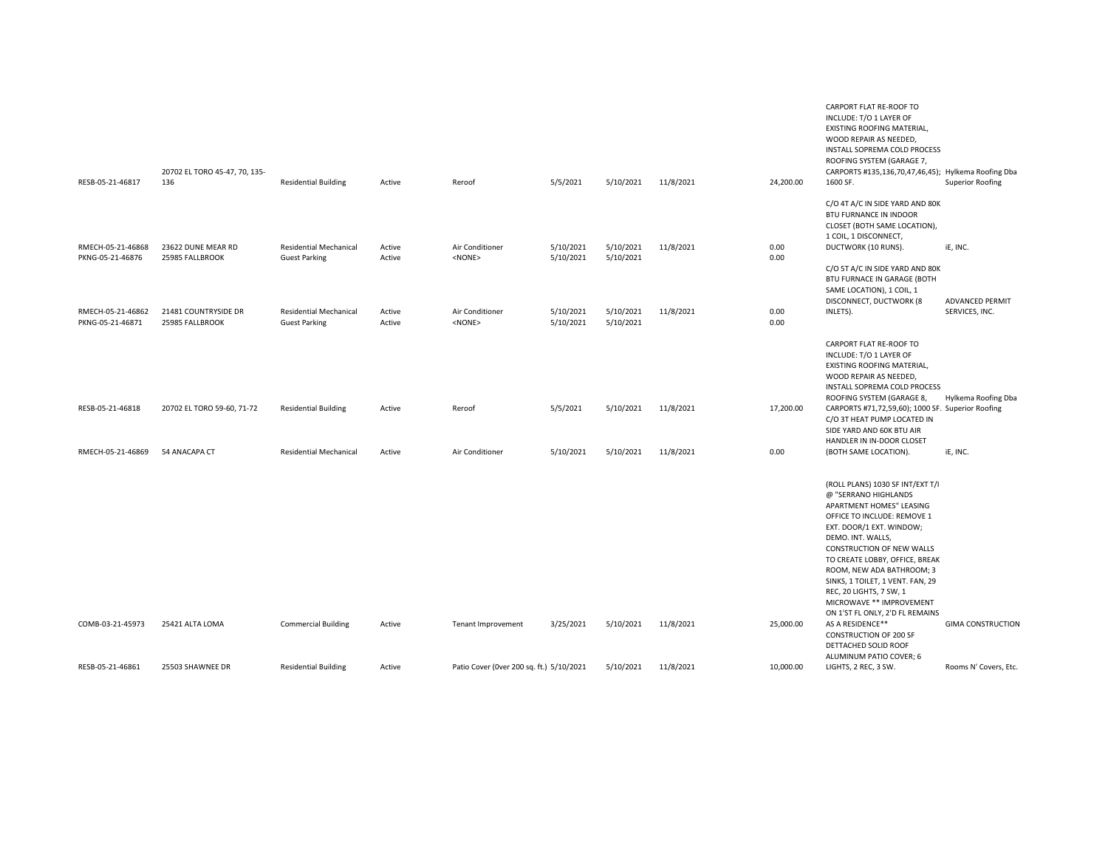|                                       | 20702 EL TORO 45-47, 70, 135-           |                                                       |                  |                                          |                        |                        |           |              | EXISTING ROOFING MATERIAL,<br>WOOD REPAIR AS NEEDED,<br>INSTALL SOPREMA COLD PROCESS<br>ROOFING SYSTEM (GARAGE 7,<br>CARPORTS #135,136,70,47,46,45); Hylkema Roofing Dba                                                                                                                                                                                                                       |                          |
|---------------------------------------|-----------------------------------------|-------------------------------------------------------|------------------|------------------------------------------|------------------------|------------------------|-----------|--------------|------------------------------------------------------------------------------------------------------------------------------------------------------------------------------------------------------------------------------------------------------------------------------------------------------------------------------------------------------------------------------------------------|--------------------------|
| RESB-05-21-46817                      | 136                                     | <b>Residential Building</b>                           | Active           | Reroof                                   | 5/5/2021               | 5/10/2021              | 11/8/2021 | 24,200.00    | 1600 SF.                                                                                                                                                                                                                                                                                                                                                                                       | <b>Superior Roofing</b>  |
|                                       |                                         |                                                       |                  |                                          |                        |                        |           |              | C/O 4T A/C IN SIDE YARD AND 80K<br><b>BTU FURNANCE IN INDOOR</b><br>CLOSET (BOTH SAME LOCATION),<br>1 COIL, 1 DISCONNECT,                                                                                                                                                                                                                                                                      |                          |
| RMECH-05-21-46868<br>PKNG-05-21-46876 | 23622 DUNE MEAR RD<br>25985 FALLBROOK   | <b>Residential Mechanical</b><br><b>Guest Parking</b> | Active<br>Active | Air Conditioner<br><none></none>         | 5/10/2021<br>5/10/2021 | 5/10/2021<br>5/10/2021 | 11/8/2021 | 0.00<br>0.00 | DUCTWORK (10 RUNS).                                                                                                                                                                                                                                                                                                                                                                            | iE, INC.                 |
|                                       |                                         |                                                       |                  |                                          |                        |                        |           |              | C/O 5T A/C IN SIDE YARD AND 80K<br>BTU FURNACE IN GARAGE (BOTH<br>SAME LOCATION), 1 COIL, 1<br>DISCONNECT, DUCTWORK (8                                                                                                                                                                                                                                                                         | <b>ADVANCED PERMIT</b>   |
| RMECH-05-21-46862<br>PKNG-05-21-46871 | 21481 COUNTRYSIDE DR<br>25985 FALLBROOK | <b>Residential Mechanical</b><br><b>Guest Parking</b> | Active<br>Active | Air Conditioner<br>$<$ NONE $>$          | 5/10/2021<br>5/10/2021 | 5/10/2021<br>5/10/2021 | 11/8/2021 | 0.00<br>0.00 | INLETS).                                                                                                                                                                                                                                                                                                                                                                                       | SERVICES, INC.           |
|                                       |                                         |                                                       |                  |                                          |                        |                        |           |              | CARPORT FLAT RE-ROOF TO<br>INCLUDE: T/O 1 LAYER OF<br>EXISTING ROOFING MATERIAL,<br>WOOD REPAIR AS NEEDED,<br>INSTALL SOPREMA COLD PROCESS<br>ROOFING SYSTEM (GARAGE 8,                                                                                                                                                                                                                        | Hylkema Roofing Dba      |
| RESB-05-21-46818                      | 20702 EL TORO 59-60, 71-72              | <b>Residential Building</b>                           | Active           | Reroof                                   | 5/5/2021               | 5/10/2021              | 11/8/2021 | 17,200.00    | CARPORTS #71,72,59,60); 1000 SF. Superior Roofing<br>C/O 3T HEAT PUMP LOCATED IN<br>SIDE YARD AND 60K BTU AIR<br>HANDLER IN IN-DOOR CLOSET                                                                                                                                                                                                                                                     |                          |
| RMECH-05-21-46869                     | 54 ANACAPA CT                           | <b>Residential Mechanical</b>                         | Active           | Air Conditioner                          | 5/10/2021              | 5/10/2021              | 11/8/2021 | 0.00         | (BOTH SAME LOCATION).                                                                                                                                                                                                                                                                                                                                                                          | iE, INC.                 |
|                                       |                                         |                                                       |                  |                                          |                        |                        |           |              | (ROLL PLANS) 1030 SF INT/EXT T/I<br>@ "SERRANO HIGHLANDS<br>APARTMENT HOMES" LEASING<br>OFFICE TO INCLUDE: REMOVE 1<br>EXT. DOOR/1 EXT. WINDOW;<br>DEMO. INT. WALLS,<br>CONSTRUCTION OF NEW WALLS<br>TO CREATE LOBBY, OFFICE, BREAK<br>ROOM, NEW ADA BATHROOM; 3<br>SINKS, 1 TOILET, 1 VENT. FAN, 29<br>REC, 20 LIGHTS, 7 SW, 1<br>MICROWAVE ** IMPROVEMENT<br>ON 1'ST FL ONLY, 2'D FL REMAINS |                          |
| COMB-03-21-45973                      | 25421 ALTA LOMA                         | <b>Commercial Building</b>                            | Active           | <b>Tenant Improvement</b>                | 3/25/2021              | 5/10/2021              | 11/8/2021 | 25,000.00    | AS A RESIDENCE**<br><b>CONSTRUCTION OF 200 SF</b><br>DETTACHED SOLID ROOF<br>ALUMINUM PATIO COVER; 6                                                                                                                                                                                                                                                                                           | <b>GIMA CONSTRUCTION</b> |
| RESB-05-21-46861                      | 25503 SHAWNEE DR                        | <b>Residential Building</b>                           | Active           | Patio Cover (Over 200 sq. ft.) 5/10/2021 |                        | 5/10/2021              | 11/8/2021 | 10,000.00    | LIGHTS, 2 REC, 3 SW.                                                                                                                                                                                                                                                                                                                                                                           | Rooms N' Covers, Etc.    |

CARPORT FLAT RE-ROOF TO INCLUDE: T/O 1 LAYER OF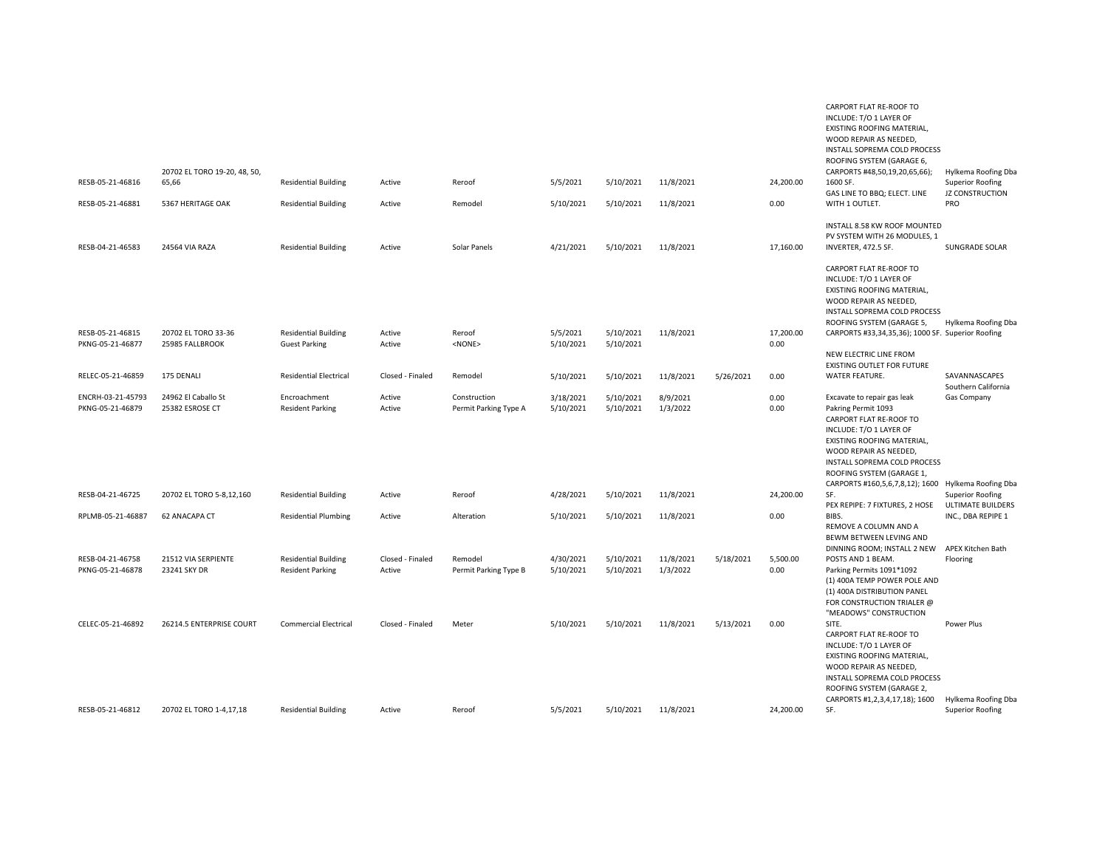| RESB-05-21-46816                      | 20702 EL TORO 19-20, 48, 50,<br>65,66  | <b>Residential Building</b>                            | Active                     | Reroof                                | 5/5/2021               | 5/10/2021              | 11/8/2021             |           | 24,200.00         | EXISTING ROOFING MATERIAL,<br>WOOD REPAIR AS NEEDED,<br>INSTALL SOPREMA COLD PROCESS<br>ROOFING SYSTEM (GARAGE 6,<br>CARPORTS #48,50,19,20,65,66);<br>1600 SF.<br>GAS LINE TO BBQ; ELECT. LINE                                | Hylkema Roofing Dba<br><b>Superior Roofing</b><br><b>JZ CONSTRUCTION</b> |
|---------------------------------------|----------------------------------------|--------------------------------------------------------|----------------------------|---------------------------------------|------------------------|------------------------|-----------------------|-----------|-------------------|-------------------------------------------------------------------------------------------------------------------------------------------------------------------------------------------------------------------------------|--------------------------------------------------------------------------|
| RESB-05-21-46881                      | 5367 HERITAGE OAK                      | <b>Residential Building</b>                            | Active                     | Remodel                               | 5/10/2021              | 5/10/2021              | 11/8/2021             |           | 0.00              | WITH 1 OUTLET.                                                                                                                                                                                                                | PRO                                                                      |
| RESB-04-21-46583                      | 24564 VIA RAZA                         | <b>Residential Building</b>                            | Active                     | Solar Panels                          | 4/21/2021              | 5/10/2021              | 11/8/2021             |           | 17,160.00         | INSTALL 8.58 KW ROOF MOUNTED<br>PV SYSTEM WITH 26 MODULES, 1<br>INVERTER, 472.5 SF.                                                                                                                                           | <b>SUNGRADE SOLAR</b>                                                    |
| RESB-05-21-46815<br>PKNG-05-21-46877  | 20702 EL TORO 33-36<br>25985 FALLBROOK | <b>Residential Building</b><br><b>Guest Parking</b>    | Active<br>Active           | Reroof<br><none></none>               | 5/5/2021<br>5/10/2021  | 5/10/2021<br>5/10/2021 | 11/8/2021             |           | 17,200.00<br>0.00 | CARPORT FLAT RE-ROOF TO<br>INCLUDE: T/O 1 LAYER OF<br>EXISTING ROOFING MATERIAL,<br>WOOD REPAIR AS NEEDED,<br>INSTALL SOPREMA COLD PROCESS<br>ROOFING SYSTEM (GARAGE 5,<br>CARPORTS #33,34,35,36); 1000 SF. Superior Roofing  | Hylkema Roofing Dba                                                      |
|                                       |                                        |                                                        |                            |                                       |                        |                        |                       |           |                   | NEW ELECTRIC LINE FROM                                                                                                                                                                                                        |                                                                          |
| RELEC-05-21-46859                     | 175 DENALI                             | <b>Residential Electrical</b>                          | Closed - Finaled           | Remodel                               | 5/10/2021              | 5/10/2021              | 11/8/2021             | 5/26/2021 | 0.00              | EXISTING OUTLET FOR FUTURE<br>WATER FEATURE.                                                                                                                                                                                  | SAVANNASCAPES<br>Southern California                                     |
| ENCRH-03-21-45793<br>PKNG-05-21-46879 | 24962 El Caballo St<br>25382 ESROSE CT | Encroachment<br><b>Resident Parking</b>                | Active<br>Active           | Construction<br>Permit Parking Type A | 3/18/2021<br>5/10/2021 | 5/10/2021<br>5/10/2021 | 8/9/2021<br>1/3/2022  |           | 0.00<br>0.00      | Excavate to repair gas leak<br>Pakring Permit 1093<br>CARPORT FLAT RE-ROOF TO<br>INCLUDE: T/O 1 LAYER OF<br>EXISTING ROOFING MATERIAL,<br>WOOD REPAIR AS NEEDED,<br>INSTALL SOPREMA COLD PROCESS<br>ROOFING SYSTEM (GARAGE 1, | Gas Company                                                              |
| RESB-04-21-46725                      | 20702 EL TORO 5-8,12,160               | <b>Residential Building</b>                            | Active                     | Reroof                                | 4/28/2021              | 5/10/2021              | 11/8/2021             |           | 24,200.00         | CARPORTS #160,5,6,7,8,12); 1600 Hylkema Roofing Dba<br>SF.                                                                                                                                                                    | <b>Superior Roofing</b>                                                  |
| RPLMB-05-21-46887                     | 62 ANACAPA CT                          | <b>Residential Plumbing</b>                            | Active                     | Alteration                            | 5/10/2021              | 5/10/2021              | 11/8/2021             |           | 0.00              | PEX REPIPE: 7 FIXTURES, 2 HOSE<br>BIBS.<br>REMOVE A COLUMN AND A<br>BEWM BETWEEN LEVING AND                                                                                                                                   | <b>ULTIMATE BUILDERS</b><br>INC., DBA REPIPE 1                           |
| RESB-04-21-46758<br>PKNG-05-21-46878  | 21512 VIA SERPIENTE<br>23241 SKY DR    | <b>Residential Building</b><br><b>Resident Parking</b> | Closed - Finaled<br>Active | Remodel<br>Permit Parking Type B      | 4/30/2021<br>5/10/2021 | 5/10/2021<br>5/10/2021 | 11/8/2021<br>1/3/2022 | 5/18/2021 | 5,500.00<br>0.00  | DINNING ROOM; INSTALL 2 NEW<br>POSTS AND 1 BEAM.<br>Parking Permits 1091*1092<br>(1) 400A TEMP POWER POLE AND<br>(1) 400A DISTRIBUTION PANEL<br>FOR CONSTRUCTION TRIALER @                                                    | APEX Kitchen Bath<br>Flooring                                            |
| CELEC-05-21-46892                     | 26214.5 ENTERPRISE COURT               | <b>Commercial Electrical</b>                           | Closed - Finaled           | Meter                                 | 5/10/2021              | 5/10/2021              | 11/8/2021             | 5/13/2021 | 0.00              | "MEADOWS" CONSTRUCTION<br>SITE.<br>CARPORT FLAT RE-ROOF TO<br>INCLUDE: T/O 1 LAYER OF<br>EXISTING ROOFING MATERIAL,<br>WOOD REPAIR AS NEEDED,<br>INSTALL SOPREMA COLD PROCESS<br>ROOFING SYSTEM (GARAGE 2,                    | Power Plus                                                               |
| RESB-05-21-46812                      | 20702 EL TORO 1-4,17,18                | <b>Residential Building</b>                            | Active                     | Reroof                                | 5/5/2021               | 5/10/2021              | 11/8/2021             |           | 24,200.00         | CARPORTS #1,2,3,4,17,18); 1600<br>SF.                                                                                                                                                                                         | Hylkema Roofing Dba<br><b>Superior Roofing</b>                           |

CARPORT FLAT RE-ROOF TO INCLUDE: T/O 1 LAYER OF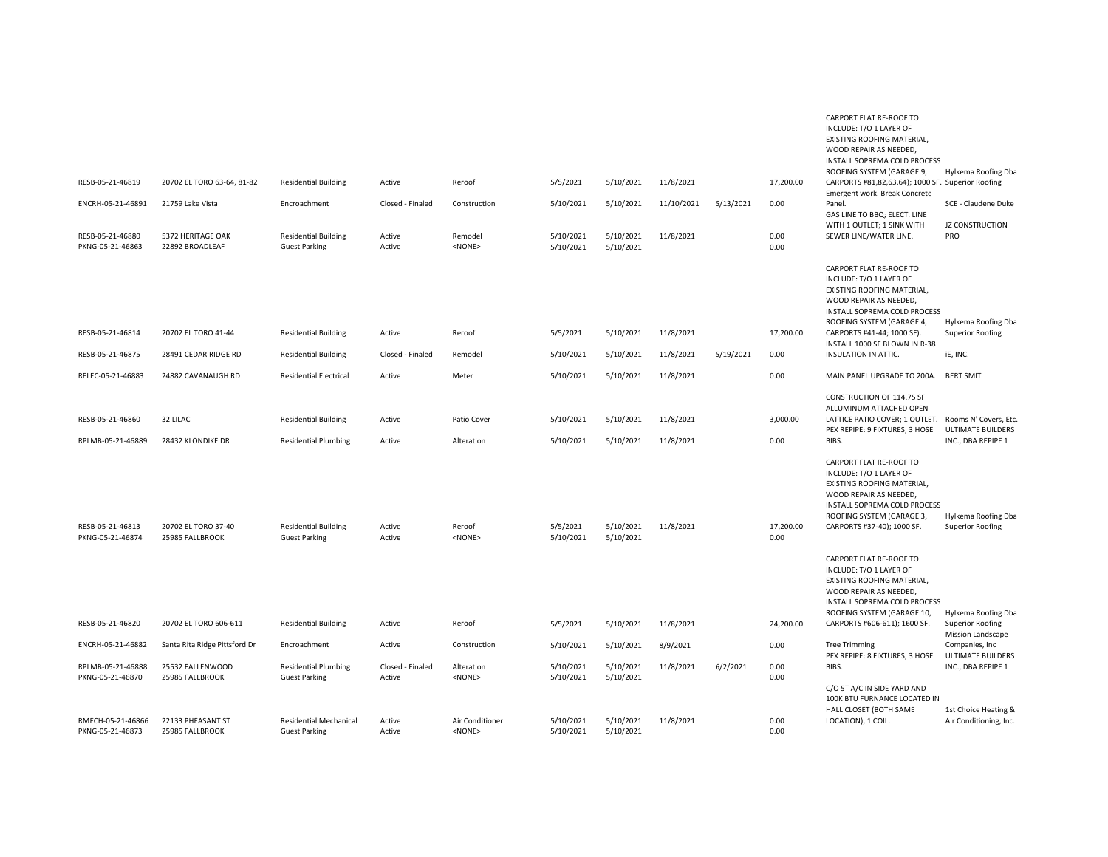|                                       |                                        |                                                            |                            |                                 |                        |                        |                        |           |                   | INCLUDE: T/O 1 LAYER OF<br>EXISTING ROOFING MATERIAL,<br>WOOD REPAIR AS NEEDED,<br>INSTALL SOPREMA COLD PROCESS<br>ROOFING SYSTEM (GARAGE 9,                                                          | Hylkema Roofing Dba                            |
|---------------------------------------|----------------------------------------|------------------------------------------------------------|----------------------------|---------------------------------|------------------------|------------------------|------------------------|-----------|-------------------|-------------------------------------------------------------------------------------------------------------------------------------------------------------------------------------------------------|------------------------------------------------|
| RESB-05-21-46819                      | 20702 EL TORO 63-64, 81-82             | <b>Residential Building</b>                                | Active                     | Reroof                          | 5/5/2021               | 5/10/2021              | 11/8/2021              |           | 17,200.00         | CARPORTS #81,82,63,64); 1000 SF. Superior Roofing<br>Emergent work. Break Concrete                                                                                                                    |                                                |
| ENCRH-05-21-46891                     | 21759 Lake Vista                       | Encroachment                                               | Closed - Finaled           | Construction                    | 5/10/2021              | 5/10/2021              | 11/10/2021             | 5/13/2021 | 0.00              | Panel.<br>GAS LINE TO BBQ; ELECT. LINE                                                                                                                                                                | SCE - Claudene Duke                            |
| RESB-05-21-46880<br>PKNG-05-21-46863  | 5372 HERITAGE OAK<br>22892 BROADLEAF   | <b>Residential Building</b><br><b>Guest Parking</b>        | Active<br>Active           | Remodel<br>$<$ NONE $>$         | 5/10/2021<br>5/10/2021 | 5/10/2021<br>5/10/2021 | 11/8/2021              |           | 0.00<br>0.00      | WITH 1 OUTLET; 1 SINK WITH<br>SEWER LINE/WATER LINE.                                                                                                                                                  | JZ CONSTRUCTION<br>PRO                         |
|                                       |                                        |                                                            |                            |                                 |                        |                        |                        |           |                   | CARPORT FLAT RE-ROOF TO<br>INCLUDE: T/O 1 LAYER OF<br>EXISTING ROOFING MATERIAL,<br>WOOD REPAIR AS NEEDED,<br>INSTALL SOPREMA COLD PROCESS<br>ROOFING SYSTEM (GARAGE 4,                               | Hylkema Roofing Dba                            |
| RESB-05-21-46814                      | 20702 EL TORO 41-44                    | <b>Residential Building</b>                                | Active                     | Reroof                          | 5/5/2021               | 5/10/2021              | 11/8/2021              |           | 17,200.00         | CARPORTS #41-44; 1000 SF).<br>INSTALL 1000 SF BLOWN IN R-38                                                                                                                                           | <b>Superior Roofing</b>                        |
| RESB-05-21-46875                      | 28491 CEDAR RIDGE RD                   | <b>Residential Building</b>                                | Closed - Finaled           | Remodel                         | 5/10/2021              | 5/10/2021              | 11/8/2021              | 5/19/2021 | 0.00              | INSULATION IN ATTIC.                                                                                                                                                                                  | iE, INC.                                       |
| RELEC-05-21-46883                     | 24882 CAVANAUGH RD                     | <b>Residential Electrical</b>                              | Active                     | Meter                           | 5/10/2021              | 5/10/2021              | 11/8/2021              |           | 0.00              | MAIN PANEL UPGRADE TO 200A.                                                                                                                                                                           | <b>BERT SMIT</b>                               |
| RESB-05-21-46860<br>RPLMB-05-21-46889 | 32 LILAC<br>28432 KLONDIKE DR          | <b>Residential Building</b><br><b>Residential Plumbing</b> | Active<br>Active           | Patio Cover<br>Alteration       | 5/10/2021<br>5/10/2021 | 5/10/2021<br>5/10/2021 | 11/8/2021<br>11/8/2021 |           | 3,000.00<br>0.00  | CONSTRUCTION OF 114.75 SF<br>ALLUMINUM ATTACHED OPEN<br>LATTICE PATIO COVER; 1 OUTLET. Rooms N' Covers, Etc.<br>PEX REPIPE: 9 FIXTURES, 3 HOSE<br>BIBS.                                               | <b>ULTIMATE BUILDERS</b><br>INC., DBA REPIPE 1 |
| RESB-05-21-46813<br>PKNG-05-21-46874  | 20702 EL TORO 37-40<br>25985 FALLBROOK | <b>Residential Building</b><br><b>Guest Parking</b>        | Active<br>Active           | Reroof<br><none></none>         | 5/5/2021<br>5/10/2021  | 5/10/2021<br>5/10/2021 | 11/8/2021              |           | 17,200.00<br>0.00 | CARPORT FLAT RE-ROOF TO<br>INCLUDE: T/O 1 LAYER OF<br>EXISTING ROOFING MATERIAL,<br>WOOD REPAIR AS NEEDED,<br>INSTALL SOPREMA COLD PROCESS<br>ROOFING SYSTEM (GARAGE 3,<br>CARPORTS #37-40); 1000 SF. | Hylkema Roofing Dba<br><b>Superior Roofing</b> |
|                                       |                                        |                                                            |                            |                                 |                        |                        |                        |           |                   | CARPORT FLAT RE-ROOF TO<br>INCLUDE: T/O 1 LAYER OF<br>EXISTING ROOFING MATERIAL,<br>WOOD REPAIR AS NEEDED,<br>INSTALL SOPREMA COLD PROCESS<br>ROOFING SYSTEM (GARAGE 10,                              | Hylkema Roofing Dba                            |
| RESB-05-21-46820                      | 20702 EL TORO 606-611                  | <b>Residential Building</b>                                | Active                     | Reroof                          | 5/5/2021               | 5/10/2021              | 11/8/2021              |           | 24,200.00         | CARPORTS #606-611); 1600 SF.                                                                                                                                                                          | <b>Superior Roofing</b><br>Mission Landscape   |
| ENCRH-05-21-46882                     | Santa Rita Ridge Pittsford Dr          | Encroachment                                               | Active                     | Construction                    | 5/10/2021              | 5/10/2021              | 8/9/2021               |           | 0.00              | <b>Tree Trimming</b><br>PEX REPIPE: 8 FIXTURES, 3 HOSE                                                                                                                                                | Companies, Inc.<br><b>ULTIMATE BUILDERS</b>    |
| RPLMB-05-21-46888<br>PKNG-05-21-46870 | 25532 FALLENWOOD<br>25985 FALLBROOK    | <b>Residential Plumbing</b><br><b>Guest Parking</b>        | Closed - Finaled<br>Active | Alteration<br>$<$ NONE $>$      | 5/10/2021<br>5/10/2021 | 5/10/2021<br>5/10/2021 | 11/8/2021              | 6/2/2021  | 0.00<br>0.00      | BIBS.                                                                                                                                                                                                 | INC., DBA REPIPE 1                             |
|                                       |                                        |                                                            |                            |                                 |                        |                        |                        |           |                   | C/O 5T A/C IN SIDE YARD AND<br>100K BTU FURNANCE LOCATED IN<br>HALL CLOSET (BOTH SAME                                                                                                                 | 1st Choice Heating &                           |
| RMECH-05-21-46866<br>PKNG-05-21-46873 | 22133 PHEASANT ST<br>25985 FALLBROOK   | <b>Residential Mechanical</b><br><b>Guest Parking</b>      | Active<br>Active           | Air Conditioner<br>$<$ NONE $>$ | 5/10/2021<br>5/10/2021 | 5/10/2021<br>5/10/2021 | 11/8/2021              |           | 0.00<br>0.00      | LOCATION), 1 COIL.                                                                                                                                                                                    | Air Conditioning, Inc.                         |

CARPORT FLAT RE-ROOF TO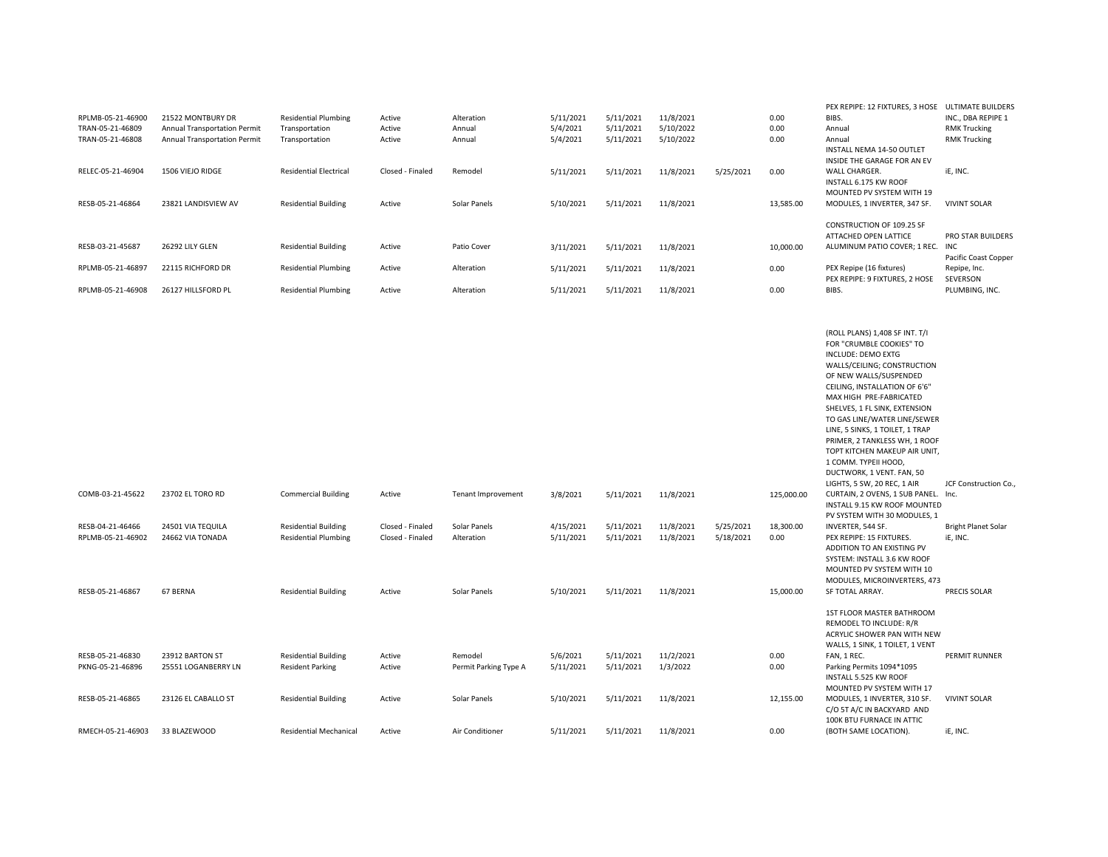| RPLMB-05-21-46900                     | 21522 MONTBURY DR                                            | <b>Residential Plumbing</b>                                | Active                               | Alteration                       | 5/11/2021              | 5/11/2021              | 11/8/2021              |                        | 0.00              | PEX REPIPE: 12 FIXTURES, 3 HOSE ULTIMATE BUILDERS<br>BIBS.                                                                                                                                                                                                                                                                                                                                                                                                             | INC., DBA REPIPE 1                         |
|---------------------------------------|--------------------------------------------------------------|------------------------------------------------------------|--------------------------------------|----------------------------------|------------------------|------------------------|------------------------|------------------------|-------------------|------------------------------------------------------------------------------------------------------------------------------------------------------------------------------------------------------------------------------------------------------------------------------------------------------------------------------------------------------------------------------------------------------------------------------------------------------------------------|--------------------------------------------|
| TRAN-05-21-46809<br>TRAN-05-21-46808  | Annual Transportation Permit<br>Annual Transportation Permit | Transportation<br>Transportation                           | Active<br>Active                     | Annual<br>Annual                 | 5/4/2021<br>5/4/2021   | 5/11/2021<br>5/11/2021 | 5/10/2022<br>5/10/2022 |                        | 0.00<br>0.00      | Annual<br>Annual<br>INSTALL NEMA 14-50 OUTLET<br>INSIDE THE GARAGE FOR AN EV                                                                                                                                                                                                                                                                                                                                                                                           | <b>RMK Trucking</b><br><b>RMK Trucking</b> |
| RELEC-05-21-46904                     | 1506 VIEJO RIDGE                                             | <b>Residential Electrical</b>                              | Closed - Finaled                     | Remodel                          | 5/11/2021              | 5/11/2021              | 11/8/2021              | 5/25/2021              | 0.00              | WALL CHARGER.<br>INSTALL 6.175 KW ROOF<br>MOUNTED PV SYSTEM WITH 19                                                                                                                                                                                                                                                                                                                                                                                                    | iE, INC.                                   |
| RESB-05-21-46864                      | 23821 LANDISVIEW AV                                          | <b>Residential Building</b>                                | Active                               | Solar Panels                     | 5/10/2021              | 5/11/2021              | 11/8/2021              |                        | 13,585.00         | MODULES, 1 INVERTER, 347 SF.                                                                                                                                                                                                                                                                                                                                                                                                                                           | <b>VIVINT SOLAR</b>                        |
| RESB-03-21-45687                      | 26292 LILY GLEN                                              | <b>Residential Building</b>                                | Active                               | Patio Cover                      | 3/11/2021              | 5/11/2021              | 11/8/2021              |                        | 10,000.00         | CONSTRUCTION OF 109.25 SF<br>ATTACHED OPEN LATTICE<br>ALUMINUM PATIO COVER; 1 REC.                                                                                                                                                                                                                                                                                                                                                                                     | <b>PRO STAR BUILDERS</b><br><b>INC</b>     |
| RPLMB-05-21-46897                     | 22115 RICHFORD DR                                            | <b>Residential Plumbing</b>                                | Active                               | Alteration                       | 5/11/2021              | 5/11/2021              | 11/8/2021              |                        | 0.00              | PEX Repipe (16 fixtures)                                                                                                                                                                                                                                                                                                                                                                                                                                               | Pacific Coast Copper<br>Repipe, Inc.       |
| RPLMB-05-21-46908                     | 26127 HILLSFORD PL                                           | <b>Residential Plumbing</b>                                | Active                               |                                  |                        | 5/11/2021              | 11/8/2021              |                        | 0.00              | PEX REPIPE: 9 FIXTURES, 2 HOSE<br>BIBS.                                                                                                                                                                                                                                                                                                                                                                                                                                | SEVERSON<br>PLUMBING, INC.                 |
|                                       |                                                              |                                                            |                                      | Alteration                       | 5/11/2021              |                        |                        |                        |                   |                                                                                                                                                                                                                                                                                                                                                                                                                                                                        |                                            |
|                                       |                                                              |                                                            |                                      |                                  |                        |                        |                        |                        |                   | (ROLL PLANS) 1,408 SF INT. T/I<br>FOR "CRUMBLE COOKIES" TO<br><b>INCLUDE: DEMO EXTG</b><br>WALLS/CEILING; CONSTRUCTION<br>OF NEW WALLS/SUSPENDED<br>CEILING, INSTALLATION OF 6'6"<br>MAX HIGH PRE-FABRICATED<br>SHELVES, 1 FL SINK, EXTENSION<br>TO GAS LINE/WATER LINE/SEWER<br>LINE, 5 SINKS, 1 TOILET, 1 TRAP<br>PRIMER, 2 TANKLESS WH, 1 ROOF<br>TOPT KITCHEN MAKEUP AIR UNIT,<br>1 COMM. TYPEII HOOD,<br>DUCTWORK, 1 VENT. FAN, 50<br>LIGHTS, 5 SW, 20 REC, 1 AIR | JCF Construction Co.,                      |
| COMB-03-21-45622                      | 23702 EL TORO RD                                             | <b>Commercial Building</b>                                 | Active                               | Tenant Improvement               | 3/8/2021               | 5/11/2021              | 11/8/2021              |                        | 125,000.00        | CURTAIN, 2 OVENS, 1 SUB PANEL. Inc.<br>INSTALL 9.15 KW ROOF MOUNTED<br>PV SYSTEM WITH 30 MODULES, 1                                                                                                                                                                                                                                                                                                                                                                    |                                            |
| RESB-04-21-46466<br>RPLMB-05-21-46902 | 24501 VIA TEQUILA<br>24662 VIA TONADA                        | <b>Residential Building</b><br><b>Residential Plumbing</b> | Closed - Finaled<br>Closed - Finaled | Solar Panels<br>Alteration       | 4/15/2021<br>5/11/2021 | 5/11/2021<br>5/11/2021 | 11/8/2021<br>11/8/2021 | 5/25/2021<br>5/18/2021 | 18,300.00<br>0.00 | INVERTER, 544 SF.<br>PEX REPIPE: 15 FIXTURES.<br>ADDITION TO AN EXISTING PV<br>SYSTEM: INSTALL 3.6 KW ROOF<br>MOUNTED PV SYSTEM WITH 10<br>MODULES, MICROINVERTERS, 473                                                                                                                                                                                                                                                                                                | <b>Bright Planet Solar</b><br>iE, INC.     |
| RESB-05-21-46867                      | 67 BERNA                                                     | <b>Residential Building</b>                                | Active                               | Solar Panels                     | 5/10/2021              | 5/11/2021              | 11/8/2021              |                        | 15,000.00         | SF TOTAL ARRAY.                                                                                                                                                                                                                                                                                                                                                                                                                                                        | PRECIS SOLAR                               |
| RESB-05-21-46830<br>PKNG-05-21-46896  | 23912 BARTON ST<br>25551 LOGANBERRY LN                       | <b>Residential Building</b><br><b>Resident Parking</b>     | Active<br>Active                     | Remodel<br>Permit Parking Type A | 5/6/2021<br>5/11/2021  | 5/11/2021<br>5/11/2021 | 11/2/2021<br>1/3/2022  |                        | 0.00<br>0.00      | 1ST FLOOR MASTER BATHROOM<br>REMODEL TO INCLUDE: R/R<br>ACRYLIC SHOWER PAN WITH NEW<br>WALLS, 1 SINK, 1 TOILET, 1 VENT<br>FAN, 1 REC.<br>Parking Permits 1094*1095<br>INSTALL 5.525 KW ROOF                                                                                                                                                                                                                                                                            | PERMIT RUNNER                              |
| RESB-05-21-46865                      | 23126 EL CABALLO ST                                          | <b>Residential Building</b>                                | Active                               | Solar Panels                     | 5/10/2021              | 5/11/2021              | 11/8/2021              |                        | 12,155.00         | MOUNTED PV SYSTEM WITH 17<br>MODULES, 1 INVERTER, 310 SF.<br>C/O 5T A/C IN BACKYARD AND<br>100K BTU FURNACE IN ATTIC                                                                                                                                                                                                                                                                                                                                                   | <b>VIVINT SOLAR</b>                        |
| RMECH-05-21-46903                     | 33 BLAZEWOOD                                                 | <b>Residential Mechanical</b>                              | Active                               | Air Conditioner                  | 5/11/2021              | 5/11/2021              | 11/8/2021              |                        | 0.00              | (BOTH SAME LOCATION).                                                                                                                                                                                                                                                                                                                                                                                                                                                  | iE, INC.                                   |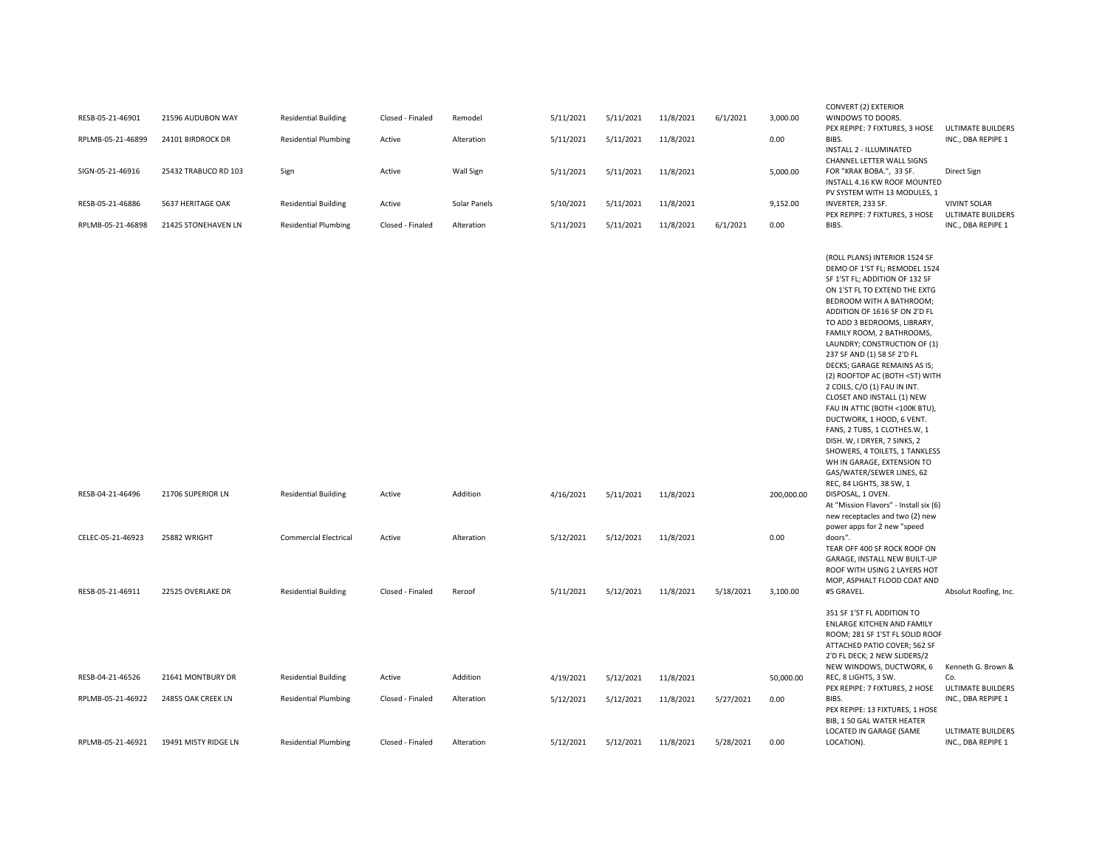| RESB-05-21-46901                                          | 21596 AUDUBON WAY                                      | <b>Residential Building</b>                                                                | Closed - Finaled                     | Remodel                          | 5/11/2021                           | 5/11/2021                           | 11/8/2021                           | 6/1/2021  | 3,000.00                       | WINDOWS TO DOORS.                                                                                                                                                                                                                                                                                                                                                                                                                                                                                                                                                                                                                                                                                                                                                                                                                                                                                                                                                                                          |                                                 |
|-----------------------------------------------------------|--------------------------------------------------------|--------------------------------------------------------------------------------------------|--------------------------------------|----------------------------------|-------------------------------------|-------------------------------------|-------------------------------------|-----------|--------------------------------|------------------------------------------------------------------------------------------------------------------------------------------------------------------------------------------------------------------------------------------------------------------------------------------------------------------------------------------------------------------------------------------------------------------------------------------------------------------------------------------------------------------------------------------------------------------------------------------------------------------------------------------------------------------------------------------------------------------------------------------------------------------------------------------------------------------------------------------------------------------------------------------------------------------------------------------------------------------------------------------------------------|-------------------------------------------------|
| RPLMB-05-21-46899                                         | 24101 BIRDROCK DR                                      | <b>Residential Plumbing</b>                                                                | Active                               | Alteration                       | 5/11/2021                           | 5/11/2021                           | 11/8/2021                           |           | 0.00                           | PEX REPIPE: 7 FIXTURES, 3 HOSE<br>BIBS.<br><b>INSTALL 2 - ILLUMINATED</b>                                                                                                                                                                                                                                                                                                                                                                                                                                                                                                                                                                                                                                                                                                                                                                                                                                                                                                                                  | ULTIMATE BUILDERS<br>INC., DBA REPIPE 1         |
| SIGN-05-21-46916                                          | 25432 TRABUCO RD 103                                   | Sign                                                                                       | Active                               | Wall Sign                        | 5/11/2021                           | 5/11/2021                           | 11/8/2021                           |           | 5,000.00                       | CHANNEL LETTER WALL SIGNS<br>FOR "KRAK BOBA.", 33 SF.<br>INSTALL 4.16 KW ROOF MOUNTED                                                                                                                                                                                                                                                                                                                                                                                                                                                                                                                                                                                                                                                                                                                                                                                                                                                                                                                      | Direct Sign                                     |
| RESB-05-21-46886                                          | 5637 HERITAGE OAK                                      | <b>Residential Building</b>                                                                | Active                               | Solar Panels                     | 5/10/2021                           | 5/11/2021                           | 11/8/2021                           |           | 9,152.00                       | PV SYSTEM WITH 13 MODULES, 1<br>INVERTER, 233 SF.<br>PEX REPIPE: 7 FIXTURES, 3 HOSE                                                                                                                                                                                                                                                                                                                                                                                                                                                                                                                                                                                                                                                                                                                                                                                                                                                                                                                        | <b>VIVINT SOLAR</b><br><b>ULTIMATE BUILDERS</b> |
| RPLMB-05-21-46898                                         | 21425 STONEHAVEN LN                                    | <b>Residential Plumbing</b>                                                                | Closed - Finaled                     | Alteration                       | 5/11/2021                           | 5/11/2021                           | 11/8/2021                           | 6/1/2021  | 0.00                           | BIBS.                                                                                                                                                                                                                                                                                                                                                                                                                                                                                                                                                                                                                                                                                                                                                                                                                                                                                                                                                                                                      | INC., DBA REPIPE 1                              |
| RESB-04-21-46496<br>CELEC-05-21-46923<br>RESB-05-21-46911 | 21706 SUPERIOR LN<br>25882 WRIGHT<br>22525 OVERLAKE DR | <b>Residential Building</b><br><b>Commercial Electrical</b><br><b>Residential Building</b> | Active<br>Active<br>Closed - Finaled | Addition<br>Alteration<br>Reroof | 4/16/2021<br>5/12/2021<br>5/11/2021 | 5/11/2021<br>5/12/2021<br>5/12/2021 | 11/8/2021<br>11/8/2021<br>11/8/2021 | 5/18/2021 | 200,000.00<br>0.00<br>3,100.00 | (ROLL PLANS) INTERIOR 1524 SF<br>DEMO OF 1'ST FL; REMODEL 1524<br>SF 1'ST FL; ADDITION OF 132 SF<br>ON 1'ST FL TO EXTEND THE EXTG<br>BEDROOM WITH A BATHROOM;<br>ADDITION OF 1616 SF ON 2'D FL<br>TO ADD 3 BEDROOMS, LIBRARY,<br>FAMILY ROOM, 2 BATHROOMS,<br>LAUNDRY; CONSTRUCTION OF (1)<br>237 SF AND (1) 58 SF 2'D FL<br>DECKS; GARAGE REMAINS AS IS;<br>(2) ROOFTOP AC (BOTH <5T) WITH<br>2 COILS, C/O (1) FAU IN INT.<br>CLOSET AND INSTALL (1) NEW<br>FAU IN ATTIC (BOTH <100K BTU),<br>DUCTWORK, 1 HOOD, 6 VENT.<br>FANS, 2 TUBS, 1 CLOTHES.W, 1<br>DISH. W, I DRYER, 7 SINKS, 2<br>SHOWERS, 4 TOILETS, 1 TANKLESS<br>WH IN GARAGE, EXTENSION TO<br>GAS/WATER/SEWER LINES, 62<br>REC, 84 LIGHTS, 38 SW, 1<br>DISPOSAL, 1 OVEN.<br>At "Mission Flavors" - Install six (6)<br>new receptacles and two (2) new<br>power apps for 2 new "speed<br>doors".<br>TEAR OFF 400 SF ROCK ROOF ON<br>GARAGE, INSTALL NEW BUILT-UP<br>ROOF WITH USING 2 LAYERS HOT<br>MOP, ASPHALT FLOOD COAT AND<br>#5 GRAVEL. | Absolut Roofing, Inc.                           |
|                                                           |                                                        |                                                                                            |                                      |                                  |                                     |                                     |                                     |           |                                | 351 SF 1'ST FL ADDITION TO<br>ENLARGE KITCHEN AND FAMILY<br>ROOM; 281 SF 1'ST FL SOLID ROOF<br>ATTACHED PATIO COVER; 562 SF<br>2'D FL DECK; 2 NEW SLIDERS/2                                                                                                                                                                                                                                                                                                                                                                                                                                                                                                                                                                                                                                                                                                                                                                                                                                                |                                                 |
| RESB-04-21-46526                                          | 21641 MONTBURY DR                                      | <b>Residential Building</b>                                                                | Active                               | Addition                         | 4/19/2021                           | 5/12/2021                           | 11/8/2021                           |           | 50,000.00                      | NEW WINDOWS, DUCTWORK, 6<br>REC, 8 LIGHTS, 3 SW.                                                                                                                                                                                                                                                                                                                                                                                                                                                                                                                                                                                                                                                                                                                                                                                                                                                                                                                                                           | Kenneth G. Brown &<br>Co.                       |
|                                                           |                                                        |                                                                                            |                                      |                                  |                                     |                                     |                                     |           |                                | PEX REPIPE: 7 FIXTURES, 2 HOSE                                                                                                                                                                                                                                                                                                                                                                                                                                                                                                                                                                                                                                                                                                                                                                                                                                                                                                                                                                             | <b>ULTIMATE BUILDERS</b>                        |
| RPLMB-05-21-46922                                         | 24855 OAK CREEK LN                                     | <b>Residential Plumbing</b>                                                                | Closed - Finaled                     | Alteration                       | 5/12/2021                           | 5/12/2021                           | 11/8/2021                           | 5/27/2021 | 0.00                           | BIBS.<br>PEX REPIPE: 13 FIXTURES, 1 HOSE<br>BIB, 1 50 GAL WATER HEATER<br>LOCATED IN GARAGE (SAME                                                                                                                                                                                                                                                                                                                                                                                                                                                                                                                                                                                                                                                                                                                                                                                                                                                                                                          | INC., DBA REPIPE 1<br><b>ULTIMATE BUILDERS</b>  |
| RPLMB-05-21-46921                                         | 19491 MISTY RIDGE LN                                   | <b>Residential Plumbing</b>                                                                | Closed - Finaled                     | Alteration                       | 5/12/2021                           | 5/12/2021                           | 11/8/2021                           | 5/28/2021 | 0.00                           | LOCATION).                                                                                                                                                                                                                                                                                                                                                                                                                                                                                                                                                                                                                                                                                                                                                                                                                                                                                                                                                                                                 | INC., DBA REPIPE 1                              |

CONVERT (2) EXTERIOR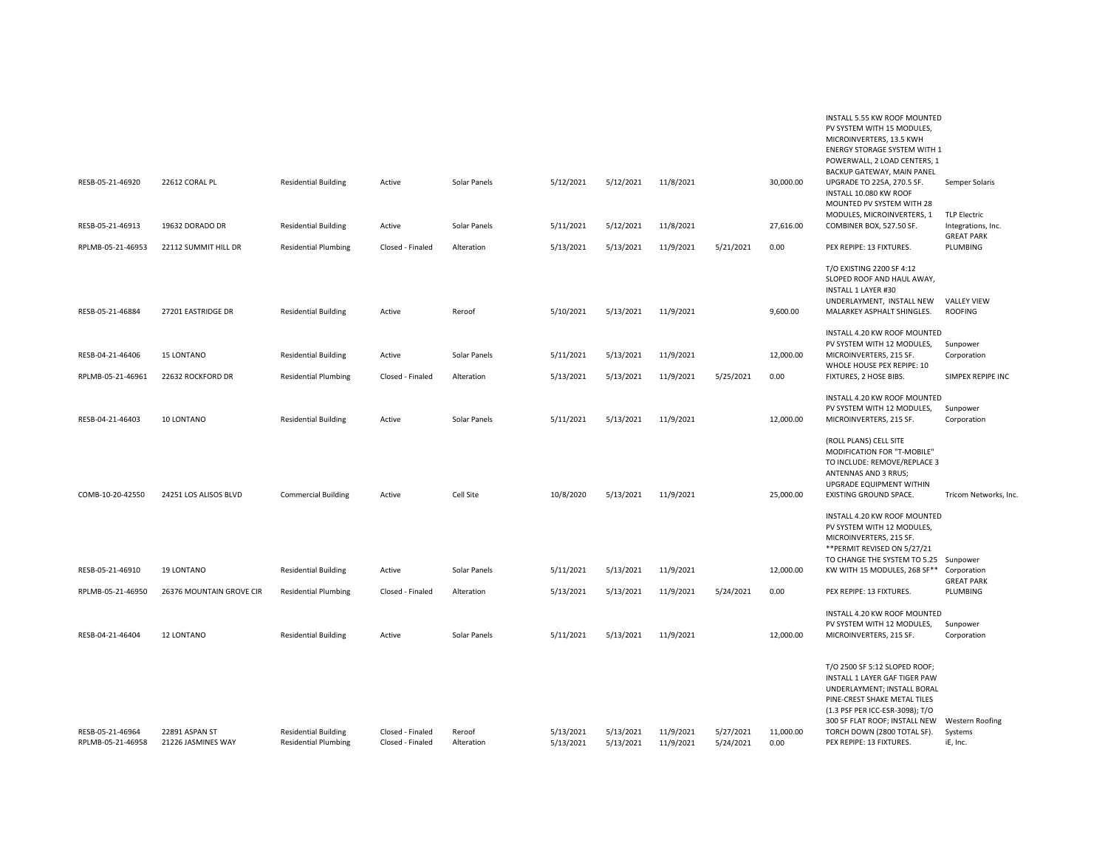| RESB-05-21-46920                      | 22612 CORAL PL                       | <b>Residential Building</b>                                | Active                               | Solar Panels         | 5/12/2021              | 5/12/2021              | 11/8/2021              |                        | 30,000.00         | PV SYSTEM WITH 15 MODULES,<br>MICROINVERTERS, 13.5 KWH<br><b>ENERGY STORAGE SYSTEM WITH 1</b><br>POWERWALL, 2 LOAD CENTERS, 1<br>BACKUP GATEWAY, MAIN PANEL<br>UPGRADE TO 225A, 270.5 SF.<br>INSTALL 10.080 KW ROOF<br>MOUNTED PV SYSTEM WITH 28             | Semper Solaris                                |
|---------------------------------------|--------------------------------------|------------------------------------------------------------|--------------------------------------|----------------------|------------------------|------------------------|------------------------|------------------------|-------------------|--------------------------------------------------------------------------------------------------------------------------------------------------------------------------------------------------------------------------------------------------------------|-----------------------------------------------|
| RESB-05-21-46913                      | 19632 DORADO DR                      | <b>Residential Building</b>                                | Active                               | Solar Panels         | 5/11/2021              | 5/12/2021              | 11/8/2021              |                        | 27,616.00         | MODULES, MICROINVERTERS, 1<br>COMBINER BOX, 527.50 SF.                                                                                                                                                                                                       | <b>TLP Electric</b><br>Integrations, Inc.     |
| RPLMB-05-21-46953                     | 22112 SUMMIT HILL DR                 | <b>Residential Plumbing</b>                                | Closed - Finaled                     | Alteration           |                        |                        |                        | 5/21/2021              | 0.00              | PEX REPIPE: 13 FIXTURES.                                                                                                                                                                                                                                     | <b>GREAT PARK</b><br>PLUMBING                 |
| RESB-05-21-46884                      | 27201 EASTRIDGE DR                   | <b>Residential Building</b>                                | Active                               | Reroof               | 5/13/2021<br>5/10/2021 | 5/13/2021<br>5/13/2021 | 11/9/2021<br>11/9/2021 |                        | 9,600.00          | T/O EXISTING 2200 SF 4:12<br>SLOPED ROOF AND HAUL AWAY,<br>INSTALL 1 LAYER #30<br>UNDERLAYMENT, INSTALL NEW<br>MALARKEY ASPHALT SHINGLES.                                                                                                                    | <b>VALLEY VIEW</b><br><b>ROOFING</b>          |
| RESB-04-21-46406                      | <b>15 LONTANO</b>                    | <b>Residential Building</b>                                | Active                               | Solar Panels         | 5/11/2021              | 5/13/2021              | 11/9/2021              |                        | 12,000.00         | INSTALL 4.20 KW ROOF MOUNTED<br>PV SYSTEM WITH 12 MODULES,<br>MICROINVERTERS, 215 SF.<br>WHOLE HOUSE PEX REPIPE: 10                                                                                                                                          | Sunpower<br>Corporation                       |
| RPLMB-05-21-46961                     | 22632 ROCKFORD DR                    | <b>Residential Plumbing</b>                                | Closed - Finaled                     | Alteration           | 5/13/2021              | 5/13/2021              | 11/9/2021              | 5/25/2021              | 0.00              | FIXTURES, 2 HOSE BIBS.                                                                                                                                                                                                                                       | SIMPEX REPIPE INC                             |
| RESB-04-21-46403                      | 10 LONTANO                           | <b>Residential Building</b>                                | Active                               | Solar Panels         | 5/11/2021              | 5/13/2021              | 11/9/2021              |                        | 12,000.00         | INSTALL 4.20 KW ROOF MOUNTED<br>PV SYSTEM WITH 12 MODULES,<br>MICROINVERTERS, 215 SF.                                                                                                                                                                        | Sunpower<br>Corporation                       |
| COMB-10-20-42550                      | 24251 LOS ALISOS BLVD                | <b>Commercial Building</b>                                 | Active                               | Cell Site            | 10/8/2020              | 5/13/2021              | 11/9/2021              |                        | 25,000.00         | (ROLL PLANS) CELL SITE<br>MODIFICATION FOR "T-MOBILE"<br>TO INCLUDE: REMOVE/REPLACE 3<br>ANTENNAS AND 3 RRUS;<br>UPGRADE EQUIPMENT WITHIN<br>EXISTING GROUND SPACE.                                                                                          | Tricom Networks, Inc                          |
| RESB-05-21-46910                      | 19 LONTANO                           | <b>Residential Building</b>                                | Active                               | Solar Panels         | 5/11/2021              | 5/13/2021              | 11/9/2021              |                        | 12,000.00         | INSTALL 4.20 KW ROOF MOUNTED<br>PV SYSTEM WITH 12 MODULES,<br>MICROINVERTERS, 215 SF.<br>** PERMIT REVISED ON 5/27/21<br>TO CHANGE THE SYSTEM TO 5.25 Sunpower<br>KW WITH 15 MODULES, 268 SF** Corporation                                                   |                                               |
| RPLMB-05-21-46950                     | 26376 MOUNTAIN GROVE CIR             | <b>Residential Plumbing</b>                                | Closed - Finaled                     | Alteration           | 5/13/2021              | 5/13/2021              | 11/9/2021              | 5/24/2021              | 0.00              | PEX REPIPE: 13 FIXTURES.                                                                                                                                                                                                                                     | <b>GREAT PARK</b><br>PLUMBING                 |
| RESB-04-21-46404                      | 12 LONTANO                           | <b>Residential Building</b>                                | Active                               | Solar Panels         | 5/11/2021              | 5/13/2021              | 11/9/2021              |                        | 12,000.00         | INSTALL 4.20 KW ROOF MOUNTED<br>PV SYSTEM WITH 12 MODULES,<br>MICROINVERTERS, 215 SF.                                                                                                                                                                        | Sunpower<br>Corporation                       |
| RESB-05-21-46964<br>RPLMB-05-21-46958 | 22891 ASPAN ST<br>21226 JASMINES WAY | <b>Residential Building</b><br><b>Residential Plumbing</b> | Closed - Finaled<br>Closed - Finaled | Reroof<br>Alteration | 5/13/2021<br>5/13/2021 | 5/13/2021<br>5/13/2021 | 11/9/2021<br>11/9/2021 | 5/27/2021<br>5/24/2021 | 11,000.00<br>0.00 | T/O 2500 SF 5:12 SLOPED ROOF;<br>INSTALL 1 LAYER GAF TIGER PAW<br>UNDERLAYMENT; INSTALL BORAL<br>PINE-CREST SHAKE METAL TILES<br>(1.3 PSF PER ICC-ESR-3098); T/O<br>300 SF FLAT ROOF; INSTALL NEW<br>TORCH DOWN (2800 TOTAL SF).<br>PEX REPIPE: 13 FIXTURES. | <b>Western Roofing</b><br>Systems<br>iE, Inc. |
|                                       |                                      |                                                            |                                      |                      |                        |                        |                        |                        |                   |                                                                                                                                                                                                                                                              |                                               |

INSTALL 5.55 KW ROOF MOUNTED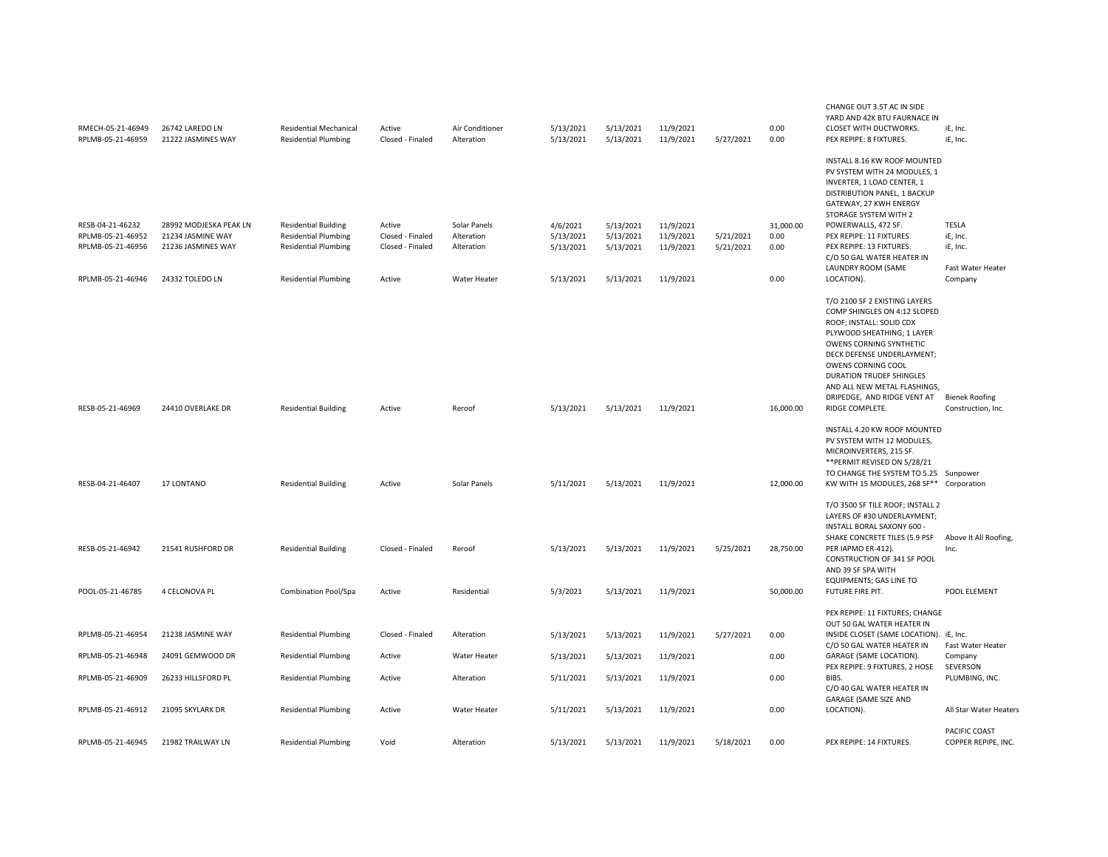| RMECH-05-21-46949<br>RPLMB-05-21-46959                                          | 26742 LAREDO LN<br>21222 JASMINES WAY                                                | <b>Residential Mechanical</b><br><b>Residential Plumbing</b>                                                             | Active<br>Closed - Finaled                               | Air Conditioner<br>Alteration                            | 5/13/2021<br>5/13/2021                          | 5/13/2021<br>5/13/2021                           | 11/9/2021<br>11/9/2021                           | 5/27/2021              | 0.00<br>0.00                      | CHANGE OUT 3.5T AC IN SIDE<br>YARD AND 42K BTU FAURNACE IN<br>CLOSET WITH DUCTWORKS.<br>PEX REPIPE: 8 FIXTURES.                                                                                                                                                                                                                | iE, Inc.<br>iE, Inc.                                                 |
|---------------------------------------------------------------------------------|--------------------------------------------------------------------------------------|--------------------------------------------------------------------------------------------------------------------------|----------------------------------------------------------|----------------------------------------------------------|-------------------------------------------------|--------------------------------------------------|--------------------------------------------------|------------------------|-----------------------------------|--------------------------------------------------------------------------------------------------------------------------------------------------------------------------------------------------------------------------------------------------------------------------------------------------------------------------------|----------------------------------------------------------------------|
| RESB-04-21-46232<br>RPLMB-05-21-46952<br>RPLMB-05-21-46956<br>RPLMB-05-21-46946 | 28992 MODJESKA PEAK LN<br>21234 JASMINE WAY<br>21236 JASMINES WAY<br>24332 TOLEDO LN | <b>Residential Building</b><br><b>Residential Plumbing</b><br><b>Residential Plumbing</b><br><b>Residential Plumbing</b> | Active<br>Closed - Finaled<br>Closed - Finaled<br>Active | Solar Panels<br>Alteration<br>Alteration<br>Water Heater | 4/6/2021<br>5/13/2021<br>5/13/2021<br>5/13/2021 | 5/13/2021<br>5/13/2021<br>5/13/2021<br>5/13/2021 | 11/9/2021<br>11/9/2021<br>11/9/2021<br>11/9/2021 | 5/21/2021<br>5/21/2021 | 31,000.00<br>0.00<br>0.00<br>0.00 | INSTALL 8.16 KW ROOF MOUNTED<br>PV SYSTEM WITH 24 MODULES. 1<br>INVERTER, 1 LOAD CENTER, 1<br>DISTRIBUTION PANEL, 1 BACKUP<br>GATEWAY, 27 KWH ENERGY<br>STORAGE SYSTEM WITH 2<br>POWERWALLS, 472 SF.<br>PEX REPIPE: 11 FIXTURES.<br>PEX REPIPE: 13 FIXTURES.<br>C/O 50 GAL WATER HEATER IN<br>LAUNDRY ROOM (SAME<br>LOCATION). | <b>TESLA</b><br>iE, Inc.<br>iE, Inc.<br>Fast Water Heater<br>Company |
| RESB-05-21-46969                                                                | 24410 OVERLAKE DR                                                                    | <b>Residential Building</b>                                                                                              | Active                                                   | Reroof                                                   | 5/13/2021                                       | 5/13/2021                                        | 11/9/2021                                        |                        | 16,000.00                         | T/O 2100 SF 2 EXISTING LAYERS<br>COMP SHINGLES ON 4:12 SLOPED<br>ROOF; INSTALL: SOLID CDX<br>PLYWOOD SHEATHING; 1 LAYER<br>OWENS CORNING SYNTHETIC<br>DECK DEFENSE UNDERLAYMENT;<br>OWENS CORNING COOL<br>DURATION TRUDEF SHINGLES<br>AND ALL NEW METAL FLASHINGS,<br>DRIPEDGE, AND RIDGE VENT AT<br>RIDGE COMPLETE.           | <b>Bienek Roofing</b><br>Construction, Inc.                          |
| RESB-04-21-46407                                                                | 17 LONTANO                                                                           | <b>Residential Building</b>                                                                                              | Active                                                   | Solar Panels                                             | 5/11/2021                                       | 5/13/2021                                        | 11/9/2021                                        |                        | 12,000.00                         | INSTALL 4.20 KW ROOF MOUNTED<br>PV SYSTEM WITH 12 MODULES,<br>MICROINVERTERS, 215 SF.<br>** PERMIT REVISED ON 5/28/21<br>TO CHANGE THE SYSTEM TO 5.25 Sunpower<br>KW WITH 15 MODULES, 268 SF** Corporation                                                                                                                     |                                                                      |
| RESB-05-21-46942<br>POOL-05-21-46785                                            | 21541 RUSHFORD DR<br>4 CELONOVA PL                                                   | <b>Residential Building</b><br>Combination Pool/Spa                                                                      | Closed - Finaled<br>Active                               | Reroof<br>Residential                                    | 5/13/2021<br>5/3/2021                           | 5/13/2021<br>5/13/2021                           | 11/9/2021<br>11/9/2021                           | 5/25/2021              | 28,750.00<br>50,000.00            | T/O 3500 SF TILE ROOF; INSTALL 2<br>LAYERS OF #30 UNDERLAYMENT;<br>INSTALL BORAL SAXONY 600 -<br>SHAKE CONCRETE TILES (5.9 PSF<br>PER IAPMO ER-412).<br>CONSTRUCTION OF 341 SF POOL<br>AND 39 SF SPA WITH<br><b>EQUIPMENTS; GAS LINE TO</b><br>FUTURE FIRE PIT.                                                                | Above It All Roofing,<br>Inc.<br>POOL ELEMENT                        |
| RPLMB-05-21-46954                                                               | 21238 JASMINE WAY                                                                    | <b>Residential Plumbing</b>                                                                                              | Closed - Finaled                                         | Alteration                                               | 5/13/2021                                       | 5/13/2021                                        | 11/9/2021                                        | 5/27/2021              | 0.00                              | PEX REPIPE: 11 FIXTURES; CHANGE<br>OUT 50 GAL WATER HEATER IN<br>INSIDE CLOSET (SAME LOCATION). iE, Inc.<br>C/O 50 GAL WATER HEATER IN                                                                                                                                                                                         | Fast Water Heater                                                    |
| RPLMB-05-21-46948                                                               | 24091 GEMWOOD DR                                                                     | <b>Residential Plumbing</b>                                                                                              | Active                                                   | Water Heater                                             | 5/13/2021                                       | 5/13/2021                                        | 11/9/2021                                        |                        | 0.00                              | GARAGE (SAME LOCATION).<br>PEX REPIPE: 9 FIXTURES, 2 HOSE                                                                                                                                                                                                                                                                      | Company                                                              |
| RPLMB-05-21-46909                                                               | 26233 HILLSFORD PL                                                                   | <b>Residential Plumbing</b>                                                                                              | Active                                                   | Alteration                                               | 5/11/2021                                       | 5/13/2021                                        | 11/9/2021                                        |                        | 0.00                              | BIBS.<br>C/O 40 GAL WATER HEATER IN<br><b>GARAGE (SAME SIZE AND</b>                                                                                                                                                                                                                                                            | SEVERSON<br>PLUMBING, INC.                                           |
| RPLMB-05-21-46912                                                               | 21095 SKYLARK DR                                                                     | <b>Residential Plumbing</b>                                                                                              | Active                                                   | <b>Water Heater</b>                                      | 5/11/2021                                       | 5/13/2021                                        | 11/9/2021                                        |                        | 0.00                              | LOCATION).                                                                                                                                                                                                                                                                                                                     | All Star Water Heater:                                               |
| RPLMB-05-21-46945                                                               | 21982 TRAILWAY LN                                                                    | <b>Residential Plumbing</b>                                                                                              | Void                                                     | Alteration                                               | 5/13/2021                                       | 5/13/2021                                        | 11/9/2021                                        | 5/18/2021              | 0.00                              | PEX REPIPE: 14 FIXTURES.                                                                                                                                                                                                                                                                                                       | PACIFIC COAST<br>COPPER REPIPE, INC.                                 |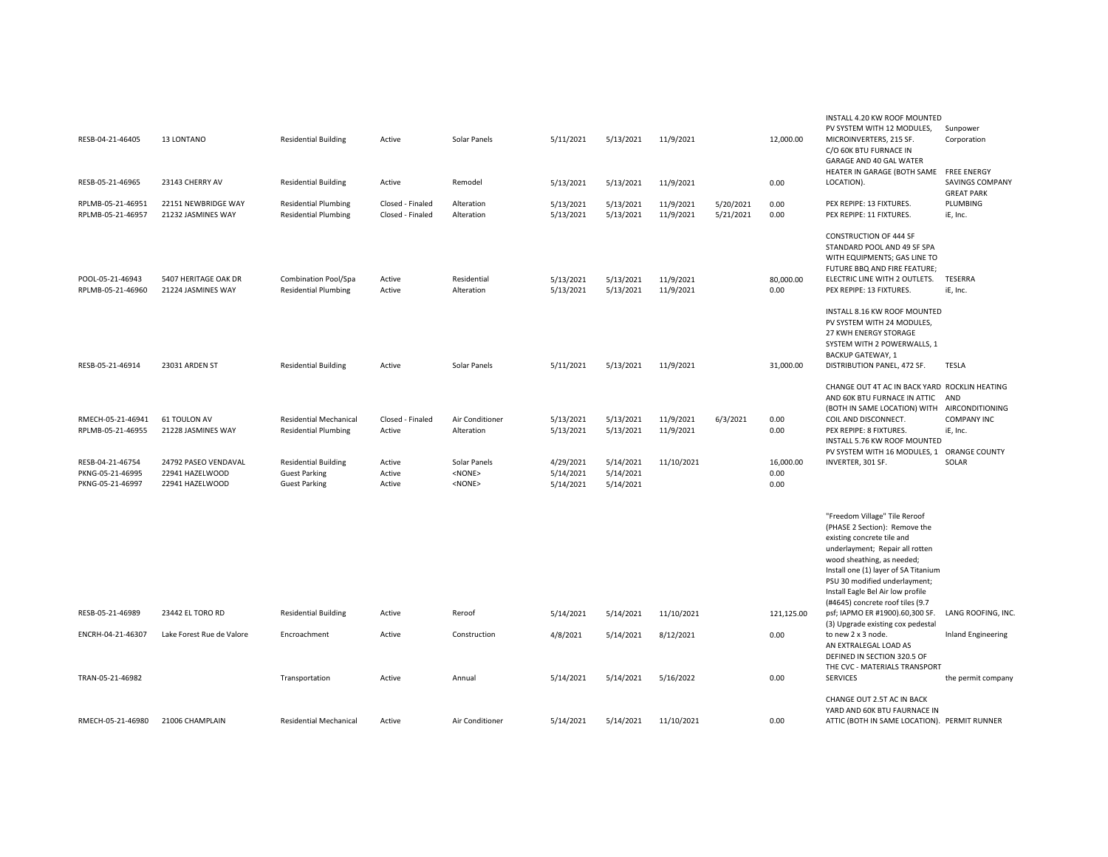|                                       |                                            |                                                            |                  |                               |                        |                        |                        |           |                   | INSTALL 4.20 KW ROOF MOUNTED<br>PV SYSTEM WITH 12 MODULES,                                                                                                                                                                                                                                                      | Sunpower                                                   |
|---------------------------------------|--------------------------------------------|------------------------------------------------------------|------------------|-------------------------------|------------------------|------------------------|------------------------|-----------|-------------------|-----------------------------------------------------------------------------------------------------------------------------------------------------------------------------------------------------------------------------------------------------------------------------------------------------------------|------------------------------------------------------------|
| RESB-04-21-46405                      | 13 LONTANO                                 | <b>Residential Building</b>                                | Active           | Solar Panels                  | 5/11/2021              | 5/13/2021              | 11/9/2021              |           | 12,000.00         | MICROINVERTERS, 215 SF.<br>C/O 60K BTU FURNACE IN<br>GARAGE AND 40 GAL WATER                                                                                                                                                                                                                                    | Corporation                                                |
| RESB-05-21-46965                      | 23143 CHERRY AV                            | <b>Residential Building</b>                                | Active           | Remodel                       | 5/13/2021              | 5/13/2021              | 11/9/2021              |           | 0.00              | HEATER IN GARAGE (BOTH SAME<br>LOCATION).                                                                                                                                                                                                                                                                       | <b>FREE ENERGY</b><br>SAVINGS COMPANY<br><b>GREAT PARK</b> |
| RPLMB-05-21-46951                     | 22151 NEWBRIDGE WAY                        | <b>Residential Plumbing</b>                                | Closed - Finaled | Alteration                    | 5/13/2021              | 5/13/2021              | 11/9/2021              | 5/20/2021 | 0.00              | PEX REPIPE: 13 FIXTURES.                                                                                                                                                                                                                                                                                        | PLUMBING                                                   |
| RPLMB-05-21-46957                     | 21232 JASMINES WAY                         | <b>Residential Plumbing</b>                                | Closed - Finaled | Alteration                    | 5/13/2021              | 5/13/2021              | 11/9/2021              | 5/21/2021 | 0.00              | PEX REPIPE: 11 FIXTURES.                                                                                                                                                                                                                                                                                        | iE, Inc.                                                   |
| POOL-05-21-46943<br>RPLMB-05-21-46960 | 5407 HERITAGE OAK DR<br>21224 JASMINES WAY | <b>Combination Pool/Spa</b><br><b>Residential Plumbing</b> | Active<br>Active | Residential<br>Alteration     | 5/13/2021<br>5/13/2021 | 5/13/2021<br>5/13/2021 | 11/9/2021<br>11/9/2021 |           | 80,000.00<br>0.00 | <b>CONSTRUCTION OF 444 SF</b><br>STANDARD POOL AND 49 SF SPA<br>WITH EQUIPMENTS; GAS LINE TO<br>FUTURE BBQ AND FIRE FEATURE;<br>ELECTRIC LINE WITH 2 OUTLETS.<br>PEX REPIPE: 13 FIXTURES.                                                                                                                       | TESERRA<br>iE, Inc.                                        |
|                                       |                                            |                                                            |                  |                               |                        |                        |                        |           |                   |                                                                                                                                                                                                                                                                                                                 |                                                            |
|                                       |                                            |                                                            |                  |                               |                        |                        |                        |           |                   | INSTALL 8.16 KW ROOF MOUNTED<br>PV SYSTEM WITH 24 MODULES,<br>27 KWH ENERGY STORAGE<br>SYSTEM WITH 2 POWERWALLS, 1<br><b>BACKUP GATEWAY, 1</b>                                                                                                                                                                  |                                                            |
| RESB-05-21-46914                      | 23031 ARDEN ST                             | <b>Residential Building</b>                                | Active           | Solar Panels                  | 5/11/2021              | 5/13/2021              | 11/9/2021              |           | 31,000.00         | DISTRIBUTION PANEL, 472 SF.                                                                                                                                                                                                                                                                                     | TESLA                                                      |
| RMECH-05-21-46941                     | 61 TOULON AV                               | <b>Residential Mechanical</b>                              | Closed - Finaled | Air Conditioner               | 5/13/2021              | 5/13/2021              | 11/9/2021              | 6/3/2021  | 0.00              | CHANGE OUT 4T AC IN BACK YARD ROCKLIN HEATING<br>AND 60K BTU FURNACE IN ATTIC<br>(BOTH IN SAME LOCATION) WITH AIRCONDITIONING<br>COIL AND DISCONNECT.                                                                                                                                                           | AND<br><b>COMPANY INC</b>                                  |
| RPLMB-05-21-46955                     | 21228 JASMINES WAY                         | <b>Residential Plumbing</b>                                | Active           | Alteration                    | 5/13/2021              | 5/13/2021              | 11/9/2021              |           | 0.00              | PEX REPIPE: 8 FIXTURES.<br>INSTALL 5.76 KW ROOF MOUNTED                                                                                                                                                                                                                                                         | iE, Inc.                                                   |
|                                       |                                            |                                                            |                  |                               |                        |                        |                        |           |                   | PV SYSTEM WITH 16 MODULES, 1                                                                                                                                                                                                                                                                                    | <b>ORANGE COUNTY</b>                                       |
| RESB-04-21-46754<br>PKNG-05-21-46995  | 24792 PASEO VENDAVAL<br>22941 HAZELWOOD    | <b>Residential Building</b><br><b>Guest Parking</b>        | Active<br>Active | Solar Panels<br><none></none> | 4/29/2021<br>5/14/2021 | 5/14/2021<br>5/14/2021 | 11/10/2021             |           | 16,000.00<br>0.00 | INVERTER, 301 SF.                                                                                                                                                                                                                                                                                               | SOLAR                                                      |
| PKNG-05-21-46997                      | 22941 HAZELWOOD                            | <b>Guest Parking</b>                                       | Active           | <none></none>                 | 5/14/2021              | 5/14/2021              |                        |           | 0.00              |                                                                                                                                                                                                                                                                                                                 |                                                            |
|                                       |                                            |                                                            |                  |                               |                        |                        |                        |           |                   |                                                                                                                                                                                                                                                                                                                 |                                                            |
|                                       |                                            |                                                            |                  |                               |                        |                        |                        |           |                   | "Freedom Village" Tile Reroof<br>(PHASE 2 Section): Remove the<br>existing concrete tile and<br>underlayment; Repair all rotten<br>wood sheathing, as needed;<br>Install one (1) layer of SA Titanium<br>PSU 30 modified underlayment;<br>Install Eagle Bel Air low profile<br>(#4645) concrete roof tiles (9.7 |                                                            |
| RESB-05-21-46989                      | 23442 EL TORO RD                           | <b>Residential Building</b>                                | Active           | Reroof                        | 5/14/2021              | 5/14/2021              | 11/10/2021             |           | 121,125.00        | psf; IAPMO ER #1900).60,300 SF.<br>(3) Upgrade existing cox pedestal                                                                                                                                                                                                                                            | LANG ROOFING, INC.                                         |
| ENCRH-04-21-46307                     | Lake Forest Rue de Valore                  | Encroachment                                               | Active           | Construction                  | 4/8/2021               | 5/14/2021              | 8/12/2021              |           | 0.00              | to new 2 x 3 node.<br>AN EXTRALEGAL LOAD AS<br>DEFINED IN SECTION 320.5 OF<br>THE CVC - MATERIALS TRANSPORT                                                                                                                                                                                                     | Inland Engineering                                         |
| TRAN-05-21-46982                      |                                            | Transportation                                             | Active           | Annual                        | 5/14/2021              | 5/14/2021              | 5/16/2022              |           | 0.00              | <b>SERVICES</b>                                                                                                                                                                                                                                                                                                 | the permit company                                         |
|                                       |                                            |                                                            |                  |                               |                        |                        |                        |           |                   | CHANGE OUT 2.5T AC IN BACK<br>YARD AND 60K BTU FAURNACE IN                                                                                                                                                                                                                                                      |                                                            |
| RMECH-05-21-46980                     | 21006 CHAMPLAIN                            | <b>Residential Mechanical</b>                              | Active           | Air Conditioner               | 5/14/2021              | 5/14/2021              | 11/10/2021             |           | 0.00              | ATTIC (BOTH IN SAME LOCATION). PERMIT RUNNER                                                                                                                                                                                                                                                                    |                                                            |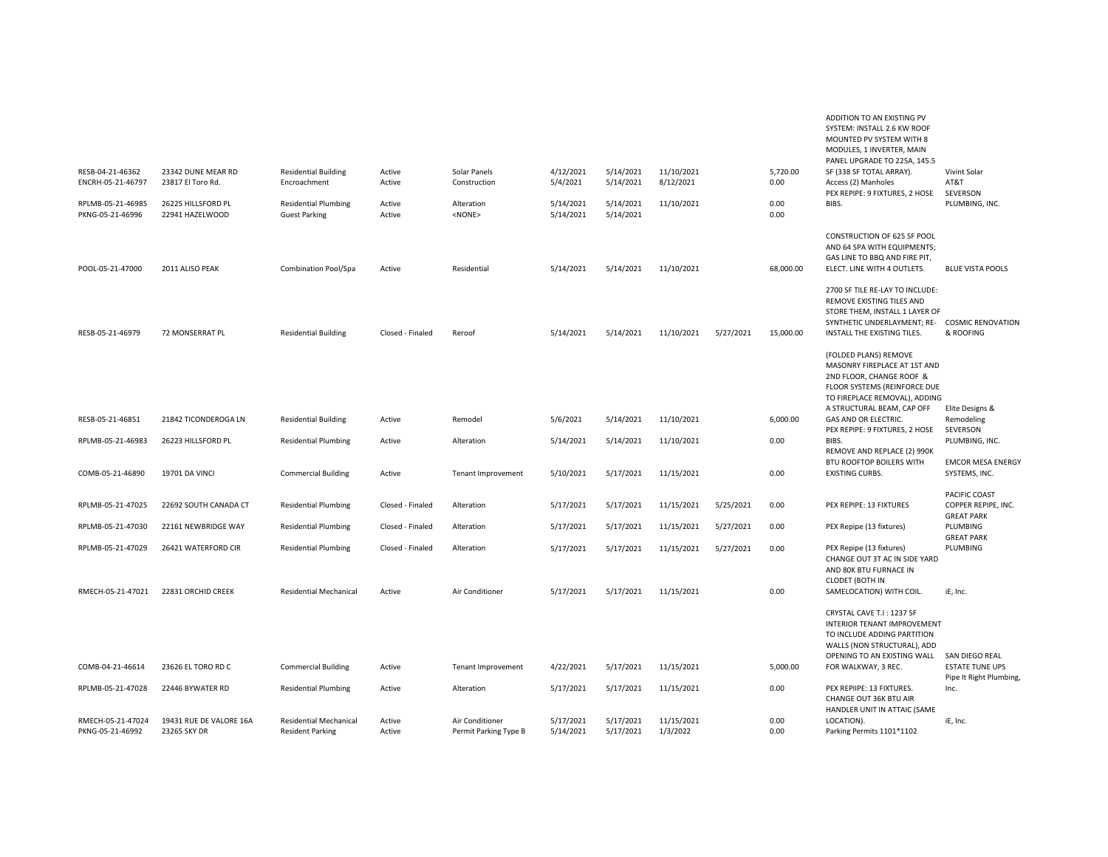| RESB-04-21-46362<br>ENCRH-05-21-46797<br>RPLMB-05-21-46985<br>PKNG-05-21-46996 | 23342 DUNE MEAR RD<br>23817 El Toro Rd.<br>26225 HILLSFORD PL<br>22941 HAZELWOOD | <b>Residential Building</b><br>Encroachment<br><b>Residential Plumbing</b><br><b>Guest Parking</b> | Active<br>Active<br>Active<br>Active | Solar Panels<br>Construction<br>Alteration<br><none></none> | 4/12/2021<br>5/4/2021<br>5/14/2021<br>5/14/2021 | 5/14/2021<br>5/14/2021<br>5/14/2021<br>5/14/2021 | 11/10/2021<br>8/12/2021<br>11/10/2021 |           | 5,720.00<br>0.00<br>0.00<br>0.00 | MODULES, 1 INVERTER, MAIN<br>PANEL UPGRADE TO 225A, 145.5<br>SF (338 SF TOTAL ARRAY).<br>Access (2) Manholes<br>PEX REPIPE: 9 FIXTURES, 2 HOSE<br>BIBS.                             | Vivint Solar<br>AT&T<br>SEVERSON<br>PLUMBING, INC. |
|--------------------------------------------------------------------------------|----------------------------------------------------------------------------------|----------------------------------------------------------------------------------------------------|--------------------------------------|-------------------------------------------------------------|-------------------------------------------------|--------------------------------------------------|---------------------------------------|-----------|----------------------------------|-------------------------------------------------------------------------------------------------------------------------------------------------------------------------------------|----------------------------------------------------|
| POOL-05-21-47000                                                               | 2011 ALISO PEAK                                                                  | Combination Pool/Spa                                                                               | Active                               | Residential                                                 | 5/14/2021                                       | 5/14/2021                                        | 11/10/2021                            |           | 68,000.00                        | CONSTRUCTION OF 625 SF POOL<br>AND 64 SPA WITH EQUIPMENTS;<br>GAS LINE TO BBQ AND FIRE PIT,<br>ELECT. LINE WITH 4 OUTLETS.                                                          | <b>BLUE VISTA POOLS</b>                            |
| RESB-05-21-46979                                                               | 72 MONSERRAT PL                                                                  | <b>Residential Building</b>                                                                        | Closed - Finaled                     | Reroof                                                      | 5/14/2021                                       | 5/14/2021                                        | 11/10/2021                            | 5/27/2021 | 15,000.00                        | 2700 SF TILE RE-LAY TO INCLUDE:<br>REMOVE EXISTING TILES AND<br>STORE THEM, INSTALL 1 LAYER OF<br>SYNTHETIC UNDERLAYMENT; RE- COSMIC RENOVATION<br>INSTALL THE EXISTING TILES.      | & ROOFING                                          |
|                                                                                |                                                                                  |                                                                                                    |                                      |                                                             |                                                 |                                                  |                                       |           |                                  | (FOLDED PLANS) REMOVE<br>MASONRY FIREPLACE AT 1ST AND<br>2ND FLOOR, CHANGE ROOF &<br>FLOOR SYSTEMS (REINFORCE DUE<br>TO FIREPLACE REMOVAL), ADDING                                  |                                                    |
| RESB-05-21-46851                                                               | 21842 TICONDEROGA LN                                                             | <b>Residential Building</b>                                                                        | Active                               | Remodel                                                     | 5/6/2021                                        | 5/14/2021                                        | 11/10/2021                            |           | 6,000.00                         | A STRUCTURAL BEAM, CAP OFF<br>GAS AND OR ELECTRIC.                                                                                                                                  | Elite Designs &<br>Remodeling                      |
| RPLMB-05-21-46983                                                              | 26223 HILLSFORD PL                                                               | <b>Residential Plumbing</b>                                                                        | Active                               | Alteration                                                  | 5/14/2021                                       | 5/14/2021                                        | 11/10/2021                            |           | 0.00                             | PEX REPIPE: 9 FIXTURES, 2 HOSE<br>BIBS.                                                                                                                                             | SEVERSON<br>PLUMBING, INC.                         |
| COMB-05-21-46890                                                               | 19701 DA VINCI                                                                   | <b>Commercial Building</b>                                                                         | Active                               | Tenant Improvement                                          | 5/10/2021                                       | 5/17/2021                                        | 11/15/2021                            |           | 0.00                             | REMOVE AND REPLACE (2) 990K<br>BTU ROOFTOP BOILERS WITH<br><b>EXISTING CURBS.</b>                                                                                                   | <b>EMCOR MESA ENERGY</b><br>SYSTEMS, INC.          |
| RPLMB-05-21-47025                                                              | 22692 SOUTH CANADA CT                                                            | <b>Residential Plumbing</b>                                                                        | Closed - Finaled                     | Alteration                                                  | 5/17/2021                                       | 5/17/2021                                        | 11/15/2021                            | 5/25/2021 | 0.00                             | PEX REPIPE: 13 FIXTURES                                                                                                                                                             | PACIFIC COAST<br>COPPER REPIPE, INC.               |
| RPLMB-05-21-47030                                                              | 22161 NEWBRIDGE WAY                                                              | <b>Residential Plumbing</b>                                                                        | Closed - Finaled                     | Alteration                                                  | 5/17/2021                                       | 5/17/2021                                        | 11/15/2021                            | 5/27/2021 | 0.00                             | PEX Repipe (13 fixtures)                                                                                                                                                            | <b>GREAT PARK</b><br>PLUMBING                      |
| RPLMB-05-21-47029                                                              | 26421 WATERFORD CIR                                                              | <b>Residential Plumbing</b>                                                                        | Closed - Finaled                     | Alteration                                                  | 5/17/2021                                       | 5/17/2021                                        | 11/15/2021                            | 5/27/2021 | 0.00                             | PEX Repipe (13 fixtures)<br>CHANGE OUT 3T AC IN SIDE YARD<br>AND 80K BTU FURNACE IN<br><b>CLODET (BOTH IN</b>                                                                       | <b>GREAT PARK</b><br>PLUMBING                      |
| RMECH-05-21-47021                                                              | 22831 ORCHID CREEK                                                               | <b>Residential Mechanical</b>                                                                      | Active                               | Air Conditioner                                             | 5/17/2021                                       | 5/17/2021                                        | 11/15/2021                            |           | 0.00                             | SAMELOCATION) WITH COIL.                                                                                                                                                            | iE, Inc.                                           |
| COMB-04-21-46614                                                               | 23626 EL TORO RD C                                                               | <b>Commercial Building</b>                                                                         | Active                               | Tenant Improvement                                          | 4/22/2021                                       | 5/17/2021                                        | 11/15/2021                            |           | 5,000.00                         | CRYSTAL CAVE T.I: 1237 SF<br><b>INTERIOR TENANT IMPROVEMENT</b><br>TO INCLUDE ADDING PARTITION<br>WALLS (NON STRUCTURAL), ADD<br>OPENING TO AN EXISTING WALL<br>FOR WALKWAY, 3 REC. | SAN DIEGO REAL<br><b>ESTATE TUNE UPS</b>           |
| RPLMB-05-21-47028                                                              | 22446 BYWATER RD                                                                 | <b>Residential Plumbing</b>                                                                        | Active                               | Alteration                                                  | 5/17/2021                                       | 5/17/2021                                        | 11/15/2021                            |           | 0.00                             | PEX REPIIPE: 13 FIXTURES.                                                                                                                                                           | Pipe It Right Plumbing,<br>Inc.                    |
|                                                                                |                                                                                  |                                                                                                    |                                      |                                                             |                                                 |                                                  |                                       |           |                                  | CHANGE OUT 36K BTU AIR<br>HANDLER UNIT IN ATTAIC (SAME                                                                                                                              |                                                    |
| RMECH-05-21-47024<br>PKNG-05-21-46992                                          | 19431 RUE DE VALORE 16A<br>23265 SKY DR                                          | <b>Residential Mechanical</b><br><b>Resident Parking</b>                                           | Active<br>Active                     | Air Conditioner<br>Permit Parking Type B                    | 5/17/2021<br>5/14/2021                          | 5/17/2021<br>5/17/2021                           | 11/15/2021<br>1/3/2022                |           | 0.00<br>0.00                     | LOCATION).<br>Parking Permits 1101*1102                                                                                                                                             | iE, Inc.                                           |

ADDITION TO AN EXISTING PV SYSTEM: INSTALL 2.6 KW ROOF MOUNTED PV SYSTEM WITH 8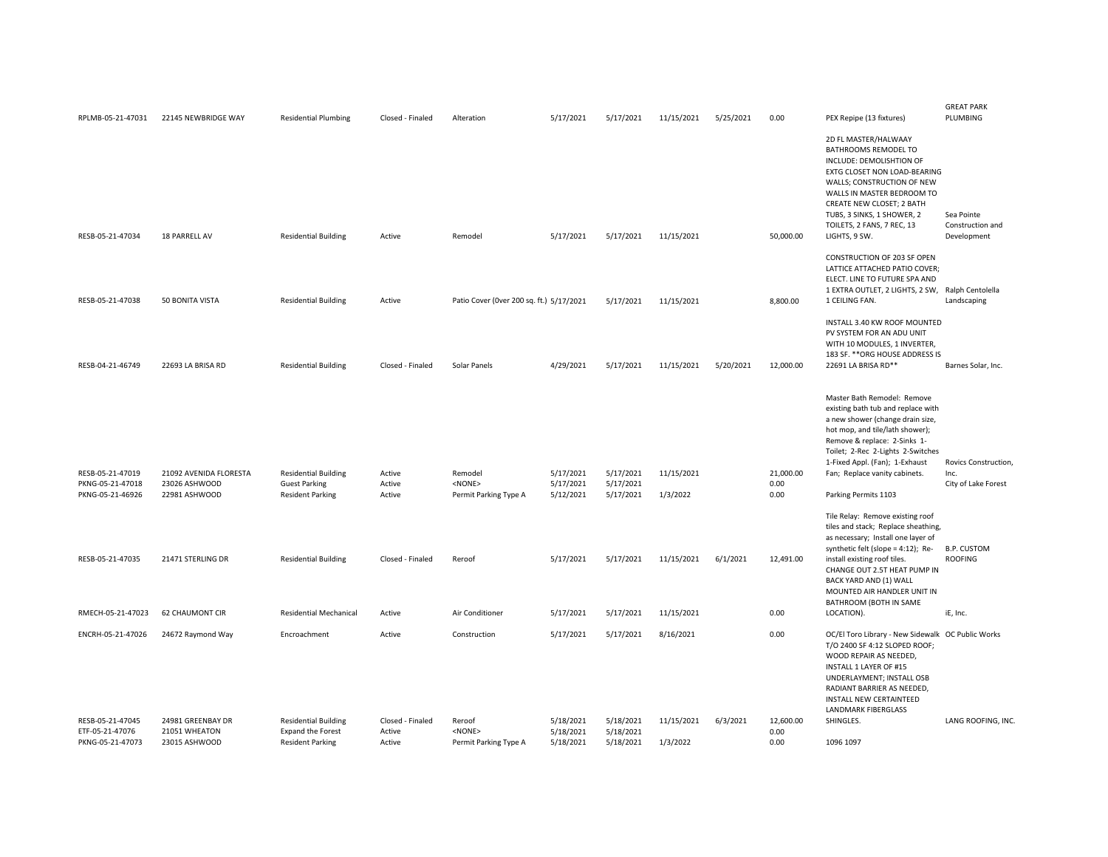| RPLMB-05-21-47031                                        | 22145 NEWBRIDGE WAY                                      | <b>Residential Plumbing</b>                                                    | Closed - Finaled                     | Alteration                                         | 5/17/2021                           | 5/17/2021                           | 11/15/2021             | 5/25/2021 | 0.00                      | PEX Repipe (13 fixtures)                                                                                                                                                                                                                                                                                  | <b>GREAT PARK</b><br>PLUMBING                 |
|----------------------------------------------------------|----------------------------------------------------------|--------------------------------------------------------------------------------|--------------------------------------|----------------------------------------------------|-------------------------------------|-------------------------------------|------------------------|-----------|---------------------------|-----------------------------------------------------------------------------------------------------------------------------------------------------------------------------------------------------------------------------------------------------------------------------------------------------------|-----------------------------------------------|
| RESB-05-21-47034                                         | 18 PARRELL AV                                            | <b>Residential Building</b>                                                    | Active                               | Remodel                                            | 5/17/2021                           | 5/17/2021                           | 11/15/2021             |           | 50,000.00                 | 2D FL MASTER/HALWAAY<br>BATHROOMS REMODEL TO<br>INCLUDE: DEMOLISHTION OF<br>EXTG CLOSET NON LOAD-BEARING<br>WALLS; CONSTRUCTION OF NEW<br>WALLS IN MASTER BEDROOM TO<br>CREATE NEW CLOSET; 2 BATH<br>TUBS, 3 SINKS, 1 SHOWER, 2<br>TOILETS, 2 FANS, 7 REC, 13<br>LIGHTS, 9 SW.                            | Sea Pointe<br>Construction and<br>Development |
| RESB-05-21-47038                                         | 50 BONITA VISTA                                          | <b>Residential Building</b>                                                    | Active                               | Patio Cover (Over 200 sq. ft.) 5/17/2021           |                                     | 5/17/2021                           | 11/15/2021             |           | 8,800.00                  | CONSTRUCTION OF 203 SF OPEN<br>LATTICE ATTACHED PATIO COVER;<br>ELECT. LINE TO FUTURE SPA AND<br>1 EXTRA OUTLET, 2 LIGHTS, 2 SW, Ralph Centolella<br>1 CEILING FAN.                                                                                                                                       | Landscaping                                   |
|                                                          |                                                          |                                                                                |                                      |                                                    |                                     |                                     |                        |           |                           | INSTALL 3.40 KW ROOF MOUNTED<br>PV SYSTEM FOR AN ADU UNIT<br>WITH 10 MODULES, 1 INVERTER,<br>183 SF. ** ORG HOUSE ADDRESS IS                                                                                                                                                                              |                                               |
| RESB-04-21-46749                                         | 22693 LA BRISA RD                                        | <b>Residential Building</b>                                                    | Closed - Finaled                     | Solar Panels                                       | 4/29/2021                           | 5/17/2021                           | 11/15/2021             | 5/20/2021 | 12,000.00                 | 22691 LA BRISA RD**<br>Master Bath Remodel: Remove<br>existing bath tub and replace with<br>a new shower (change drain size,<br>hot mop, and tile/lath shower);<br>Remove & replace: 2-Sinks 1-<br>Toilet; 2-Rec 2-Lights 2-Switches<br>1-Fixed Appl. (Fan); 1-Exhaust                                    | Barnes Solar, Inc.<br>Rovics Construction,    |
| RESB-05-21-47019<br>PKNG-05-21-47018<br>PKNG-05-21-46926 | 21092 AVENIDA FLORESTA<br>23026 ASHWOOD<br>22981 ASHWOOD | <b>Residential Building</b><br><b>Guest Parking</b><br><b>Resident Parking</b> | Active<br>Active<br>Active           | Remodel<br><none><br/>Permit Parking Type A</none> | 5/17/2021<br>5/17/2021<br>5/12/2021 | 5/17/2021<br>5/17/2021<br>5/17/2021 | 11/15/2021<br>1/3/2022 |           | 21,000.00<br>0.00<br>0.00 | Fan; Replace vanity cabinets.<br>Parking Permits 1103                                                                                                                                                                                                                                                     | Inc.<br>City of Lake Forest                   |
| RESB-05-21-47035                                         | 21471 STERLING DR                                        | <b>Residential Building</b>                                                    | Closed - Finaled                     | Reroof                                             | 5/17/2021                           | 5/17/2021                           | 11/15/2021             | 6/1/2021  | 12,491.00                 | Tile Relay: Remove existing roof<br>tiles and stack; Replace sheathing,<br>as necessary; Install one layer of<br>synthetic felt (slope = $4:12$ ); Re-<br>install existing roof tiles.<br>CHANGE OUT 2.5T HEAT PUMP IN<br>BACK YARD AND (1) WALL<br>MOUNTED AIR HANDLER UNIT IN<br>BATHROOM (BOTH IN SAME | <b>B.P. CUSTOM</b><br><b>ROOFING</b>          |
| RMECH-05-21-47023                                        | <b>62 CHAUMONT CIR</b>                                   | <b>Residential Mechanical</b>                                                  | Active                               | Air Conditioner                                    | 5/17/2021                           | 5/17/2021                           | 11/15/2021             |           | 0.00                      | LOCATION).                                                                                                                                                                                                                                                                                                | iE, Inc.                                      |
| ENCRH-05-21-47026                                        | 24672 Raymond Way                                        | Encroachment                                                                   | Active                               | Construction                                       | 5/17/2021                           | 5/17/2021                           | 8/16/2021              |           | 0.00                      | OC/El Toro Library - New Sidewalk OC Public Works<br>T/O 2400 SF 4:12 SLOPED ROOF;<br>WOOD REPAIR AS NEEDED,<br>INSTALL 1 LAYER OF #15<br>UNDERLAYMENT; INSTALL OSB<br>RADIANT BARRIER AS NEEDED,<br>INSTALL NEW CERTAINTEED<br>LANDMARK FIBERGLASS                                                       |                                               |
| RESB-05-21-47045<br>ETF-05-21-47076<br>PKNG-05-21-47073  | 24981 GREENBAY DR<br>21051 WHEATON<br>23015 ASHWOOD      | <b>Residential Building</b><br>Expand the Forest<br><b>Resident Parking</b>    | Closed - Finaled<br>Active<br>Active | Reroof<br>$<$ NONE $>$<br>Permit Parking Type A    | 5/18/2021<br>5/18/2021<br>5/18/2021 | 5/18/2021<br>5/18/2021<br>5/18/2021 | 11/15/2021<br>1/3/2022 | 6/3/2021  | 12,600.00<br>0.00<br>0.00 | SHINGLES.<br>1096 1097                                                                                                                                                                                                                                                                                    | LANG ROOFING, INC.                            |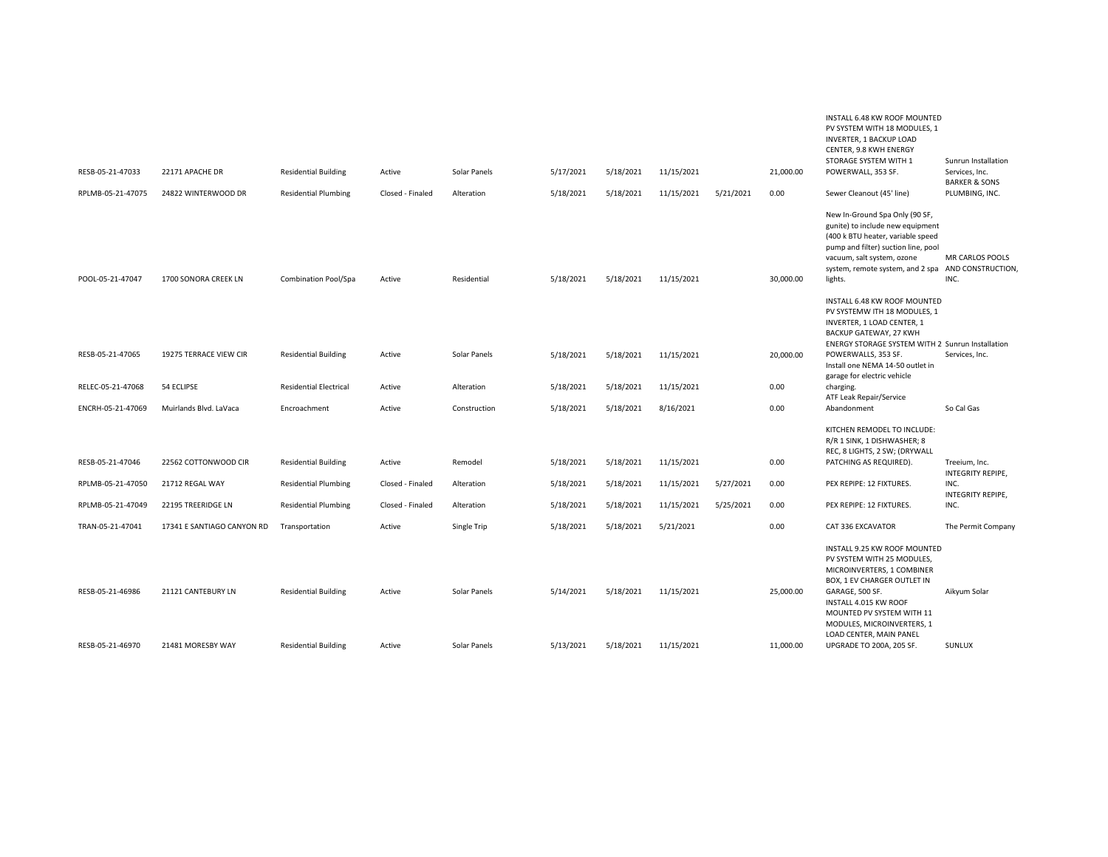|                   |                            |                               |                  |              |           |           |            |           |           | INSTALL 6.48 KW ROOF MOUNTED<br>PV SYSTEM WITH 18 MODULES, 1<br>INVERTER, 1 BACKUP LOAD<br>CENTER, 9.8 KWH ENERGY<br>STORAGE SYSTEM WITH 1                                                                                                                | Sunrun Installation                        |
|-------------------|----------------------------|-------------------------------|------------------|--------------|-----------|-----------|------------|-----------|-----------|-----------------------------------------------------------------------------------------------------------------------------------------------------------------------------------------------------------------------------------------------------------|--------------------------------------------|
| RESB-05-21-47033  | 22171 APACHE DR            | <b>Residential Building</b>   | Active           | Solar Panels | 5/17/2021 | 5/18/2021 | 11/15/2021 |           | 21,000.00 | POWERWALL, 353 SF.                                                                                                                                                                                                                                        | Services, Inc.<br><b>BARKER &amp; SONS</b> |
| RPLMB-05-21-47075 | 24822 WINTERWOOD DR        | <b>Residential Plumbing</b>   | Closed - Finaled | Alteration   | 5/18/2021 | 5/18/2021 | 11/15/2021 | 5/21/2021 | 0.00      | Sewer Cleanout (45' line)                                                                                                                                                                                                                                 | PLUMBING, INC.                             |
| POOL-05-21-47047  | 1700 SONORA CREEK LN       | Combination Pool/Spa          | Active           | Residential  | 5/18/2021 | 5/18/2021 | 11/15/2021 |           | 30,000.00 | New In-Ground Spa Only (90 SF,<br>gunite) to include new equipment<br>(400 k BTU heater, variable speed<br>pump and filter) suction line, pool<br>vacuum, salt system, ozone<br>system, remote system, and 2 spa AND CONSTRUCTION,<br>lights.             | MR CARLOS POOLS<br>INC.                    |
|                   |                            |                               |                  |              |           |           |            |           |           | INSTALL 6.48 KW ROOF MOUNTED<br>PV SYSTEMW ITH 18 MODULES, 1<br>INVERTER, 1 LOAD CENTER, 1<br>BACKUP GATEWAY, 27 KWH<br>ENERGY STORAGE SYSTEM WITH 2 Sunrun Installation                                                                                  |                                            |
| RESB-05-21-47065  | 19275 TERRACE VIEW CIR     | <b>Residential Building</b>   | Active           | Solar Panels | 5/18/2021 | 5/18/2021 | 11/15/2021 |           | 20,000.00 | POWERWALLS, 353 SF.<br>Install one NEMA 14-50 outlet in<br>garage for electric vehicle                                                                                                                                                                    | Services, Inc.                             |
| RELEC-05-21-47068 | 54 ECLIPSE                 | <b>Residential Electrical</b> | Active           | Alteration   | 5/18/2021 | 5/18/2021 | 11/15/2021 |           | 0.00      | charging.<br>ATF Leak Repair/Service                                                                                                                                                                                                                      |                                            |
| ENCRH-05-21-47069 | Muirlands Blvd. LaVaca     | Encroachment                  | Active           | Construction | 5/18/2021 | 5/18/2021 | 8/16/2021  |           | 0.00      | Abandonment                                                                                                                                                                                                                                               | So Cal Gas                                 |
|                   |                            |                               |                  |              |           |           |            |           |           | KITCHEN REMODEL TO INCLUDE:<br>R/R 1 SINK, 1 DISHWASHER; 8<br>REC, 8 LIGHTS, 2 SW; (DRYWALL                                                                                                                                                               |                                            |
| RESB-05-21-47046  | 22562 COTTONWOOD CIR       | <b>Residential Building</b>   | Active           | Remodel      | 5/18/2021 | 5/18/2021 | 11/15/2021 |           | 0.00      | PATCHING AS REQUIRED).                                                                                                                                                                                                                                    | Treeium, Inc.<br>INTEGRITY REPIPE,         |
| RPLMB-05-21-47050 | 21712 REGAL WAY            | <b>Residential Plumbing</b>   | Closed - Finaled | Alteration   | 5/18/2021 | 5/18/2021 | 11/15/2021 | 5/27/2021 | 0.00      | PEX REPIPE: 12 FIXTURES.                                                                                                                                                                                                                                  | INC.<br>INTEGRITY REPIPE,                  |
| RPLMB-05-21-47049 | 22195 TREERIDGE LN         | <b>Residential Plumbing</b>   | Closed - Finaled | Alteration   | 5/18/2021 | 5/18/2021 | 11/15/2021 | 5/25/2021 | 0.00      | PEX REPIPE: 12 FIXTURES.                                                                                                                                                                                                                                  | INC.                                       |
| TRAN-05-21-47041  | 17341 E SANTIAGO CANYON RD | Transportation                | Active           | Single Trip  | 5/18/2021 | 5/18/2021 | 5/21/2021  |           | 0.00      | CAT 336 EXCAVATOR                                                                                                                                                                                                                                         | The Permit Company                         |
| RESB-05-21-46986  | 21121 CANTEBURY LN         | <b>Residential Building</b>   | Active           | Solar Panels | 5/14/2021 | 5/18/2021 | 11/15/2021 |           | 25,000.00 | INSTALL 9.25 KW ROOF MOUNTED<br>PV SYSTEM WITH 25 MODULES,<br>MICROINVERTERS, 1 COMBINER<br>BOX, 1 EV CHARGER OUTLET IN<br>GARAGE, 500 SF.<br>INSTALL 4.015 KW ROOF<br>MOUNTED PV SYSTEM WITH 11<br>MODULES, MICROINVERTERS, 1<br>LOAD CENTER, MAIN PANEL | Aikyum Solar                               |
| RESB-05-21-46970  | 21481 MORESBY WAY          | <b>Residential Building</b>   | Active           | Solar Panels | 5/13/2021 | 5/18/2021 | 11/15/2021 |           | 11,000.00 | UPGRADE TO 200A, 205 SF.                                                                                                                                                                                                                                  | <b>SUNLUX</b>                              |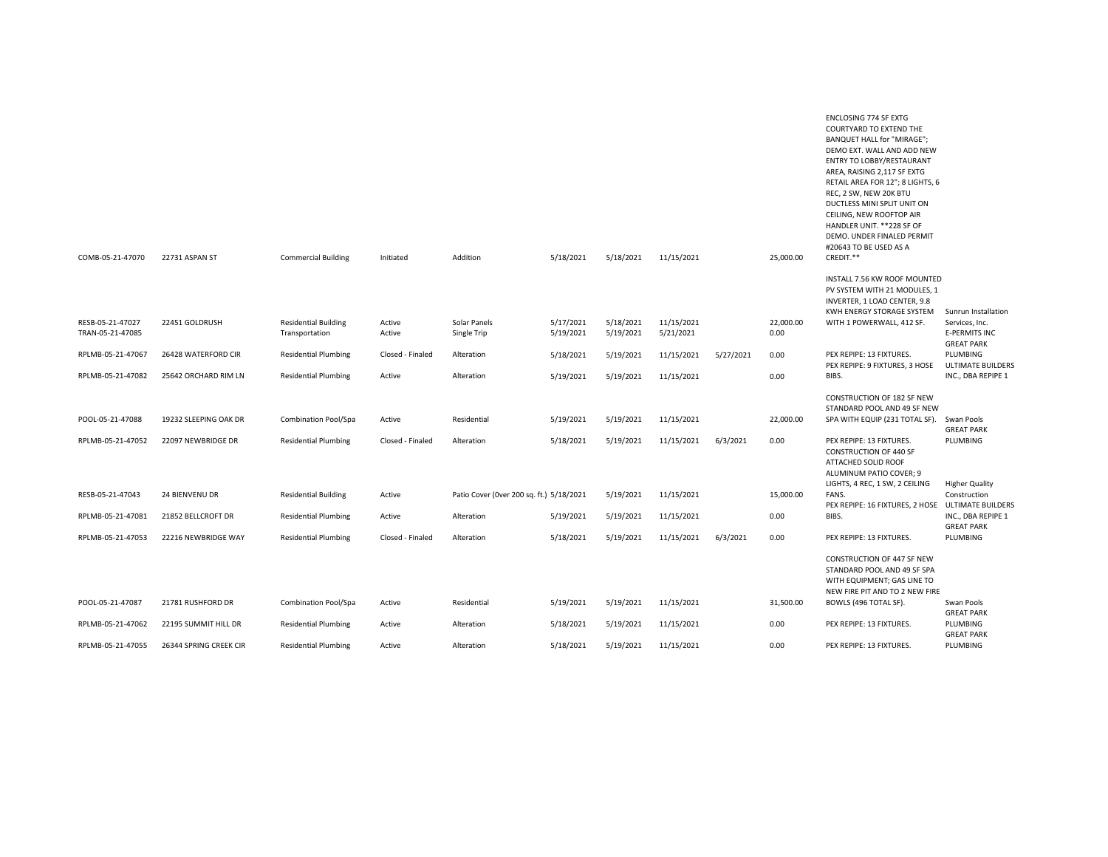| COMB-05-21-47070                     | 22731 ASPAN ST         | <b>Commercial Building</b>                    | Initiated        | Addition                                 | 5/18/2021              | 5/18/2021              | 11/15/2021              |           | 25,000.00         | BANQUET HALL for "MIRAGE";<br>DEMO EXT. WALL AND ADD NEW<br>ENTRY TO LOBBY/RESTAURANT<br>AREA, RAISING 2,117 SF EXTG<br>RETAIL AREA FOR 12"; 8 LIGHTS, 6<br>REC, 2 SW, NEW 20K BTU<br>DUCTLESS MINI SPLIT UNIT ON<br>CEILING, NEW ROOFTOP AIR<br>HANDLER UNIT. ** 228 SF OF<br>DEMO. UNDER FINALED PERMIT<br>#20643 TO BE USED AS A<br>CREDIT.** |                                                             |
|--------------------------------------|------------------------|-----------------------------------------------|------------------|------------------------------------------|------------------------|------------------------|-------------------------|-----------|-------------------|--------------------------------------------------------------------------------------------------------------------------------------------------------------------------------------------------------------------------------------------------------------------------------------------------------------------------------------------------|-------------------------------------------------------------|
|                                      |                        |                                               |                  |                                          |                        |                        |                         |           |                   |                                                                                                                                                                                                                                                                                                                                                  |                                                             |
|                                      |                        |                                               |                  |                                          |                        |                        |                         |           |                   | INSTALL 7.56 KW ROOF MOUNTED<br>PV SYSTEM WITH 21 MODULES, 1<br>INVERTER, 1 LOAD CENTER, 9.8<br>KWH ENERGY STORAGE SYSTEM                                                                                                                                                                                                                        | Sunrun Installation                                         |
| RESB-05-21-47027<br>TRAN-05-21-47085 | 22451 GOLDRUSH         | <b>Residential Building</b><br>Transportation | Active<br>Active | Solar Panels<br>Single Trip              | 5/17/2021<br>5/19/2021 | 5/18/2021<br>5/19/2021 | 11/15/2021<br>5/21/2021 |           | 22,000.00<br>0.00 | WITH 1 POWERWALL, 412 SF.                                                                                                                                                                                                                                                                                                                        | Services, Inc.<br><b>E-PERMITS INC</b><br><b>GREAT PARK</b> |
| RPLMB-05-21-47067                    | 26428 WATERFORD CIR    | <b>Residential Plumbing</b>                   | Closed - Finaled | Alteration                               | 5/18/2021              | 5/19/2021              | 11/15/2021              | 5/27/2021 | 0.00              | PEX REPIPE: 13 FIXTURES.<br>PEX REPIPE: 9 FIXTURES, 3 HOSE                                                                                                                                                                                                                                                                                       | PLUMBING<br><b>ULTIMATE BUILDERS</b>                        |
| RPLMB-05-21-47082                    | 25642 ORCHARD RIM LN   | <b>Residential Plumbing</b>                   | Active           | Alteration                               | 5/19/2021              | 5/19/2021              | 11/15/2021              |           | 0.00              | BIBS.                                                                                                                                                                                                                                                                                                                                            | INC., DBA REPIPE 1                                          |
|                                      |                        |                                               |                  |                                          |                        |                        |                         |           |                   | CONSTRUCTION OF 182 SF NEW<br>STANDARD POOL AND 49 SF NEW                                                                                                                                                                                                                                                                                        |                                                             |
| POOL-05-21-47088                     | 19232 SLEEPING OAK DR  | Combination Pool/Spa                          | Active           | Residential                              | 5/19/2021              | 5/19/2021              | 11/15/2021              |           | 22,000.00         | SPA WITH EQUIP (231 TOTAL SF).                                                                                                                                                                                                                                                                                                                   | Swan Pools<br><b>GREAT PARK</b>                             |
| RPLMB-05-21-47052                    | 22097 NEWBRIDGE DR     | <b>Residential Plumbing</b>                   | Closed - Finaled | Alteration                               | 5/18/2021              | 5/19/2021              | 11/15/2021              | 6/3/2021  | 0.00              | PEX REPIPE: 13 FIXTURES.<br><b>CONSTRUCTION OF 440 SF</b><br>ATTACHED SOLID ROOF<br>ALUMINUM PATIO COVER; 9                                                                                                                                                                                                                                      | PLUMBING                                                    |
| RESB-05-21-47043                     | 24 BIENVENU DR         | <b>Residential Building</b>                   | Active           | Patio Cover (Over 200 sq. ft.) 5/18/2021 |                        | 5/19/2021              | 11/15/2021              |           | 15,000.00         | LIGHTS, 4 REC, 1 SW, 2 CEILING<br>FANS.                                                                                                                                                                                                                                                                                                          | <b>Higher Quality</b><br>Construction                       |
| RPLMB-05-21-47081                    | 21852 BELLCROFT DR     | <b>Residential Plumbing</b>                   | Active           | Alteration                               | 5/19/2021              | 5/19/2021              | 11/15/2021              |           | 0.00              | PEX REPIPE: 16 FIXTURES, 2 HOSE<br>BIBS.                                                                                                                                                                                                                                                                                                         | <b>ULTIMATE BUILDERS</b><br>INC., DBA REPIPE 1              |
|                                      |                        |                                               |                  |                                          |                        |                        |                         |           |                   |                                                                                                                                                                                                                                                                                                                                                  | <b>GREAT PARK</b>                                           |
| RPLMB-05-21-47053                    | 22216 NEWBRIDGE WAY    | <b>Residential Plumbing</b>                   | Closed - Finaled | Alteration                               | 5/18/2021              | 5/19/2021              | 11/15/2021              | 6/3/2021  | 0.00              | PEX REPIPE: 13 FIXTURES.                                                                                                                                                                                                                                                                                                                         | PLUMBING                                                    |
|                                      |                        |                                               |                  |                                          |                        |                        |                         |           |                   | CONSTRUCTION OF 447 SF NEW<br>STANDARD POOL AND 49 SF SPA<br>WITH EQUIPMENT; GAS LINE TO<br>NEW FIRE PIT AND TO 2 NEW FIRE                                                                                                                                                                                                                       |                                                             |
| POOL-05-21-47087                     | 21781 RUSHFORD DR      | Combination Pool/Spa                          | Active           | Residential                              | 5/19/2021              | 5/19/2021              | 11/15/2021              |           | 31,500.00         | BOWLS (496 TOTAL SF).                                                                                                                                                                                                                                                                                                                            | Swan Pools<br><b>GREAT PARK</b>                             |
| RPLMB-05-21-47062                    | 22195 SUMMIT HILL DR   | <b>Residential Plumbing</b>                   | Active           | Alteration                               | 5/18/2021              | 5/19/2021              | 11/15/2021              |           | 0.00              | PEX REPIPE: 13 FIXTURES.                                                                                                                                                                                                                                                                                                                         | PLUMBING<br><b>GREAT PARK</b>                               |
| RPLMB-05-21-47055                    | 26344 SPRING CREEK CIR | <b>Residential Plumbing</b>                   | Active           | Alteration                               | 5/18/2021              | 5/19/2021              | 11/15/2021              |           | 0.00              | PEX REPIPE: 13 FIXTURES.                                                                                                                                                                                                                                                                                                                         | PLUMBING                                                    |

ENCLOSING 774 SF EXTG COURTYARD TO EXTEND THE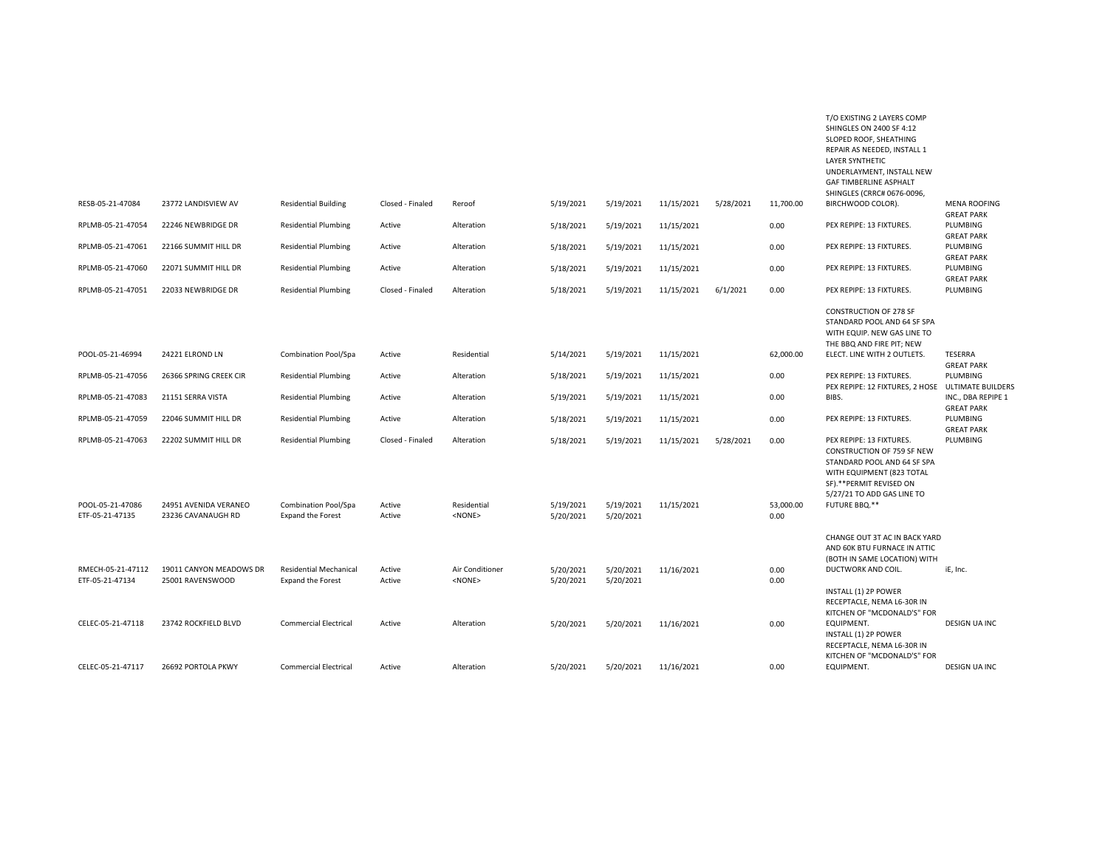|                                      |                                             |                                                           |                  |                                  |                        |                        |            |           |                   | REPAIR AS NEEDED, INSTALL 1<br><b>LAYER SYNTHETIC</b><br>UNDERLAYMENT, INSTALL NEW<br><b>GAF TIMBERLINE ASPHALT</b><br>SHINGLES (CRRC# 0676-0096,                           |                                          |
|--------------------------------------|---------------------------------------------|-----------------------------------------------------------|------------------|----------------------------------|------------------------|------------------------|------------|-----------|-------------------|-----------------------------------------------------------------------------------------------------------------------------------------------------------------------------|------------------------------------------|
| RESB-05-21-47084                     | 23772 LANDISVIEW AV                         | <b>Residential Building</b>                               | Closed - Finaled | Reroof                           | 5/19/2021              | 5/19/2021              | 11/15/2021 | 5/28/2021 | 11,700.00         | BIRCHWOOD COLOR).                                                                                                                                                           | <b>MENA ROOFING</b><br><b>GREAT PARK</b> |
| RPLMB-05-21-47054                    | 22246 NEWBRIDGE DR                          | <b>Residential Plumbing</b>                               | Active           | Alteration                       | 5/18/2021              | 5/19/2021              | 11/15/2021 |           | 0.00              | PEX REPIPE: 13 FIXTURES.                                                                                                                                                    | PLUMBING<br><b>GREAT PARK</b>            |
| RPLMB-05-21-47061                    | 22166 SUMMIT HILL DR                        | <b>Residential Plumbing</b>                               | Active           | Alteration                       | 5/18/2021              | 5/19/2021              | 11/15/2021 |           | 0.00              | PEX REPIPE: 13 FIXTURES.                                                                                                                                                    | PLUMBING<br><b>GREAT PARK</b>            |
| RPLMB-05-21-47060                    | 22071 SUMMIT HILL DR                        | <b>Residential Plumbing</b>                               | Active           | Alteration                       | 5/18/2021              | 5/19/2021              | 11/15/2021 |           | 0.00              | PEX REPIPE: 13 FIXTURES.                                                                                                                                                    | PLUMBING<br><b>GREAT PARK</b>            |
| RPLMB-05-21-47051                    | 22033 NEWBRIDGE DR                          | <b>Residential Plumbing</b>                               | Closed - Finaled | Alteration                       | 5/18/2021              | 5/19/2021              | 11/15/2021 | 6/1/2021  | 0.00              | PEX REPIPE: 13 FIXTURES.                                                                                                                                                    | PLUMBING                                 |
|                                      |                                             |                                                           |                  |                                  |                        |                        |            |           |                   | <b>CONSTRUCTION OF 278 SF</b><br>STANDARD POOL AND 64 SF SPA<br>WITH EQUIP. NEW GAS LINE TO<br>THE BBQ AND FIRE PIT; NEW                                                    |                                          |
| POOL-05-21-46994                     | 24221 ELROND LN                             | Combination Pool/Spa                                      | Active           | Residential                      | 5/14/2021              | 5/19/2021              | 11/15/2021 |           | 62,000.00         | ELECT. LINE WITH 2 OUTLETS.                                                                                                                                                 | TESERRA<br><b>GREAT PARK</b>             |
| RPLMB-05-21-47056                    | 26366 SPRING CREEK CIR                      | <b>Residential Plumbing</b>                               | Active           | Alteration                       | 5/18/2021              | 5/19/2021              | 11/15/2021 |           | 0.00              | PEX REPIPE: 13 FIXTURES.<br>PEX REPIPE: 12 FIXTURES, 2 HOSE                                                                                                                 | PLUMBING<br><b>ULTIMATE BUILDERS</b>     |
| RPLMB-05-21-47083                    | 21151 SERRA VISTA                           | <b>Residential Plumbing</b>                               | Active           | Alteration                       | 5/19/2021              | 5/19/2021              | 11/15/2021 |           | 0.00              | BIBS.                                                                                                                                                                       | INC., DBA REPIPE 1<br><b>GREAT PARK</b>  |
| RPLMB-05-21-47059                    | 22046 SUMMIT HILL DR                        | <b>Residential Plumbing</b>                               | Active           | Alteration                       | 5/18/2021              | 5/19/2021              | 11/15/2021 |           | 0.00              | PEX REPIPE: 13 FIXTURES.                                                                                                                                                    | PLUMBING<br><b>GREAT PARK</b>            |
| RPLMB-05-21-47063                    | 22202 SUMMIT HILL DR                        | <b>Residential Plumbing</b>                               | Closed - Finaled | Alteration                       | 5/18/2021              | 5/19/2021              | 11/15/2021 | 5/28/2021 | 0.00              | PEX REPIPE: 13 FIXTURES.<br>CONSTRUCTION OF 759 SF NEW<br>STANDARD POOL AND 64 SF SPA<br>WITH EQUIPMENT (823 TOTAL<br>SF).**PERMIT REVISED ON<br>5/27/21 TO ADD GAS LINE TO | PLUMBING                                 |
| POOL-05-21-47086<br>ETF-05-21-47135  | 24951 AVENIDA VERANEO<br>23236 CAVANAUGH RD | Combination Pool/Spa<br><b>Expand the Forest</b>          | Active<br>Active | Residential<br>$<$ NONE $>$      | 5/19/2021<br>5/20/2021 | 5/19/2021<br>5/20/2021 | 11/15/2021 |           | 53,000.00<br>0.00 | FUTURE BBQ.**                                                                                                                                                               |                                          |
|                                      |                                             |                                                           |                  |                                  |                        |                        |            |           |                   | CHANGE OUT 3T AC IN BACK YARD<br>AND 60K BTU FURNACE IN ATTIC<br>(BOTH IN SAME LOCATION) WITH                                                                               |                                          |
| RMECH-05-21-47112<br>ETF-05-21-47134 | 19011 CANYON MEADOWS DR<br>25001 RAVENSWOOD | <b>Residential Mechanical</b><br><b>Expand the Forest</b> | Active<br>Active | Air Conditioner<br><none></none> | 5/20/2021<br>5/20/2021 | 5/20/2021<br>5/20/2021 | 11/16/2021 |           | 0.00<br>0.00      | DUCTWORK AND COIL.                                                                                                                                                          | iE, Inc.                                 |
|                                      |                                             |                                                           |                  |                                  |                        |                        |            |           |                   | INSTALL (1) 2P POWER<br>RECEPTACLE, NEMA L6-30R IN<br>KITCHEN OF "MCDONALD'S" FOR                                                                                           |                                          |
| CELEC-05-21-47118                    | 23742 ROCKFIELD BLVD                        | <b>Commercial Electrical</b>                              | Active           | Alteration                       | 5/20/2021              | 5/20/2021              | 11/16/2021 |           | 0.00              | EQUIPMENT.<br>INSTALL (1) 2P POWER<br>RECEPTACLE, NEMA L6-30R IN<br>KITCHEN OF "MCDONALD'S" FOR                                                                             | DESIGN UA INC                            |
| CELEC-05-21-47117                    | 26692 PORTOLA PKWY                          | <b>Commercial Electrical</b>                              | Active           | Alteration                       | 5/20/2021              | 5/20/2021              | 11/16/2021 |           | 0.00              | EQUIPMENT.                                                                                                                                                                  | DESIGN UA INC                            |

T/O EXISTING 2 LAYERS COMP SHINGLES ON 2400 SF 4:12 SLOPED ROOF, SHEATHING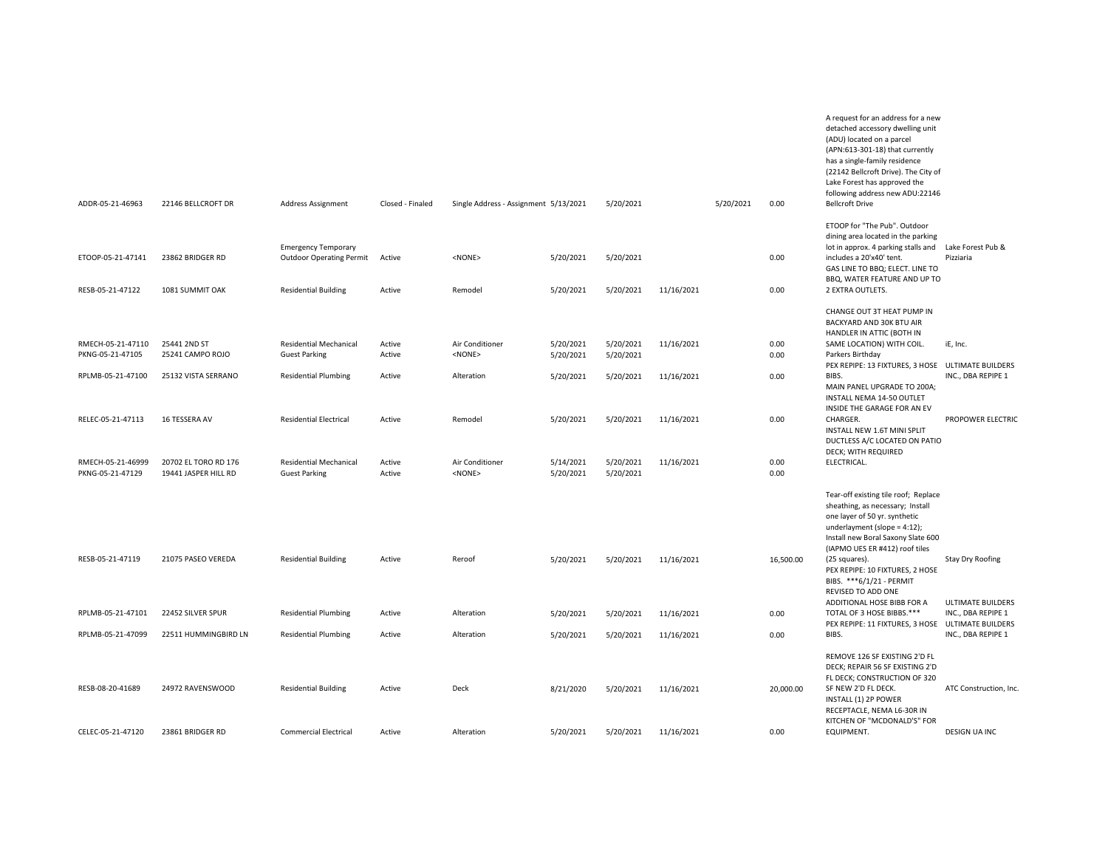| ADDR-05-21-46963                      | 22146 BELLCROFT DR                           | Address Assignment                                            | Closed - Finaled | Single Address - Assignment 5/13/2021 |                        | 5/20/2021              |            | 5/20/2021 | 0.00         | (ADU) located on a parcel<br>(APN:613-301-18) that currently<br>has a single-family residence<br>(22142 Bellcroft Drive). The City of<br>Lake Forest has approved the<br>following address new ADU:22146<br><b>Bellcroft Drive</b>                                       |                                |
|---------------------------------------|----------------------------------------------|---------------------------------------------------------------|------------------|---------------------------------------|------------------------|------------------------|------------|-----------|--------------|--------------------------------------------------------------------------------------------------------------------------------------------------------------------------------------------------------------------------------------------------------------------------|--------------------------------|
|                                       |                                              |                                                               |                  |                                       |                        |                        |            |           |              |                                                                                                                                                                                                                                                                          |                                |
| ETOOP-05-21-47141                     | 23862 BRIDGER RD                             | <b>Emergency Temporary</b><br><b>Outdoor Operating Permit</b> | Active           | <none></none>                         | 5/20/2021              | 5/20/2021              |            |           | 0.00         | ETOOP for "The Pub". Outdoor<br>dining area located in the parking<br>lot in approx. 4 parking stalls and<br>includes a 20'x40' tent.<br>GAS LINE TO BBQ; ELECT. LINE TO                                                                                                 | Lake Forest Pub &<br>Pizziaria |
| RESB-05-21-47122                      | 1081 SUMMIT OAK                              | <b>Residential Building</b>                                   | Active           | Remodel                               | 5/20/2021              | 5/20/2021              | 11/16/2021 |           | 0.00         | BBQ, WATER FEATURE AND UP TO<br>2 EXTRA OUTLETS.                                                                                                                                                                                                                         |                                |
|                                       |                                              |                                                               |                  |                                       |                        |                        |            |           |              | CHANGE OUT 3T HEAT PUMP IN<br>BACKYARD AND 30K BTU AIR<br>HANDLER IN ATTIC (BOTH IN                                                                                                                                                                                      |                                |
| RMECH-05-21-47110<br>PKNG-05-21-47105 | 25441 2ND ST<br>25241 CAMPO ROJO             | Residential Mechanical<br><b>Guest Parking</b>                | Active<br>Active | Air Conditioner<br><none></none>      | 5/20/2021<br>5/20/2021 | 5/20/2021<br>5/20/2021 | 11/16/2021 |           | 0.00<br>0.00 | SAME LOCATION) WITH COIL.<br>Parkers Birthday                                                                                                                                                                                                                            | iE, Inc.                       |
| RPLMB-05-21-47100                     | 25132 VISTA SERRANO                          | <b>Residential Plumbing</b>                                   | Active           | Alteration                            | 5/20/2021              | 5/20/2021              | 11/16/2021 |           | 0.00         | PEX REPIPE: 13 FIXTURES, 3 HOSE ULTIMATE BUILDERS<br>BIBS.<br>MAIN PANEL UPGRADE TO 200A;<br>INSTALL NEMA 14-50 OUTLET<br>INSIDE THE GARAGE FOR AN EV                                                                                                                    | INC., DBA REPIPE 1             |
| RELEC-05-21-47113                     | 16 TESSERA AV                                | <b>Residential Electrical</b>                                 | Active           | Remodel                               | 5/20/2021              | 5/20/2021              | 11/16/2021 |           | 0.00         | CHARGER.<br>INSTALL NEW 1.6T MINI SPLIT<br>DUCTLESS A/C LOCATED ON PATIO<br>DECK; WITH REQUIRED                                                                                                                                                                          | PROPOWER ELECTRIC              |
| RMECH-05-21-46999<br>PKNG-05-21-47129 | 20702 EL TORO RD 176<br>19441 JASPER HILL RD | <b>Residential Mechanical</b><br><b>Guest Parking</b>         | Active<br>Active | Air Conditioner<br>$<$ NONE $>$       | 5/14/2021<br>5/20/2021 | 5/20/2021<br>5/20/2021 | 11/16/2021 |           | 0.00<br>0.00 | ELECTRICAL.                                                                                                                                                                                                                                                              |                                |
| RESB-05-21-47119                      | 21075 PASEO VEREDA                           | <b>Residential Building</b>                                   | Active           | Reroof                                | 5/20/2021              | 5/20/2021              | 11/16/2021 |           | 16,500.00    | Tear-off existing tile roof; Replace<br>sheathing, as necessary; Install<br>one layer of 50 yr. synthetic<br>underlayment (slope = $4:12$ );<br>Install new Boral Saxony Slate 600<br>(IAPMO UES ER #412) roof tiles<br>(25 squares).<br>PEX REPIPE: 10 FIXTURES, 2 HOSE | <b>Stay Dry Roofing</b>        |
|                                       |                                              |                                                               |                  |                                       |                        |                        |            |           |              | BIBS. ***6/1/21 - PERMIT<br>REVISED TO ADD ONE<br>ADDITIONAL HOSE BIBB FOR A                                                                                                                                                                                             | <b>ULTIMATE BUILDERS</b>       |
| RPLMB-05-21-47101                     | 22452 SILVER SPUR                            | <b>Residential Plumbing</b>                                   | Active           | Alteration                            | 5/20/2021              | 5/20/2021              | 11/16/2021 |           | 0.00         | TOTAL OF 3 HOSE BIBBS.***<br>PEX REPIPE: 11 FIXTURES, 3 HOSE ULTIMATE BUILDERS                                                                                                                                                                                           | INC., DBA REPIPE 1             |
| RPLMB-05-21-47099                     | 22511 HUMMINGBIRD LN                         | <b>Residential Plumbing</b>                                   | Active           | Alteration                            | 5/20/2021              | 5/20/2021              | 11/16/2021 |           | 0.00         | BIBS.                                                                                                                                                                                                                                                                    | INC., DBA REPIPE 1             |
| RESB-08-20-41689                      | 24972 RAVENSWOOD                             | <b>Residential Building</b>                                   | Active           | Deck                                  | 8/21/2020              | 5/20/2021              | 11/16/2021 |           | 20,000.00    | REMOVE 126 SF EXISTING 2'D FL<br>DECK: REPAIR 56 SF EXISTING 2'D<br>FL DECK; CONSTRUCTION OF 320<br>SF NEW 2'D FL DECK.<br>INSTALL (1) 2P POWER<br>RECEPTACLE, NEMA L6-30R IN<br>KITCHEN OF "MCDONALD'S" FOR                                                             | ATC Construction, Inc.         |
| CELEC-05-21-47120                     | 23861 BRIDGER RD                             | <b>Commercial Electrical</b>                                  | Active           | Alteration                            | 5/20/2021              | 5/20/2021              | 11/16/2021 |           | 0.00         | EQUIPMENT.                                                                                                                                                                                                                                                               | <b>DESIGN UA INC</b>           |

A request for an address for a new detached accessory dwelling unit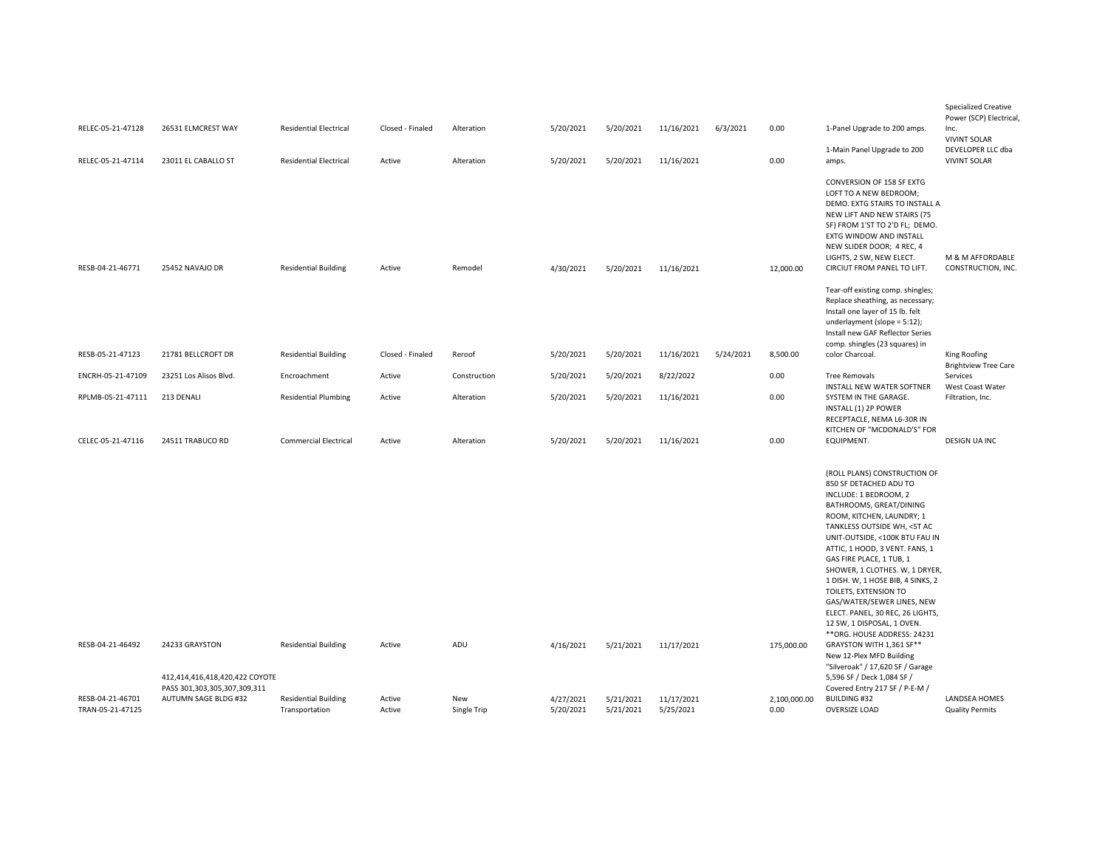| RELEC-05-21-47128<br>RELEC-05-21-47114 | 26531 ELMCREST WAY<br>23011 EL CABALLO ST            | <b>Residential Electrical</b><br><b>Residential Electrical</b> | Closed - Finaled<br>Active | Alteration<br>Alteration | 5/20/2021<br>5/20/2021 | 5/20/2021<br>5/20/2021 | 11/16/2021<br>11/16/2021 | 6/3/2021  | 0.00<br>0.00         | 1-Panel Upgrade to 200 amps.<br>1-Main Panel Upgrade to 200<br>amps.                                                                                                                                                                                                                                                                                                                                                                                                                                                                                                                                                             | <b>Specialized Creative</b><br>Power (SCP) Electrical,<br>Inc.<br><b>VIVINT SOLAR</b><br>DEVELOPER LLC dba<br><b>VIVINT SOLAR</b> |
|----------------------------------------|------------------------------------------------------|----------------------------------------------------------------|----------------------------|--------------------------|------------------------|------------------------|--------------------------|-----------|----------------------|----------------------------------------------------------------------------------------------------------------------------------------------------------------------------------------------------------------------------------------------------------------------------------------------------------------------------------------------------------------------------------------------------------------------------------------------------------------------------------------------------------------------------------------------------------------------------------------------------------------------------------|-----------------------------------------------------------------------------------------------------------------------------------|
| RESB-04-21-46771                       | 25452 NAVAJO DR                                      | <b>Residential Building</b>                                    | Active                     | Remodel                  | 4/30/2021              | 5/20/2021              | 11/16/2021               |           | 12,000.00            | CONVERSION OF 158 SF EXTG<br>LOFT TO A NEW BEDROOM;<br>DEMO. EXTG STAIRS TO INSTALL A<br>NEW LIFT AND NEW STAIRS (75<br>SF) FROM 1'ST TO 2'D FL; DEMO.<br>EXTG WINDOW AND INSTALL<br>NEW SLIDER DOOR; 4 REC, 4<br>LIGHTS, 2 SW, NEW ELECT.<br>CIRCIUT FROM PANEL TO LIFT.                                                                                                                                                                                                                                                                                                                                                        | M & M AFFORDABLE<br>CONSTRUCTION, INC.                                                                                            |
| RESB-05-21-47123                       | 21781 BELLCROFT DR                                   | <b>Residential Building</b>                                    | Closed - Finaled           | Reroof                   | 5/20/2021              | 5/20/2021              | 11/16/2021               | 5/24/2021 | 8,500.00             | Tear-off existing comp. shingles;<br>Replace sheathing, as necessary;<br>Install one layer of 15 lb. felt<br>underlayment (slope = 5:12);<br>Install new GAF Reflector Series<br>comp. shingles (23 squares) in<br>color Charcoal.                                                                                                                                                                                                                                                                                                                                                                                               | King Roofing                                                                                                                      |
| ENCRH-05-21-47109                      | 23251 Los Alisos Blvd.                               | Encroachment                                                   | Active                     | Construction             | 5/20/2021              | 5/20/2021              | 8/22/2022                |           | 0.00                 | <b>Tree Removals</b>                                                                                                                                                                                                                                                                                                                                                                                                                                                                                                                                                                                                             | <b>Brightview Tree Care</b><br>Services                                                                                           |
| RPLMB-05-21-47111                      | 213 DENALI                                           | <b>Residential Plumbing</b>                                    | Active                     | Alteration               | 5/20/2021              | 5/20/2021              | 11/16/2021               |           | 0.00                 | INSTALL NEW WATER SOFTNER<br>SYSTEM IN THE GARAGE.                                                                                                                                                                                                                                                                                                                                                                                                                                                                                                                                                                               | West Coast Water<br>Filtration, Inc.                                                                                              |
| CELEC-05-21-47116                      | 24511 TRABUCO RD                                     | <b>Commercial Electrical</b>                                   | Active                     | Alteration               | 5/20/2021              | 5/20/2021              | 11/16/2021               |           | 0.00                 | INSTALL (1) 2P POWER<br>RECEPTACLE, NEMA L6-30R IN<br>KITCHEN OF "MCDONALD'S" FOR<br>EQUIPMENT.                                                                                                                                                                                                                                                                                                                                                                                                                                                                                                                                  | <b>DESIGN UA INC</b>                                                                                                              |
| RESB-04-21-46492                       | 24233 GRAYSTON<br>412,414,416,418,420,422 COYOTE     | <b>Residential Building</b>                                    | Active                     | ADU                      | 4/16/2021              | 5/21/2021              | 11/17/2021               |           | 175,000.00           | (ROLL PLANS) CONSTRUCTION OF<br>850 SF DETACHED ADU TO<br>INCLUDE: 1 BEDROOM, 2<br>BATHROOMS, GREAT/DINING<br>ROOM, KITCHEN, LAUNDRY; 1<br>TANKLESS OUTSIDE WH, <5T AC<br>UNIT-OUTSIDE, <100K BTU FAU IN<br>ATTIC, 1 HOOD, 3 VENT. FANS, 1<br>GAS FIRE PLACE, 1 TUB, 1<br>SHOWER, 1 CLOTHES. W, 1 DRYER,<br>1 DISH. W, 1 HOSE BIB, 4 SINKS, 2<br>TOILETS, EXTENSION TO<br>GAS/WATER/SEWER LINES, NEW<br>ELECT. PANEL, 30 REC, 26 LIGHTS,<br>12 SW, 1 DISPOSAL, 1 OVEN.<br>** ORG. HOUSE ADDRESS: 24231<br>GRAYSTON WITH 1,361 SF**<br>New 12-Plex MFD Building<br>"Silveroak" / 17,620 SF / Garage<br>5,596 SF / Deck 1,084 SF / |                                                                                                                                   |
| RESB-04-21-46701<br>TRAN-05-21-47125   | PASS 301,303,305,307,309,311<br>AUTUMN SAGE BLDG #32 | <b>Residential Building</b><br>Transportation                  | Active<br>Active           | New<br>Single Trip       | 4/27/2021<br>5/20/2021 | 5/21/2021<br>5/21/2021 | 11/17/2021<br>5/25/2021  |           | 2,100,000.00<br>0.00 | Covered Entry 217 SF / P-E-M /<br><b>BUILDING #32</b><br><b>OVERSIZE LOAD</b>                                                                                                                                                                                                                                                                                                                                                                                                                                                                                                                                                    | LANDSEA HOMES<br><b>Quality Permits</b>                                                                                           |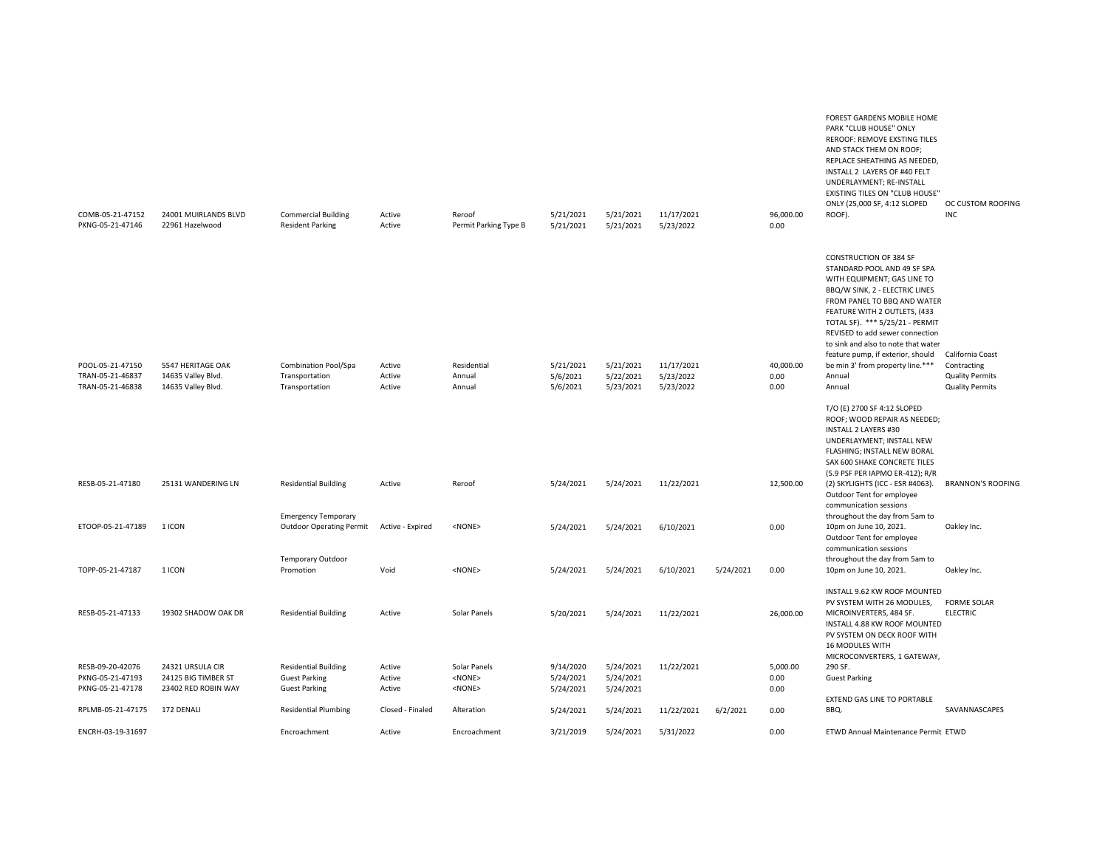| COMB-05-21-47152<br>PKNG-05-21-47146                     | 24001 MUIRLANDS BLVD<br>22961 Hazelwood                        | <b>Commercial Building</b><br><b>Resident Parking</b>                       | Active<br>Active           | Reroof<br>Permit Parking Type B              | 5/21/2021<br>5/21/2021              | 5/21/2021<br>5/21/2021              | 11/17/2021<br>5/23/2022 |           | 96,000.00<br>0.00        | FOREST GARDENS MOBILE HOME<br>PARK "CLUB HOUSE" ONLY<br>REROOF: REMOVE EXSTING TILES<br>AND STACK THEM ON ROOF;<br>REPLACE SHEATHING AS NEEDED,<br>INSTALL 2 LAYERS OF #40 FELT<br>UNDERLAYMENT; RE-INSTALL<br>EXISTING TILES ON "CLUB HOUSE"<br>ONLY (25,000 SF, 4:12 SLOPED<br>ROOF).                                                                                                      | OC CUSTOM ROOFING<br><b>INC</b>                           |
|----------------------------------------------------------|----------------------------------------------------------------|-----------------------------------------------------------------------------|----------------------------|----------------------------------------------|-------------------------------------|-------------------------------------|-------------------------|-----------|--------------------------|----------------------------------------------------------------------------------------------------------------------------------------------------------------------------------------------------------------------------------------------------------------------------------------------------------------------------------------------------------------------------------------------|-----------------------------------------------------------|
| POOL-05-21-47150<br>TRAN-05-21-46837                     | 5547 HERITAGE OAK<br>14635 Valley Blvd.                        | Combination Pool/Spa<br>Transportation                                      | Active<br>Active           | Residential<br>Annual                        | 5/21/2021<br>5/6/2021               | 5/21/2021<br>5/22/2021              | 11/17/2021<br>5/23/2022 |           | 40,000.00<br>0.00        | <b>CONSTRUCTION OF 384 SF</b><br>STANDARD POOL AND 49 SF SPA<br>WITH EQUIPMENT; GAS LINE TO<br>BBQ/W SINK, 2 - ELECTRIC LINES<br>FROM PANEL TO BBQ AND WATER<br>FEATURE WITH 2 OUTLETS, (433<br>TOTAL SF). *** 5/25/21 - PERMIT<br>REVISED to add sewer connection<br>to sink and also to note that water<br>feature pump, if exterior, should<br>be min 3' from property line.***<br>Annual | California Coast<br>Contracting<br><b>Quality Permits</b> |
| TRAN-05-21-46838                                         | 14635 Valley Blvd.                                             | Transportation                                                              | Active                     | Annual                                       | 5/6/2021                            | 5/23/2021                           | 5/23/2022               |           | 0.00                     | Annual<br>T/O (E) 2700 SF 4:12 SLOPED<br>ROOF; WOOD REPAIR AS NEEDED;<br><b>INSTALL 2 LAYERS #30</b><br>UNDERLAYMENT; INSTALL NEW<br>FLASHING; INSTALL NEW BORAL<br>SAX 600 SHAKE CONCRETE TILES<br>(5.9 PSF PER IAPMO ER-412); R/R                                                                                                                                                          | <b>Quality Permits</b>                                    |
| RESB-05-21-47180                                         | 25131 WANDERING LN                                             | <b>Residential Building</b><br><b>Emergency Temporary</b>                   | Active                     | Reroof                                       | 5/24/2021                           | 5/24/2021                           | 11/22/2021              |           | 12,500.00                | (2) SKYLIGHTS (ICC - ESR #4063).<br>Outdoor Tent for employee<br>communication sessions<br>throughout the day from 5am to                                                                                                                                                                                                                                                                    | <b>BRANNON'S ROOFING</b>                                  |
| ETOOP-05-21-47189                                        | 1 ICON                                                         | <b>Outdoor Operating Permit</b><br><b>Temporary Outdoor</b>                 | Active - Expired           | $<$ NONE $>$                                 | 5/24/2021                           | 5/24/2021                           | 6/10/2021               |           | 0.00                     | 10pm on June 10, 2021.<br>Outdoor Tent for employee<br>communication sessions<br>throughout the day from 5am to                                                                                                                                                                                                                                                                              | Oakley Inc.                                               |
| TOPP-05-21-47187                                         | 1 ICON                                                         | Promotion                                                                   | Void                       | <none></none>                                | 5/24/2021                           | 5/24/2021                           | 6/10/2021               | 5/24/2021 | 0.00                     | 10pm on June 10, 2021.                                                                                                                                                                                                                                                                                                                                                                       | Oakley Inc.                                               |
| RESB-05-21-47133                                         | 19302 SHADOW OAK DR                                            | <b>Residential Building</b>                                                 | Active                     | Solar Panels                                 | 5/20/2021                           | 5/24/2021                           | 11/22/2021              |           | 26,000.00                | INSTALL 9.62 KW ROOF MOUNTED<br>PV SYSTEM WITH 26 MODULES,<br>MICROINVERTERS, 484 SF.<br>INSTALL 4.88 KW ROOF MOUNTED<br>PV SYSTEM ON DECK ROOF WITH<br><b>16 MODULES WITH</b><br>MICROCONVERTERS, 1 GATEWAY,                                                                                                                                                                                | <b>FORME SOLAR</b><br><b>ELECTRIC</b>                     |
| RESB-09-20-42076<br>PKNG-05-21-47193<br>PKNG-05-21-47178 | 24321 URSULA CIR<br>24125 BIG TIMBER ST<br>23402 RED ROBIN WAY | <b>Residential Building</b><br><b>Guest Parking</b><br><b>Guest Parking</b> | Active<br>Active<br>Active | Solar Panels<br>$<$ NONE $>$<br>$<$ NONE $>$ | 9/14/2020<br>5/24/2021<br>5/24/2021 | 5/24/2021<br>5/24/2021<br>5/24/2021 | 11/22/2021              |           | 5,000.00<br>0.00<br>0.00 | 290 SF.<br><b>Guest Parking</b>                                                                                                                                                                                                                                                                                                                                                              |                                                           |
| RPLMB-05-21-47175                                        | 172 DENALI                                                     | <b>Residential Plumbing</b>                                                 | Closed - Finaled           | Alteration                                   | 5/24/2021                           | 5/24/2021                           | 11/22/2021              | 6/2/2021  | 0.00                     | <b>EXTEND GAS LINE TO PORTABLE</b><br>BBQ.                                                                                                                                                                                                                                                                                                                                                   | SAVANNASCAPES                                             |
| ENCRH-03-19-31697                                        |                                                                | Encroachment                                                                | Active                     | Encroachment                                 | 3/21/2019                           | 5/24/2021                           | 5/31/2022               |           | 0.00                     | ETWD Annual Maintenance Permit ETWD                                                                                                                                                                                                                                                                                                                                                          |                                                           |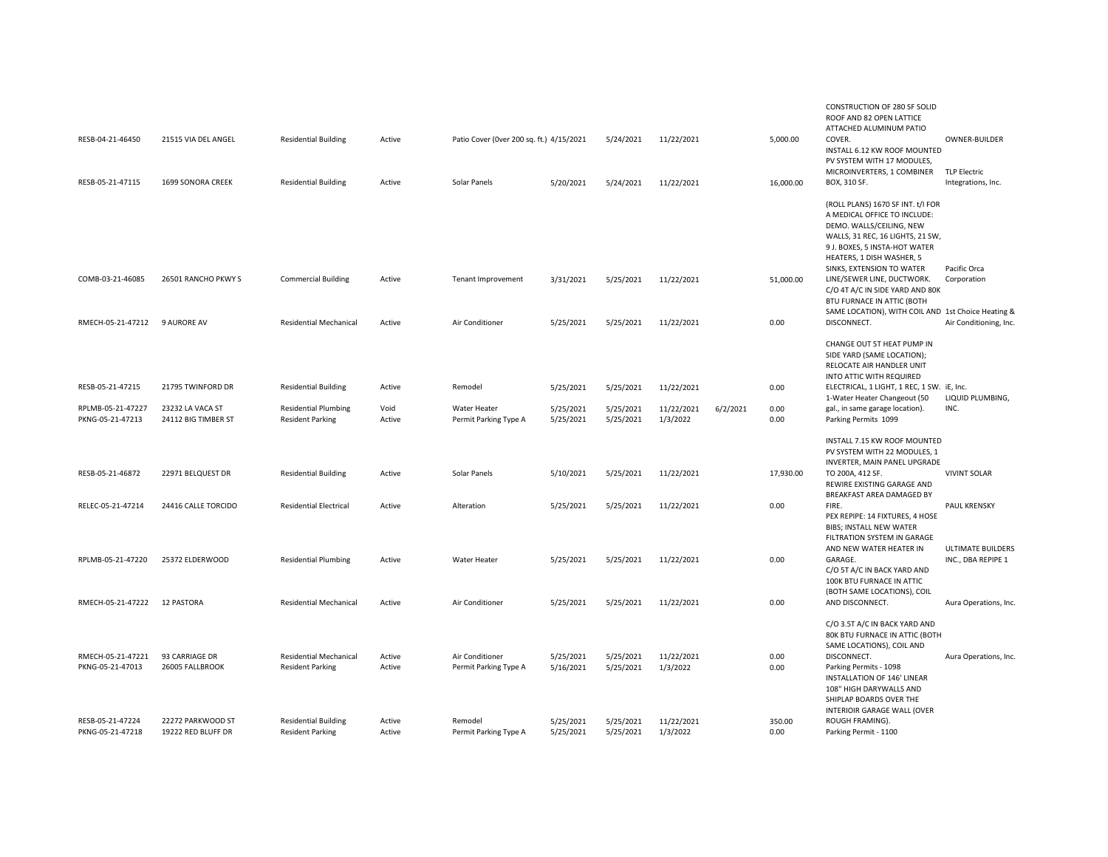| 21515 VIA DEL ANGEL                     | <b>Residential Building</b>                                                                                                           | Active                                                                                                                       |                                    |                                                               | 5/24/2021                                                                                    | 11/22/2021                                       |                                                      | 5,000.00       | CONSTRUCTION OF 280 SF SOLID<br>ROOF AND 82 OPEN LATTICE<br>ATTACHED ALUMINUM PATIO<br>COVER.<br>INSTALL 6.12 KW ROOF MOUNTED                                                                                                                                                                                                                                                     | OWNER-BUILDER                                                                                                                                                                                         |
|-----------------------------------------|---------------------------------------------------------------------------------------------------------------------------------------|------------------------------------------------------------------------------------------------------------------------------|------------------------------------|---------------------------------------------------------------|----------------------------------------------------------------------------------------------|--------------------------------------------------|------------------------------------------------------|----------------|-----------------------------------------------------------------------------------------------------------------------------------------------------------------------------------------------------------------------------------------------------------------------------------------------------------------------------------------------------------------------------------|-------------------------------------------------------------------------------------------------------------------------------------------------------------------------------------------------------|
| 1699 SONORA CREEK                       | <b>Residential Building</b>                                                                                                           | Active                                                                                                                       | Solar Panels                       | 5/20/2021                                                     | 5/24/2021                                                                                    | 11/22/2021                                       |                                                      | 16,000.00      | MICROINVERTERS, 1 COMBINER<br>BOX, 310 SF.                                                                                                                                                                                                                                                                                                                                        | <b>TLP Electric</b><br>Integrations, Inc.                                                                                                                                                             |
| 26501 RANCHO PKWY S                     | <b>Commercial Building</b>                                                                                                            | Active                                                                                                                       | Tenant Improvement                 | 3/31/2021                                                     | 5/25/2021                                                                                    | 11/22/2021                                       |                                                      | 51,000.00      | (ROLL PLANS) 1670 SF INT. t/I FOR<br>A MEDICAL OFFICE TO INCLUDE:<br>DEMO. WALLS/CEILING, NEW<br>WALLS, 31 REC, 16 LIGHTS, 21 SW,<br>9 J. BOXES, 5 INSTA-HOT WATER<br>HEATERS, 1 DISH WASHER, 5<br>SINKS, EXTENSION TO WATER<br>LINE/SEWER LINE, DUCTWORK.<br>C/O 4T A/C IN SIDE YARD AND 80K<br>BTU FURNACE IN ATTIC (BOTH<br>SAME LOCATION), WITH COIL AND 1st Choice Heating & | Pacific Orca<br>Corporation<br>Air Conditioning, Inc.                                                                                                                                                 |
|                                         |                                                                                                                                       |                                                                                                                              |                                    |                                                               |                                                                                              |                                                  |                                                      |                | CHANGE OUT 5T HEAT PUMP IN                                                                                                                                                                                                                                                                                                                                                        |                                                                                                                                                                                                       |
|                                         |                                                                                                                                       |                                                                                                                              |                                    |                                                               |                                                                                              |                                                  |                                                      |                | SIDE YARD (SAME LOCATION);<br>RELOCATE AIR HANDLER UNIT<br>INTO ATTIC WITH REQUIRED                                                                                                                                                                                                                                                                                               |                                                                                                                                                                                                       |
|                                         |                                                                                                                                       |                                                                                                                              |                                    |                                                               |                                                                                              |                                                  |                                                      |                | 1-Water Heater Changeout (50                                                                                                                                                                                                                                                                                                                                                      | LIQUID PLUMBING,                                                                                                                                                                                      |
| 24112 BIG TIMBER ST                     | <b>Resident Parking</b>                                                                                                               | Active                                                                                                                       | Permit Parking Type A              | 5/25/2021                                                     | 5/25/2021                                                                                    | 1/3/2022                                         |                                                      | 0.00           | Parking Permits 1099                                                                                                                                                                                                                                                                                                                                                              | INC.                                                                                                                                                                                                  |
|                                         |                                                                                                                                       |                                                                                                                              |                                    |                                                               |                                                                                              |                                                  |                                                      |                | INSTALL 7.15 KW ROOF MOUNTED<br>PV SYSTEM WITH 22 MODULES, 1<br>INVERTER, MAIN PANEL UPGRADE                                                                                                                                                                                                                                                                                      |                                                                                                                                                                                                       |
| 22971 BELQUEST DR                       | <b>Residential Building</b>                                                                                                           | Active                                                                                                                       | Solar Panels                       | 5/10/2021                                                     | 5/25/2021                                                                                    | 11/22/2021                                       |                                                      | 17,930.00      | TO 200A, 412 SF.<br>REWIRE EXISTING GARAGE AND                                                                                                                                                                                                                                                                                                                                    | <b>VIVINT SOLAR</b>                                                                                                                                                                                   |
| 24416 CALLE TORCIDO                     | <b>Residential Electrical</b>                                                                                                         | Active                                                                                                                       | Alteration                         | 5/25/2021                                                     | 5/25/2021                                                                                    | 11/22/2021                                       |                                                      | 0.00           | FIRE.<br>PEX REPIPE: 14 FIXTURES, 4 HOSE<br><b>BIBS; INSTALL NEW WATER</b><br>FILTRATION SYSTEM IN GARAGE                                                                                                                                                                                                                                                                         | <b>PAUL KRENSKY</b>                                                                                                                                                                                   |
| 25372 ELDERWOOD                         | <b>Residential Plumbing</b>                                                                                                           | Active                                                                                                                       | Water Heater                       | 5/25/2021                                                     | 5/25/2021                                                                                    | 11/22/2021                                       |                                                      | 0.00           | AND NEW WATER HEATER IN<br>GARAGE.<br>C/O 5T A/C IN BACK YARD AND<br>100K BTU FURNACE IN ATTIC                                                                                                                                                                                                                                                                                    | <b>ULTIMATE BUILDERS</b><br>INC., DBA REPIPE 1                                                                                                                                                        |
| <b>12 PASTORA</b>                       | <b>Residential Mechanical</b>                                                                                                         | Active                                                                                                                       | Air Conditioner                    | 5/25/2021                                                     | 5/25/2021                                                                                    | 11/22/2021                                       |                                                      | 0.00           | AND DISCONNECT.                                                                                                                                                                                                                                                                                                                                                                   | Aura Operations, Inc.                                                                                                                                                                                 |
|                                         |                                                                                                                                       |                                                                                                                              |                                    |                                                               |                                                                                              |                                                  |                                                      |                | C/O 3.5T A/C IN BACK YARD AND<br>80K BTU FURNACE IN ATTIC (BOTH<br>SAME LOCATIONS), COIL AND                                                                                                                                                                                                                                                                                      | Aura Operations, Inc.                                                                                                                                                                                 |
| 26005 FALLBROOK                         | <b>Resident Parking</b>                                                                                                               | Active                                                                                                                       | Permit Parking Type A              | 5/16/2021                                                     | 5/25/2021                                                                                    | 1/3/2022                                         |                                                      | 0.00           | Parking Permits - 1098<br>INSTALLATION OF 146' LINEAR<br>108" HIGH DARYWALLS AND<br>SHIPLAP BOARDS OVER THE<br>INTERIOIR GARAGE WALL (OVER                                                                                                                                                                                                                                        |                                                                                                                                                                                                       |
| 22272 PARKWOOD ST<br>19222 RED BLUFF DR | <b>Residential Building</b><br><b>Resident Parking</b>                                                                                | Active<br>Active                                                                                                             | Remodel<br>Permit Parking Type A   | 5/25/2021<br>5/25/2021                                        | 5/25/2021<br>5/25/2021                                                                       | 11/22/2021<br>1/3/2022                           |                                                      | 350.00<br>0.00 | ROUGH FRAMING).<br>Parking Permit - 1100                                                                                                                                                                                                                                                                                                                                          |                                                                                                                                                                                                       |
| RPLMB-05-21-47227<br>RPLMB-05-21-47220  | RMECH-05-21-47212<br>9 AURORE AV<br>21795 TWINFORD DR<br>23232 LA VACA ST<br>RMECH-05-21-47222<br>RMECH-05-21-47221<br>93 CARRIAGE DR | <b>Residential Mechanical</b><br><b>Residential Building</b><br><b>Residential Plumbing</b><br><b>Residential Mechanical</b> | Active<br>Active<br>Void<br>Active | Air Conditioner<br>Remodel<br>Water Heater<br>Air Conditioner | Patio Cover (Over 200 sq. ft.) 4/15/2021<br>5/25/2021<br>5/25/2021<br>5/25/2021<br>5/25/2021 | 5/25/2021<br>5/25/2021<br>5/25/2021<br>5/25/2021 | 11/22/2021<br>11/22/2021<br>11/22/2021<br>11/22/2021 | 6/2/2021       | 0.00<br>0.00<br>0.00<br>0.00                                                                                                                                                                                                                                                                                                                                                      | PV SYSTEM WITH 17 MODULES,<br>DISCONNECT.<br>ELECTRICAL, 1 LIGHT, 1 REC, 1 SW. iE, Inc.<br>gal., in same garage location).<br>BREAKFAST AREA DAMAGED BY<br>(BOTH SAME LOCATIONS), COIL<br>DISCONNECT. |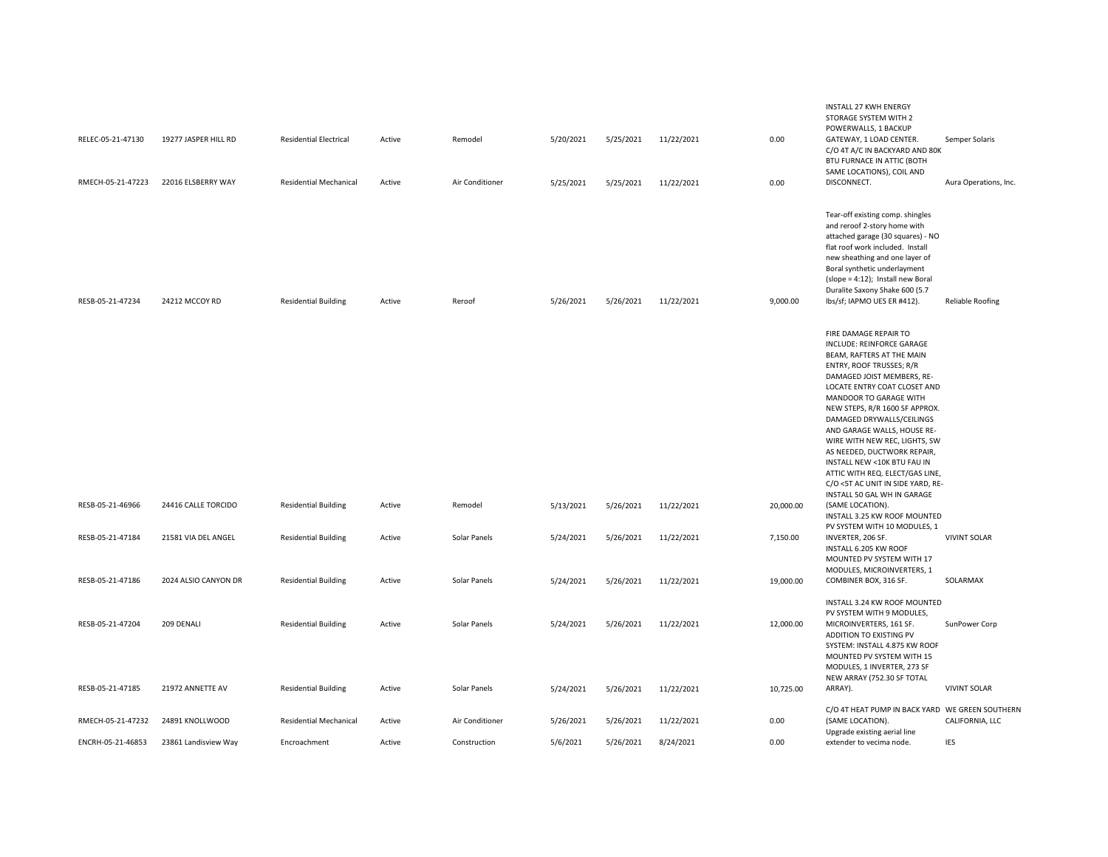| RELEC-05-21-47130<br>RMECH-05-21-47223 | 19277 JASPER HILL RD<br>22016 ELSBERRY WAY | <b>Residential Electrical</b><br>Residential Mechanical | Active<br>Active | Remodel<br>Air Conditioner | 5/20/2021<br>5/25/2021 | 5/25/2021<br>5/25/2021 | 11/22/2021<br>11/22/2021 | 0.00<br>0.00 | <b>INSTALL 27 KWH ENERGY</b><br>STORAGE SYSTEM WITH 2<br>POWERWALLS, 1 BACKUP<br>GATEWAY, 1 LOAD CENTER.<br>C/O 4T A/C IN BACKYARD AND 80K<br>BTU FURNACE IN ATTIC (BOTH<br>SAME LOCATIONS), COIL AND<br>DISCONNECT.                                                                                                                                                                                                                                                                                    | Semper Solaris<br>Aura Operations, Inc. |
|----------------------------------------|--------------------------------------------|---------------------------------------------------------|------------------|----------------------------|------------------------|------------------------|--------------------------|--------------|---------------------------------------------------------------------------------------------------------------------------------------------------------------------------------------------------------------------------------------------------------------------------------------------------------------------------------------------------------------------------------------------------------------------------------------------------------------------------------------------------------|-----------------------------------------|
|                                        |                                            |                                                         |                  |                            |                        |                        |                          |              |                                                                                                                                                                                                                                                                                                                                                                                                                                                                                                         |                                         |
| RESB-05-21-47234                       | 24212 MCCOY RD                             | <b>Residential Building</b>                             | Active           | Reroof                     | 5/26/2021              | 5/26/2021              | 11/22/2021               | 9,000.00     | Tear-off existing comp. shingles<br>and reroof 2-story home with<br>attached garage (30 squares) - NO<br>flat roof work included. Install<br>new sheathing and one layer of<br>Boral synthetic underlayment<br>(slope = 4:12); Install new Boral<br>Duralite Saxony Shake 600 (5.7<br>lbs/sf; IAPMO UES ER #412).                                                                                                                                                                                       | Reliable Roofing                        |
|                                        |                                            |                                                         |                  |                            |                        |                        |                          |              | FIRE DAMAGE REPAIR TO<br>INCLUDE: REINFORCE GARAGE<br>BEAM, RAFTERS AT THE MAIN<br>ENTRY, ROOF TRUSSES; R/R<br>DAMAGED JOIST MEMBERS, RE-<br>LOCATE ENTRY COAT CLOSET AND<br>MANDOOR TO GARAGE WITH<br>NEW STEPS, R/R 1600 SF APPROX.<br>DAMAGED DRYWALLS/CEILINGS<br>AND GARAGE WALLS, HOUSE RE-<br>WIRE WITH NEW REC, LIGHTS, SW<br>AS NEEDED, DUCTWORK REPAIR,<br>INSTALL NEW <10K BTU FAU IN<br>ATTIC WITH REQ. ELECT/GAS LINE,<br>C/O <5T AC UNIT IN SIDE YARD, RE-<br>INSTALL 50 GAL WH IN GARAGE |                                         |
| RESB-05-21-46966                       | 24416 CALLE TORCIDO                        | <b>Residential Building</b>                             | Active           | Remodel                    | 5/13/2021              | 5/26/2021              | 11/22/2021               | 20,000.00    | (SAME LOCATION).<br>INSTALL 3.25 KW ROOF MOUNTED                                                                                                                                                                                                                                                                                                                                                                                                                                                        |                                         |
| RESB-05-21-47184                       | 21581 VIA DEL ANGEL                        | <b>Residential Building</b>                             | Active           | Solar Panels               | 5/24/2021              | 5/26/2021              | 11/22/2021               | 7,150.00     | PV SYSTEM WITH 10 MODULES, 1<br>INVERTER, 206 SF.<br>INSTALL 6.205 KW ROOF<br>MOUNTED PV SYSTEM WITH 17<br>MODULES, MICROINVERTERS, 1                                                                                                                                                                                                                                                                                                                                                                   | <b>VIVINT SOLAR</b>                     |
| RESB-05-21-47186                       | 2024 ALSIO CANYON DR                       | <b>Residential Building</b>                             | Active           | Solar Panels               | 5/24/2021              | 5/26/2021              | 11/22/2021               | 19,000.00    | COMBINER BOX, 316 SF.                                                                                                                                                                                                                                                                                                                                                                                                                                                                                   | SOLARMAX                                |
| RESB-05-21-47204                       | 209 DENALI                                 | <b>Residential Building</b>                             | Active           | Solar Panels               | 5/24/2021              | 5/26/2021              | 11/22/2021               | 12,000.00    | INSTALL 3.24 KW ROOF MOUNTED<br>PV SYSTEM WITH 9 MODULES,<br>MICROINVERTERS, 161 SF.<br>ADDITION TO EXISTING PV<br>SYSTEM: INSTALL 4.875 KW ROOF<br>MOUNTED PV SYSTEM WITH 15<br>MODULES, 1 INVERTER, 273 SF<br>NEW ARRAY (752.30 SF TOTAL                                                                                                                                                                                                                                                              | SunPower Corp                           |
| RESB-05-21-47185                       | 21972 ANNETTE AV                           | <b>Residential Building</b>                             | Active           | Solar Panels               | 5/24/2021              | 5/26/2021              | 11/22/2021               | 10,725.00    | ARRAY).                                                                                                                                                                                                                                                                                                                                                                                                                                                                                                 | <b>VIVINT SOLAR</b>                     |
| RMECH-05-21-47232                      | 24891 KNOLLWOOD                            | Residential Mechanical                                  | Active           | Air Conditioner            | 5/26/2021              | 5/26/2021              | 11/22/2021               | 0.00         | C/O 4T HEAT PUMP IN BACK YARD WE GREEN SOUTHERN<br>(SAME LOCATION).<br>Upgrade existing aerial line                                                                                                                                                                                                                                                                                                                                                                                                     | CALIFORNIA, LLC                         |
| ENCRH-05-21-46853                      | 23861 Landisview Way                       | Encroachment                                            | Active           | Construction               | 5/6/2021               | 5/26/2021              | 8/24/2021                | 0.00         | extender to vecima node.                                                                                                                                                                                                                                                                                                                                                                                                                                                                                | <b>IES</b>                              |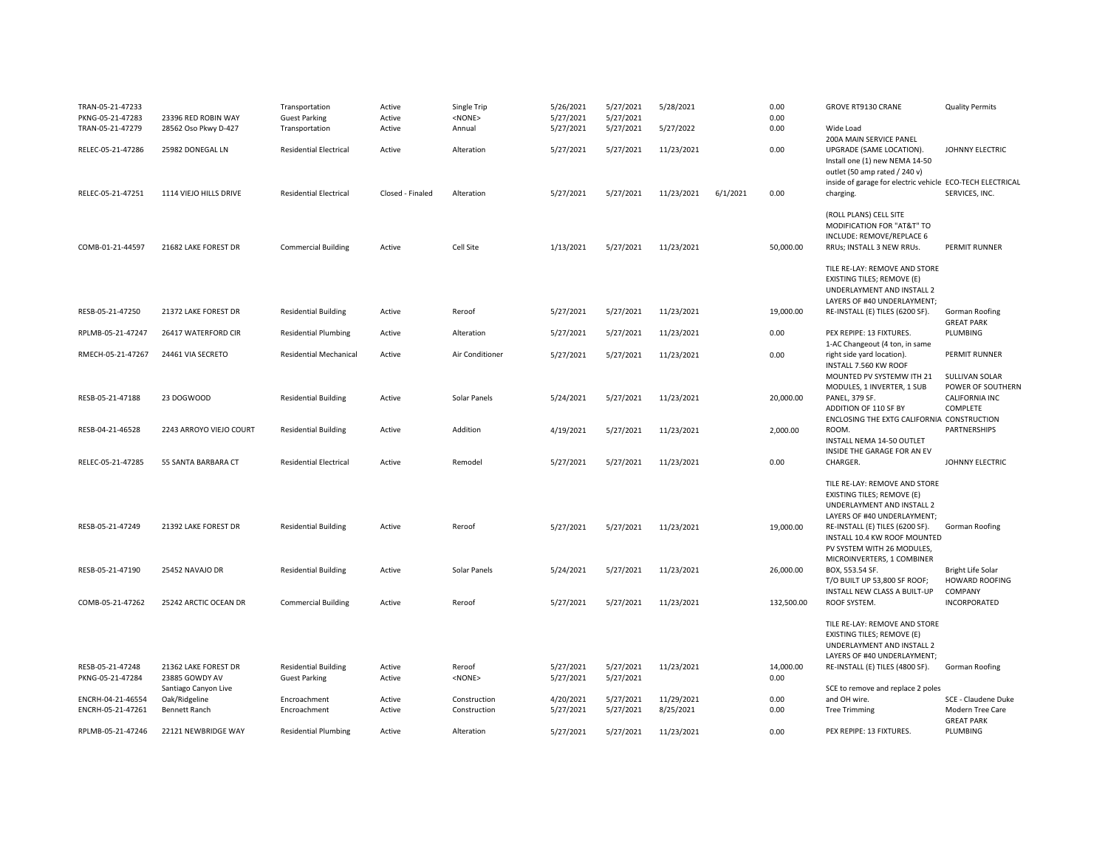| TRAN-05-21-47233  |                         | Transportation                | Active           | Single Trip     | 5/26/2021 | 5/27/2021 | 5/28/2021  |          | 0.00       | GROVE RT9130 CRANE                                        | <b>Quality Permits</b>        |
|-------------------|-------------------------|-------------------------------|------------------|-----------------|-----------|-----------|------------|----------|------------|-----------------------------------------------------------|-------------------------------|
| PKNG-05-21-47283  | 23396 RED ROBIN WAY     | <b>Guest Parking</b>          | Active           | <none></none>   | 5/27/2021 | 5/27/2021 |            |          | 0.00       |                                                           |                               |
| TRAN-05-21-47279  | 28562 Oso Pkwy D-427    | Transportation                | Active           | Annual          | 5/27/2021 | 5/27/2021 | 5/27/2022  |          | 0.00       | Wide Load                                                 |                               |
|                   |                         |                               |                  |                 |           |           |            |          |            | 200A MAIN SERVICE PANEL                                   |                               |
| RELEC-05-21-47286 | 25982 DONEGAL LN        | <b>Residential Electrical</b> | Active           | Alteration      | 5/27/2021 | 5/27/2021 | 11/23/2021 |          | 0.00       | UPGRADE (SAME LOCATION).                                  | JOHNNY ELECTRIC               |
|                   |                         |                               |                  |                 |           |           |            |          |            | Install one (1) new NEMA 14-50                            |                               |
|                   |                         |                               |                  |                 |           |           |            |          |            | outlet (50 amp rated / 240 v)                             |                               |
|                   |                         |                               |                  |                 |           |           |            |          |            | inside of garage for electric vehicle ECO-TECH ELECTRICAL |                               |
| RELEC-05-21-47251 | 1114 VIEJO HILLS DRIVE  | <b>Residential Electrical</b> | Closed - Finaled | Alteration      | 5/27/2021 | 5/27/2021 | 11/23/2021 | 6/1/2021 | 0.00       | charging.                                                 | SERVICES, INC.                |
|                   |                         |                               |                  |                 |           |           |            |          |            |                                                           |                               |
|                   |                         |                               |                  |                 |           |           |            |          |            | (ROLL PLANS) CELL SITE                                    |                               |
|                   |                         |                               |                  |                 |           |           |            |          |            | MODIFICATION FOR "AT&T" TO                                |                               |
|                   |                         |                               |                  |                 |           |           |            |          |            | INCLUDE: REMOVE/REPLACE 6                                 |                               |
| COMB-01-21-44597  | 21682 LAKE FOREST DR    | <b>Commercial Building</b>    | Active           | Cell Site       | 1/13/2021 | 5/27/2021 | 11/23/2021 |          | 50,000.00  | RRUs; INSTALL 3 NEW RRUs.                                 | <b>PERMIT RUNNER</b>          |
|                   |                         |                               |                  |                 |           |           |            |          |            |                                                           |                               |
|                   |                         |                               |                  |                 |           |           |            |          |            | TILE RE-LAY: REMOVE AND STORE                             |                               |
|                   |                         |                               |                  |                 |           |           |            |          |            | EXISTING TILES; REMOVE (E)<br>UNDERLAYMENT AND INSTALL 2  |                               |
|                   |                         |                               |                  |                 |           |           |            |          |            | LAYERS OF #40 UNDERLAYMENT;                               |                               |
| RESB-05-21-47250  | 21372 LAKE FOREST DR    | <b>Residential Building</b>   | Active           | Reroof          | 5/27/2021 | 5/27/2021 | 11/23/2021 |          | 19,000.00  | RE-INSTALL (E) TILES (6200 SF).                           | Gorman Roofing                |
|                   |                         |                               |                  |                 |           |           |            |          |            |                                                           | <b>GREAT PARK</b>             |
| RPLMB-05-21-47247 | 26417 WATERFORD CIR     | <b>Residential Plumbing</b>   | Active           | Alteration      | 5/27/2021 | 5/27/2021 | 11/23/2021 |          | 0.00       | PEX REPIPE: 13 FIXTURES.                                  | PLUMBING                      |
|                   |                         |                               |                  |                 |           |           |            |          |            | 1-AC Changeout (4 ton, in same                            |                               |
| RMECH-05-21-47267 | 24461 VIA SECRETO       | <b>Residential Mechanical</b> | Active           | Air Conditioner | 5/27/2021 | 5/27/2021 | 11/23/2021 |          | 0.00       | right side yard location).                                | PERMIT RUNNER                 |
|                   |                         |                               |                  |                 |           |           |            |          |            | INSTALL 7.560 KW ROOF                                     |                               |
|                   |                         |                               |                  |                 |           |           |            |          |            | MOUNTED PV SYSTEMW ITH 21                                 | SULLIVAN SOLAR                |
|                   |                         |                               |                  |                 |           |           |            |          |            | MODULES, 1 INVERTER, 1 SUB                                | POWER OF SOUTHERN             |
| RESB-05-21-47188  | 23 DOGWOOD              | <b>Residential Building</b>   | Active           | Solar Panels    | 5/24/2021 | 5/27/2021 | 11/23/2021 |          | 20,000.00  | PANEL, 379 SF.                                            | <b>CALIFORNIA INC</b>         |
|                   |                         |                               |                  |                 |           |           |            |          |            | ADDITION OF 110 SF BY                                     | COMPLETE                      |
|                   |                         |                               |                  |                 |           |           |            |          |            | ENCLOSING THE EXTG CALIFORNIA CONSTRUCTION                |                               |
| RESB-04-21-46528  | 2243 ARROYO VIEJO COURT | <b>Residential Building</b>   | Active           | Addition        | 4/19/2021 | 5/27/2021 | 11/23/2021 |          | 2,000.00   | ROOM.                                                     | <b>PARTNERSHIPS</b>           |
|                   |                         |                               |                  |                 |           |           |            |          |            | INSTALL NEMA 14-50 OUTLET                                 |                               |
|                   |                         |                               |                  |                 |           |           |            |          |            | INSIDE THE GARAGE FOR AN EV                               |                               |
| RELEC-05-21-47285 | 55 SANTA BARBARA CT     | <b>Residential Electrical</b> | Active           | Remodel         | 5/27/2021 | 5/27/2021 | 11/23/2021 |          | 0.00       | CHARGER.                                                  | JOHNNY ELECTRIC               |
|                   |                         |                               |                  |                 |           |           |            |          |            |                                                           |                               |
|                   |                         |                               |                  |                 |           |           |            |          |            | TILE RE-LAY: REMOVE AND STORE                             |                               |
|                   |                         |                               |                  |                 |           |           |            |          |            | EXISTING TILES; REMOVE (E)                                |                               |
|                   |                         |                               |                  |                 |           |           |            |          |            | UNDERLAYMENT AND INSTALL 2                                |                               |
|                   |                         |                               |                  |                 |           |           |            |          |            | LAYERS OF #40 UNDERLAYMENT;                               |                               |
| RESB-05-21-47249  | 21392 LAKE FOREST DR    | <b>Residential Building</b>   | Active           | Reroof          | 5/27/2021 | 5/27/2021 | 11/23/2021 |          | 19,000.00  | RE-INSTALL (E) TILES (6200 SF).                           | Gorman Roofing                |
|                   |                         |                               |                  |                 |           |           |            |          |            | INSTALL 10.4 KW ROOF MOUNTED                              |                               |
|                   |                         |                               |                  |                 |           |           |            |          |            | PV SYSTEM WITH 26 MODULES,                                |                               |
|                   |                         |                               |                  |                 |           |           |            |          |            | MICROINVERTERS, 1 COMBINER                                |                               |
| RESB-05-21-47190  | 25452 NAVAJO DR         | <b>Residential Building</b>   | Active           | Solar Panels    | 5/24/2021 | 5/27/2021 | 11/23/2021 |          | 26,000.00  | BOX, 553.54 SF.                                           | Bright Life Solar             |
|                   |                         |                               |                  |                 |           |           |            |          |            | T/O BUILT UP 53,800 SF ROOF;                              | <b>HOWARD ROOFING</b>         |
|                   |                         |                               |                  |                 |           |           |            |          |            | INSTALL NEW CLASS A BUILT-UP                              | COMPANY                       |
| COMB-05-21-47262  | 25242 ARCTIC OCEAN DR   | <b>Commercial Building</b>    | Active           | Reroof          | 5/27/2021 | 5/27/2021 | 11/23/2021 |          | 132,500.00 | ROOF SYSTEM.                                              | INCORPORATED                  |
|                   |                         |                               |                  |                 |           |           |            |          |            |                                                           |                               |
|                   |                         |                               |                  |                 |           |           |            |          |            | TILE RE-LAY: REMOVE AND STORE                             |                               |
|                   |                         |                               |                  |                 |           |           |            |          |            | <b>EXISTING TILES; REMOVE (E)</b>                         |                               |
|                   |                         |                               |                  |                 |           |           |            |          |            | UNDERLAYMENT AND INSTALL 2                                |                               |
|                   |                         |                               |                  |                 |           |           |            |          |            | LAYERS OF #40 UNDERLAYMENT;                               |                               |
| RESB-05-21-47248  | 21362 LAKE FOREST DR    | <b>Residential Building</b>   | Active           | Reroof          | 5/27/2021 | 5/27/2021 | 11/23/2021 |          | 14,000.00  | RE-INSTALL (E) TILES (4800 SF).                           | Gorman Roofing                |
| PKNG-05-21-47284  | 23885 GOWDY AV          | <b>Guest Parking</b>          | Active           | <none></none>   | 5/27/2021 | 5/27/2021 |            |          | 0.00       |                                                           |                               |
|                   | Santiago Canyon Live    | Encroachment                  |                  |                 | 4/20/2021 | 5/27/2021 | 11/29/2021 |          | 0.00       | SCE to remove and replace 2 poles<br>and OH wire.         | SCE - Claudene Duke           |
| ENCRH-04-21-46554 |                         |                               |                  |                 |           |           |            |          |            |                                                           |                               |
|                   | Oak/Ridgeline           |                               | Active           | Construction    |           |           |            |          |            |                                                           |                               |
| ENCRH-05-21-47261 | <b>Bennett Ranch</b>    | Encroachment                  | Active           | Construction    | 5/27/2021 | 5/27/2021 | 8/25/2021  |          | 0.00       | <b>Tree Trimming</b>                                      | Modern Tree Care              |
| RPLMB-05-21-47246 | 22121 NEWBRIDGE WAY     | <b>Residential Plumbing</b>   | Active           | Alteration      | 5/27/2021 | 5/27/2021 | 11/23/2021 |          | 0.00       | PEX REPIPE: 13 FIXTURES.                                  | <b>GREAT PARK</b><br>PLUMBING |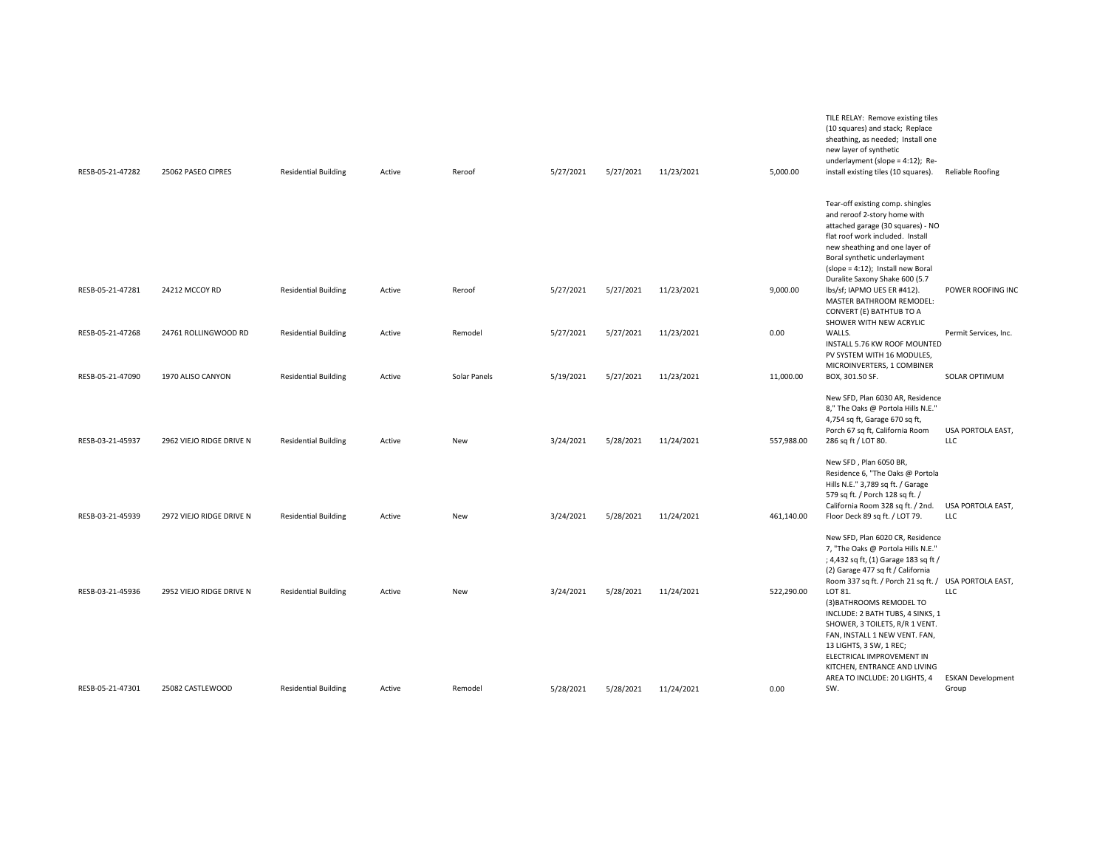| RESB-05-21-47282 | 25062 PASEO CIPRES       | <b>Residential Building</b> | Active | Reroof       | 5/27/2021 | 5/27/2021 | 11/23/2021 | 5,000.00   | (10 squares) and stack; Replace<br>sheathing, as needed; Install one<br>new layer of synthetic<br>underlayment (slope = 4:12); Re-<br>install existing tiles (10 squares).                                                                                                                  | Reliable Roofing                  |
|------------------|--------------------------|-----------------------------|--------|--------------|-----------|-----------|------------|------------|---------------------------------------------------------------------------------------------------------------------------------------------------------------------------------------------------------------------------------------------------------------------------------------------|-----------------------------------|
|                  |                          |                             |        |              |           |           |            |            | Tear-off existing comp. shingles<br>and reroof 2-story home with<br>attached garage (30 squares) - NO<br>flat roof work included. Install<br>new sheathing and one layer of<br>Boral synthetic underlayment<br>(slope = 4:12); Install new Boral<br>Duralite Saxony Shake 600 (5.7          |                                   |
| RESB-05-21-47281 | 24212 MCCOY RD           | <b>Residential Building</b> | Active | Reroof       | 5/27/2021 | 5/27/2021 | 11/23/2021 | 9,000.00   | lbs/sf; IAPMO UES ER #412).<br>MASTER BATHROOM REMODEL:<br>CONVERT (E) BATHTUB TO A<br>SHOWER WITH NEW ACRYLIC                                                                                                                                                                              | POWER ROOFING INC                 |
| RESB-05-21-47268 | 24761 ROLLINGWOOD RD     | <b>Residential Building</b> | Active | Remodel      | 5/27/2021 | 5/27/2021 | 11/23/2021 | 0.00       | WALLS.<br>INSTALL 5.76 KW ROOF MOUNTED<br>PV SYSTEM WITH 16 MODULES,<br>MICROINVERTERS, 1 COMBINER                                                                                                                                                                                          | Permit Services, Inc.             |
| RESB-05-21-47090 | 1970 ALISO CANYON        | <b>Residential Building</b> | Active | Solar Panels | 5/19/2021 | 5/27/2021 | 11/23/2021 | 11,000.00  | BOX, 301.50 SF.                                                                                                                                                                                                                                                                             | <b>SOLAR OPTIMUM</b>              |
| RESB-03-21-45937 | 2962 VIEJO RIDGE DRIVE N | <b>Residential Building</b> | Active | New          | 3/24/2021 | 5/28/2021 | 11/24/2021 | 557,988.00 | New SFD, Plan 6030 AR, Residence<br>8," The Oaks @ Portola Hills N.E."<br>4,754 sq ft, Garage 670 sq ft,<br>Porch 67 sq ft, California Room<br>286 sq ft / LOT 80.                                                                                                                          | USA PORTOLA EAST,<br>LLC          |
| RESB-03-21-45939 | 2972 VIEJO RIDGE DRIVE N | <b>Residential Building</b> | Active | <b>New</b>   | 3/24/2021 | 5/28/2021 | 11/24/2021 | 461,140.00 | New SFD, Plan 6050 BR,<br>Residence 6, "The Oaks @ Portola<br>Hills N.E." 3,789 sq ft. / Garage<br>579 sq ft. / Porch 128 sq ft. /<br>California Room 328 sq ft. / 2nd.<br>Floor Deck 89 sq ft. / LOT 79.                                                                                   | USA PORTOLA EAST,<br><b>LLC</b>   |
|                  |                          |                             |        |              |           |           |            |            | New SFD, Plan 6020 CR, Residence<br>7, "The Oaks @ Portola Hills N.E."<br>; 4,432 sq ft, (1) Garage 183 sq ft /<br>(2) Garage 477 sq ft / California                                                                                                                                        |                                   |
| RESB-03-21-45936 | 2952 VIEJO RIDGE DRIVE N | <b>Residential Building</b> | Active | <b>New</b>   | 3/24/2021 | 5/28/2021 | 11/24/2021 | 522,290.00 | Room 337 sq ft. / Porch 21 sq ft. / USA PORTOLA EAST,<br>LOT 81.<br>(3) BATHROOMS REMODEL TO<br>INCLUDE: 2 BATH TUBS, 4 SINKS, 1<br>SHOWER, 3 TOILETS, R/R 1 VENT.<br>FAN, INSTALL 1 NEW VENT. FAN,<br>13 LIGHTS, 3 SW, 1 REC;<br>ELECTRICAL IMPROVEMENT IN<br>KITCHEN, ENTRANCE AND LIVING | <b>LLC</b>                        |
| RESB-05-21-47301 | 25082 CASTLEWOOD         | <b>Residential Building</b> | Active | Remodel      | 5/28/2021 | 5/28/2021 | 11/24/2021 | 0.00       | AREA TO INCLUDE: 20 LIGHTS, 4<br>SW.                                                                                                                                                                                                                                                        | <b>ESKAN Development</b><br>Group |
|                  |                          |                             |        |              |           |           |            |            |                                                                                                                                                                                                                                                                                             |                                   |

TILE RELAY: Remove existing tiles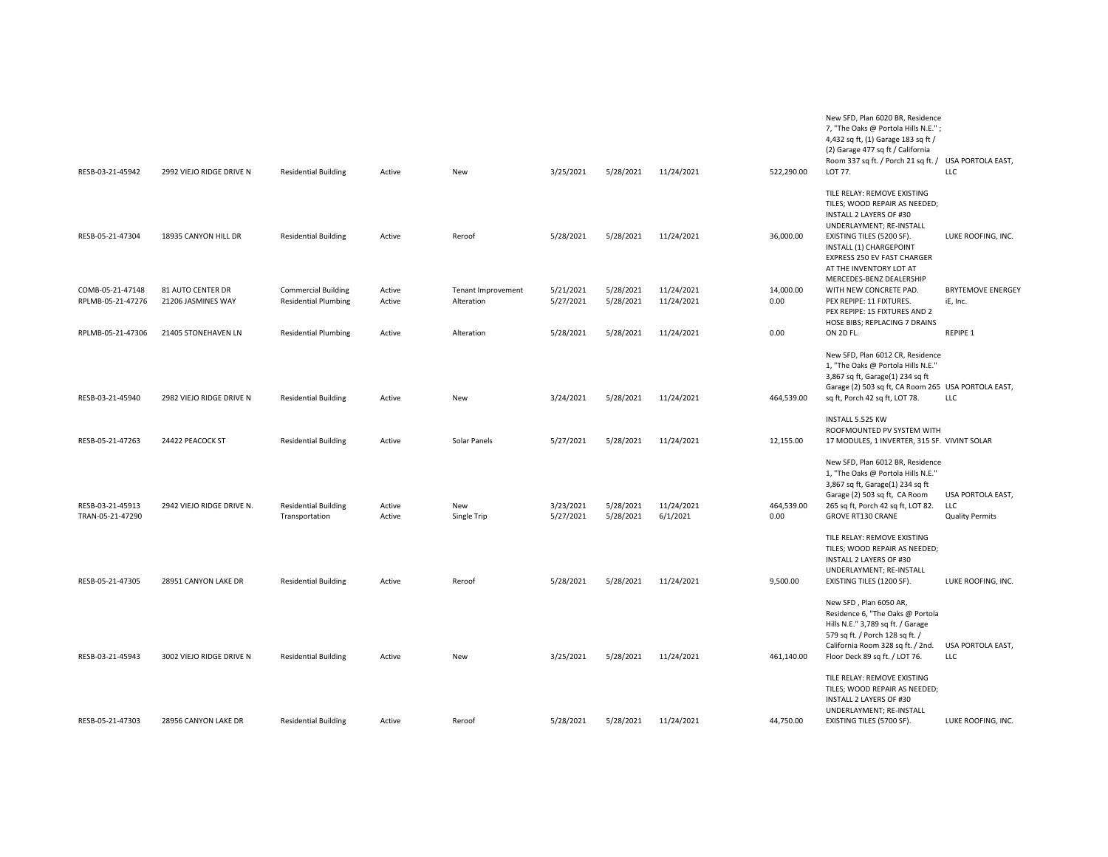| RESB-03-21-45942                      | 2992 VIEJO RIDGE DRIVE N                | <b>Residential Building</b>                               | Active           | New                              | 3/25/2021              | 5/28/2021              | 11/24/2021               | 522,290.00         | 7, "The Oaks @ Portola Hills N.E.";<br>4,432 sq ft, (1) Garage 183 sq ft /<br>(2) Garage 477 sq ft / California<br>Room 337 sq ft. / Porch 21 sq ft. / USA PORTOLA EAST,<br>LOT 77.                                                                 | LLC                                                       |
|---------------------------------------|-----------------------------------------|-----------------------------------------------------------|------------------|----------------------------------|------------------------|------------------------|--------------------------|--------------------|-----------------------------------------------------------------------------------------------------------------------------------------------------------------------------------------------------------------------------------------------------|-----------------------------------------------------------|
| RESB-05-21-47304                      | 18935 CANYON HILL DR                    | <b>Residential Building</b>                               | Active           | Reroof                           | 5/28/2021              | 5/28/2021              | 11/24/2021               | 36,000.00          | TILE RELAY: REMOVE EXISTING<br>TILES; WOOD REPAIR AS NEEDED;<br><b>INSTALL 2 LAYERS OF #30</b><br>UNDERLAYMENT; RE-INSTALL<br>EXISTING TILES (5200 SF).<br>INSTALL (1) CHARGEPOINT<br><b>EXPRESS 250 EV FAST CHARGER</b><br>AT THE INVENTORY LOT AT | LUKE ROOFING, INC.                                        |
| COMB-05-21-47148<br>RPLMB-05-21-47276 | 81 AUTO CENTER DR<br>21206 JASMINES WAY | <b>Commercial Building</b><br><b>Residential Plumbing</b> | Active<br>Active | Tenant Improvement<br>Alteration | 5/21/2021<br>5/27/2021 | 5/28/2021<br>5/28/2021 | 11/24/2021<br>11/24/2021 | 14,000.00<br>0.00  | MERCEDES-BENZ DEALERSHIP<br>WITH NEW CONCRETE PAD.<br>PEX REPIPE: 11 FIXTURES.<br>PEX REPIPE: 15 FIXTURES AND 2                                                                                                                                     | <b>BRYTEMOVE ENERGEY</b><br>iE, Inc.                      |
| RPLMB-05-21-47306                     | 21405 STONEHAVEN LN                     | <b>Residential Plumbing</b>                               | Active           | Alteration                       | 5/28/2021              | 5/28/2021              | 11/24/2021               | 0.00               | HOSE BIBS; REPLACING 7 DRAINS<br>ON 2D FL.                                                                                                                                                                                                          | REPIPE 1                                                  |
| RESB-03-21-45940                      | 2982 VIEJO RIDGE DRIVE N                | <b>Residential Building</b>                               | Active           | New                              | 3/24/2021              | 5/28/2021              | 11/24/2021               | 464,539.00         | New SFD, Plan 6012 CR, Residence<br>1, "The Oaks @ Portola Hills N.E."<br>3,867 sq ft, Garage(1) 234 sq ft<br>Garage (2) 503 sq ft, CA Room 265 USA PORTOLA EAST,<br>sq ft, Porch 42 sq ft, LOT 78.<br><b>INSTALL 5.525 KW</b>                      | LLC                                                       |
| RESB-05-21-47263                      | 24422 PEACOCK ST                        | <b>Residential Building</b>                               | Active           | Solar Panels                     | 5/27/2021              | 5/28/2021              | 11/24/2021               | 12,155.00          | ROOFMOUNTED PV SYSTEM WITH<br>17 MODULES, 1 INVERTER, 315 SF. VIVINT SOLAR                                                                                                                                                                          |                                                           |
| RESB-03-21-45913<br>TRAN-05-21-47290  | 2942 VIEJO RIDGE DRIVE N.               | <b>Residential Building</b><br>Transportation             | Active<br>Active | New<br>Single Trip               | 3/23/2021<br>5/27/2021 | 5/28/2021<br>5/28/2021 | 11/24/2021<br>6/1/2021   | 464,539.00<br>0.00 | New SFD, Plan 6012 BR, Residence<br>1, "The Oaks @ Portola Hills N.E."<br>3,867 sq ft, Garage(1) 234 sq ft<br>Garage (2) 503 sq ft, CA Room<br>265 sq ft, Porch 42 sq ft, LOT 82.<br><b>GROVE RT130 CRANE</b>                                       | USA PORTOLA EAST,<br><b>LLC</b><br><b>Quality Permits</b> |
| RESB-05-21-47305                      | 28951 CANYON LAKE DR                    | <b>Residential Building</b>                               | Active           | Reroof                           | 5/28/2021              | 5/28/2021              | 11/24/2021               | 9,500.00           | TILE RELAY: REMOVE EXISTING<br>TILES; WOOD REPAIR AS NEEDED;<br>INSTALL 2 LAYERS OF #30<br>UNDERLAYMENT; RE-INSTALL<br>EXISTING TILES (1200 SF).                                                                                                    | LUKE ROOFING, INC.                                        |
| RESB-03-21-45943                      | 3002 VIEJO RIDGE DRIVE N                | <b>Residential Building</b>                               | Active           | New                              | 3/25/2021              | 5/28/2021              | 11/24/2021               | 461,140.00         | New SFD, Plan 6050 AR,<br>Residence 6, "The Oaks @ Portola<br>Hills N.E." 3,789 sq ft. / Garage<br>579 sq ft. / Porch 128 sq ft. /<br>California Room 328 sq ft. / 2nd.<br>Floor Deck 89 sq ft. / LOT 76.                                           | USA PORTOLA EAST,<br><b>LLC</b>                           |
| RESB-05-21-47303                      | 28956 CANYON LAKE DR                    | <b>Residential Building</b>                               | Active           | Reroof                           | 5/28/2021              | 5/28/2021              | 11/24/2021               | 44,750.00          | TILE RELAY: REMOVE EXISTING<br>TILES; WOOD REPAIR AS NEEDED;<br>INSTALL 2 LAYERS OF #30<br>UNDERLAYMENT; RE-INSTALL<br>EXISTING TILES (5700 SF).                                                                                                    | LUKE ROOFING, INC.                                        |

New SFD, Plan 6020 BR, Residence